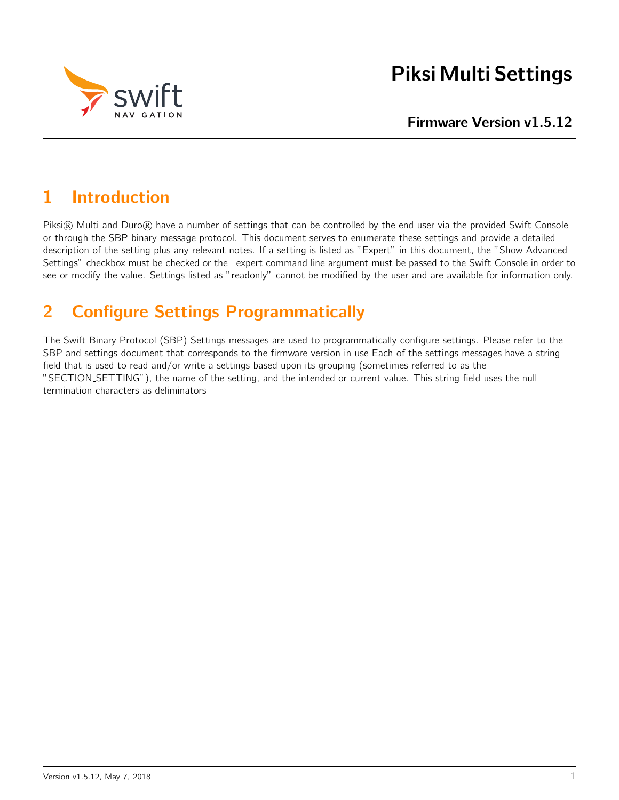

# Piksi Multi Settings

# Firmware Version v1.5.12

# 1 Introduction

Piksi® Multi and Duro® have a number of settings that can be controlled by the end user via the provided Swift Console or through the SBP binary message protocol. This document serves to enumerate these settings and provide a detailed description of the setting plus any relevant notes. If a setting is listed as "Expert" in this document, the "Show Advanced Settings" checkbox must be checked or the –expert command line argument must be passed to the Swift Console in order to see or modify the value. Settings listed as "readonly" cannot be modified by the user and are available for information only.

# 2 Configure Settings Programmatically

The Swift Binary Protocol (SBP) Settings messages are used to programmatically configure settings. Please refer to the SBP and settings document that corresponds to the firmware version in use Each of the settings messages have a string field that is used to read and/or write a settings based upon its grouping (sometimes referred to as the "SECTION SETTING"), the name of the setting, and the intended or current value. This string field uses the null termination characters as deliminators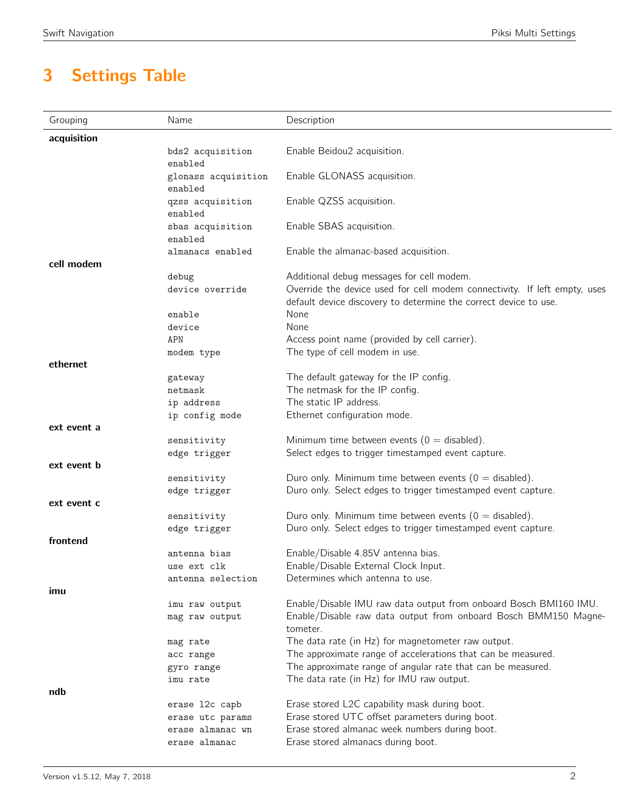# 3 Settings Table

| acquisition<br>Enable Beidou2 acquisition.<br>bds2 acquisition<br>enabled<br>Enable GLONASS acquisition.<br>glonass acquisition<br>enabled<br>Enable QZSS acquisition.<br>qzss acquisition<br>enabled<br>Enable SBAS acquisition.<br>sbas acquisition<br>enabled<br>Enable the almanac-based acquisition.<br>almanacs enabled<br>cell modem<br>Additional debug messages for cell modem.<br>debug<br>device override<br>Override the device used for cell modem connectivity. If left empty, uses<br>default device discovery to determine the correct device to use.<br>None<br>enable<br>None<br>device<br>Access point name (provided by cell carrier).<br>APN<br>The type of cell modem in use.<br>modem type<br>ethernet<br>The default gateway for the IP config.<br>gateway<br>The netmask for the IP config.<br>netmask<br>The static IP address.<br>ip address<br>Ethernet configuration mode.<br>ip config mode<br>ext event a<br>Minimum time between events ( $0 =$ disabled).<br>sensitivity<br>Select edges to trigger timestamped event capture.<br>edge trigger<br>ext event b<br>Duro only. Minimum time between events ( $0 =$ disabled).<br>sensitivity<br>Duro only. Select edges to trigger timestamped event capture.<br>edge trigger<br>ext event c<br>Duro only. Minimum time between events ( $0 =$ disabled).<br>sensitivity<br>Duro only. Select edges to trigger timestamped event capture.<br>edge trigger<br>frontend<br>Enable/Disable 4.85V antenna bias.<br>antenna bias<br>Enable/Disable External Clock Input.<br>use ext clk<br>Determines which antenna to use.<br>antenna selection<br>imu<br>Enable/Disable IMU raw data output from onboard Bosch BMI160 IMU.<br>imu raw output<br>Enable/Disable raw data output from onboard Bosch BMM150 Magne-<br>mag raw output<br>tometer.<br>The data rate (in Hz) for magnetometer raw output.<br>mag rate<br>The approximate range of accelerations that can be measured.<br>acc range<br>The approximate range of angular rate that can be measured.<br>gyro range<br>The data rate (in Hz) for IMU raw output.<br>imu rate<br>ndb<br>Erase stored L2C capability mask during boot.<br>erase 12c capb<br>Erase stored UTC offset parameters during boot.<br>erase utc params<br>Erase stored almanac week numbers during boot.<br>erase almanac wn | Grouping | Name          | Description                        |
|--------------------------------------------------------------------------------------------------------------------------------------------------------------------------------------------------------------------------------------------------------------------------------------------------------------------------------------------------------------------------------------------------------------------------------------------------------------------------------------------------------------------------------------------------------------------------------------------------------------------------------------------------------------------------------------------------------------------------------------------------------------------------------------------------------------------------------------------------------------------------------------------------------------------------------------------------------------------------------------------------------------------------------------------------------------------------------------------------------------------------------------------------------------------------------------------------------------------------------------------------------------------------------------------------------------------------------------------------------------------------------------------------------------------------------------------------------------------------------------------------------------------------------------------------------------------------------------------------------------------------------------------------------------------------------------------------------------------------------------------------------------------------------------------------------------------------------------------------------------------------------------------------------------------------------------------------------------------------------------------------------------------------------------------------------------------------------------------------------------------------------------------------------------------------------------------------------------------------------------------------------------------------------------------------------------------------------------|----------|---------------|------------------------------------|
|                                                                                                                                                                                                                                                                                                                                                                                                                                                                                                                                                                                                                                                                                                                                                                                                                                                                                                                                                                                                                                                                                                                                                                                                                                                                                                                                                                                                                                                                                                                                                                                                                                                                                                                                                                                                                                                                                                                                                                                                                                                                                                                                                                                                                                                                                                                                      |          |               |                                    |
|                                                                                                                                                                                                                                                                                                                                                                                                                                                                                                                                                                                                                                                                                                                                                                                                                                                                                                                                                                                                                                                                                                                                                                                                                                                                                                                                                                                                                                                                                                                                                                                                                                                                                                                                                                                                                                                                                                                                                                                                                                                                                                                                                                                                                                                                                                                                      |          |               |                                    |
|                                                                                                                                                                                                                                                                                                                                                                                                                                                                                                                                                                                                                                                                                                                                                                                                                                                                                                                                                                                                                                                                                                                                                                                                                                                                                                                                                                                                                                                                                                                                                                                                                                                                                                                                                                                                                                                                                                                                                                                                                                                                                                                                                                                                                                                                                                                                      |          |               |                                    |
|                                                                                                                                                                                                                                                                                                                                                                                                                                                                                                                                                                                                                                                                                                                                                                                                                                                                                                                                                                                                                                                                                                                                                                                                                                                                                                                                                                                                                                                                                                                                                                                                                                                                                                                                                                                                                                                                                                                                                                                                                                                                                                                                                                                                                                                                                                                                      |          |               |                                    |
|                                                                                                                                                                                                                                                                                                                                                                                                                                                                                                                                                                                                                                                                                                                                                                                                                                                                                                                                                                                                                                                                                                                                                                                                                                                                                                                                                                                                                                                                                                                                                                                                                                                                                                                                                                                                                                                                                                                                                                                                                                                                                                                                                                                                                                                                                                                                      |          |               |                                    |
|                                                                                                                                                                                                                                                                                                                                                                                                                                                                                                                                                                                                                                                                                                                                                                                                                                                                                                                                                                                                                                                                                                                                                                                                                                                                                                                                                                                                                                                                                                                                                                                                                                                                                                                                                                                                                                                                                                                                                                                                                                                                                                                                                                                                                                                                                                                                      |          |               |                                    |
|                                                                                                                                                                                                                                                                                                                                                                                                                                                                                                                                                                                                                                                                                                                                                                                                                                                                                                                                                                                                                                                                                                                                                                                                                                                                                                                                                                                                                                                                                                                                                                                                                                                                                                                                                                                                                                                                                                                                                                                                                                                                                                                                                                                                                                                                                                                                      |          |               |                                    |
|                                                                                                                                                                                                                                                                                                                                                                                                                                                                                                                                                                                                                                                                                                                                                                                                                                                                                                                                                                                                                                                                                                                                                                                                                                                                                                                                                                                                                                                                                                                                                                                                                                                                                                                                                                                                                                                                                                                                                                                                                                                                                                                                                                                                                                                                                                                                      |          |               |                                    |
|                                                                                                                                                                                                                                                                                                                                                                                                                                                                                                                                                                                                                                                                                                                                                                                                                                                                                                                                                                                                                                                                                                                                                                                                                                                                                                                                                                                                                                                                                                                                                                                                                                                                                                                                                                                                                                                                                                                                                                                                                                                                                                                                                                                                                                                                                                                                      |          |               |                                    |
|                                                                                                                                                                                                                                                                                                                                                                                                                                                                                                                                                                                                                                                                                                                                                                                                                                                                                                                                                                                                                                                                                                                                                                                                                                                                                                                                                                                                                                                                                                                                                                                                                                                                                                                                                                                                                                                                                                                                                                                                                                                                                                                                                                                                                                                                                                                                      |          |               |                                    |
|                                                                                                                                                                                                                                                                                                                                                                                                                                                                                                                                                                                                                                                                                                                                                                                                                                                                                                                                                                                                                                                                                                                                                                                                                                                                                                                                                                                                                                                                                                                                                                                                                                                                                                                                                                                                                                                                                                                                                                                                                                                                                                                                                                                                                                                                                                                                      |          |               |                                    |
|                                                                                                                                                                                                                                                                                                                                                                                                                                                                                                                                                                                                                                                                                                                                                                                                                                                                                                                                                                                                                                                                                                                                                                                                                                                                                                                                                                                                                                                                                                                                                                                                                                                                                                                                                                                                                                                                                                                                                                                                                                                                                                                                                                                                                                                                                                                                      |          |               |                                    |
|                                                                                                                                                                                                                                                                                                                                                                                                                                                                                                                                                                                                                                                                                                                                                                                                                                                                                                                                                                                                                                                                                                                                                                                                                                                                                                                                                                                                                                                                                                                                                                                                                                                                                                                                                                                                                                                                                                                                                                                                                                                                                                                                                                                                                                                                                                                                      |          |               |                                    |
|                                                                                                                                                                                                                                                                                                                                                                                                                                                                                                                                                                                                                                                                                                                                                                                                                                                                                                                                                                                                                                                                                                                                                                                                                                                                                                                                                                                                                                                                                                                                                                                                                                                                                                                                                                                                                                                                                                                                                                                                                                                                                                                                                                                                                                                                                                                                      |          |               |                                    |
|                                                                                                                                                                                                                                                                                                                                                                                                                                                                                                                                                                                                                                                                                                                                                                                                                                                                                                                                                                                                                                                                                                                                                                                                                                                                                                                                                                                                                                                                                                                                                                                                                                                                                                                                                                                                                                                                                                                                                                                                                                                                                                                                                                                                                                                                                                                                      |          |               |                                    |
|                                                                                                                                                                                                                                                                                                                                                                                                                                                                                                                                                                                                                                                                                                                                                                                                                                                                                                                                                                                                                                                                                                                                                                                                                                                                                                                                                                                                                                                                                                                                                                                                                                                                                                                                                                                                                                                                                                                                                                                                                                                                                                                                                                                                                                                                                                                                      |          |               |                                    |
|                                                                                                                                                                                                                                                                                                                                                                                                                                                                                                                                                                                                                                                                                                                                                                                                                                                                                                                                                                                                                                                                                                                                                                                                                                                                                                                                                                                                                                                                                                                                                                                                                                                                                                                                                                                                                                                                                                                                                                                                                                                                                                                                                                                                                                                                                                                                      |          |               |                                    |
|                                                                                                                                                                                                                                                                                                                                                                                                                                                                                                                                                                                                                                                                                                                                                                                                                                                                                                                                                                                                                                                                                                                                                                                                                                                                                                                                                                                                                                                                                                                                                                                                                                                                                                                                                                                                                                                                                                                                                                                                                                                                                                                                                                                                                                                                                                                                      |          |               |                                    |
|                                                                                                                                                                                                                                                                                                                                                                                                                                                                                                                                                                                                                                                                                                                                                                                                                                                                                                                                                                                                                                                                                                                                                                                                                                                                                                                                                                                                                                                                                                                                                                                                                                                                                                                                                                                                                                                                                                                                                                                                                                                                                                                                                                                                                                                                                                                                      |          |               |                                    |
|                                                                                                                                                                                                                                                                                                                                                                                                                                                                                                                                                                                                                                                                                                                                                                                                                                                                                                                                                                                                                                                                                                                                                                                                                                                                                                                                                                                                                                                                                                                                                                                                                                                                                                                                                                                                                                                                                                                                                                                                                                                                                                                                                                                                                                                                                                                                      |          |               |                                    |
|                                                                                                                                                                                                                                                                                                                                                                                                                                                                                                                                                                                                                                                                                                                                                                                                                                                                                                                                                                                                                                                                                                                                                                                                                                                                                                                                                                                                                                                                                                                                                                                                                                                                                                                                                                                                                                                                                                                                                                                                                                                                                                                                                                                                                                                                                                                                      |          |               |                                    |
|                                                                                                                                                                                                                                                                                                                                                                                                                                                                                                                                                                                                                                                                                                                                                                                                                                                                                                                                                                                                                                                                                                                                                                                                                                                                                                                                                                                                                                                                                                                                                                                                                                                                                                                                                                                                                                                                                                                                                                                                                                                                                                                                                                                                                                                                                                                                      |          |               |                                    |
|                                                                                                                                                                                                                                                                                                                                                                                                                                                                                                                                                                                                                                                                                                                                                                                                                                                                                                                                                                                                                                                                                                                                                                                                                                                                                                                                                                                                                                                                                                                                                                                                                                                                                                                                                                                                                                                                                                                                                                                                                                                                                                                                                                                                                                                                                                                                      |          |               |                                    |
|                                                                                                                                                                                                                                                                                                                                                                                                                                                                                                                                                                                                                                                                                                                                                                                                                                                                                                                                                                                                                                                                                                                                                                                                                                                                                                                                                                                                                                                                                                                                                                                                                                                                                                                                                                                                                                                                                                                                                                                                                                                                                                                                                                                                                                                                                                                                      |          |               |                                    |
|                                                                                                                                                                                                                                                                                                                                                                                                                                                                                                                                                                                                                                                                                                                                                                                                                                                                                                                                                                                                                                                                                                                                                                                                                                                                                                                                                                                                                                                                                                                                                                                                                                                                                                                                                                                                                                                                                                                                                                                                                                                                                                                                                                                                                                                                                                                                      |          |               |                                    |
|                                                                                                                                                                                                                                                                                                                                                                                                                                                                                                                                                                                                                                                                                                                                                                                                                                                                                                                                                                                                                                                                                                                                                                                                                                                                                                                                                                                                                                                                                                                                                                                                                                                                                                                                                                                                                                                                                                                                                                                                                                                                                                                                                                                                                                                                                                                                      |          |               |                                    |
|                                                                                                                                                                                                                                                                                                                                                                                                                                                                                                                                                                                                                                                                                                                                                                                                                                                                                                                                                                                                                                                                                                                                                                                                                                                                                                                                                                                                                                                                                                                                                                                                                                                                                                                                                                                                                                                                                                                                                                                                                                                                                                                                                                                                                                                                                                                                      |          |               |                                    |
|                                                                                                                                                                                                                                                                                                                                                                                                                                                                                                                                                                                                                                                                                                                                                                                                                                                                                                                                                                                                                                                                                                                                                                                                                                                                                                                                                                                                                                                                                                                                                                                                                                                                                                                                                                                                                                                                                                                                                                                                                                                                                                                                                                                                                                                                                                                                      |          |               |                                    |
|                                                                                                                                                                                                                                                                                                                                                                                                                                                                                                                                                                                                                                                                                                                                                                                                                                                                                                                                                                                                                                                                                                                                                                                                                                                                                                                                                                                                                                                                                                                                                                                                                                                                                                                                                                                                                                                                                                                                                                                                                                                                                                                                                                                                                                                                                                                                      |          |               |                                    |
|                                                                                                                                                                                                                                                                                                                                                                                                                                                                                                                                                                                                                                                                                                                                                                                                                                                                                                                                                                                                                                                                                                                                                                                                                                                                                                                                                                                                                                                                                                                                                                                                                                                                                                                                                                                                                                                                                                                                                                                                                                                                                                                                                                                                                                                                                                                                      |          |               |                                    |
|                                                                                                                                                                                                                                                                                                                                                                                                                                                                                                                                                                                                                                                                                                                                                                                                                                                                                                                                                                                                                                                                                                                                                                                                                                                                                                                                                                                                                                                                                                                                                                                                                                                                                                                                                                                                                                                                                                                                                                                                                                                                                                                                                                                                                                                                                                                                      |          |               |                                    |
|                                                                                                                                                                                                                                                                                                                                                                                                                                                                                                                                                                                                                                                                                                                                                                                                                                                                                                                                                                                                                                                                                                                                                                                                                                                                                                                                                                                                                                                                                                                                                                                                                                                                                                                                                                                                                                                                                                                                                                                                                                                                                                                                                                                                                                                                                                                                      |          |               |                                    |
|                                                                                                                                                                                                                                                                                                                                                                                                                                                                                                                                                                                                                                                                                                                                                                                                                                                                                                                                                                                                                                                                                                                                                                                                                                                                                                                                                                                                                                                                                                                                                                                                                                                                                                                                                                                                                                                                                                                                                                                                                                                                                                                                                                                                                                                                                                                                      |          |               |                                    |
|                                                                                                                                                                                                                                                                                                                                                                                                                                                                                                                                                                                                                                                                                                                                                                                                                                                                                                                                                                                                                                                                                                                                                                                                                                                                                                                                                                                                                                                                                                                                                                                                                                                                                                                                                                                                                                                                                                                                                                                                                                                                                                                                                                                                                                                                                                                                      |          |               |                                    |
|                                                                                                                                                                                                                                                                                                                                                                                                                                                                                                                                                                                                                                                                                                                                                                                                                                                                                                                                                                                                                                                                                                                                                                                                                                                                                                                                                                                                                                                                                                                                                                                                                                                                                                                                                                                                                                                                                                                                                                                                                                                                                                                                                                                                                                                                                                                                      |          |               |                                    |
|                                                                                                                                                                                                                                                                                                                                                                                                                                                                                                                                                                                                                                                                                                                                                                                                                                                                                                                                                                                                                                                                                                                                                                                                                                                                                                                                                                                                                                                                                                                                                                                                                                                                                                                                                                                                                                                                                                                                                                                                                                                                                                                                                                                                                                                                                                                                      |          |               |                                    |
|                                                                                                                                                                                                                                                                                                                                                                                                                                                                                                                                                                                                                                                                                                                                                                                                                                                                                                                                                                                                                                                                                                                                                                                                                                                                                                                                                                                                                                                                                                                                                                                                                                                                                                                                                                                                                                                                                                                                                                                                                                                                                                                                                                                                                                                                                                                                      |          |               |                                    |
|                                                                                                                                                                                                                                                                                                                                                                                                                                                                                                                                                                                                                                                                                                                                                                                                                                                                                                                                                                                                                                                                                                                                                                                                                                                                                                                                                                                                                                                                                                                                                                                                                                                                                                                                                                                                                                                                                                                                                                                                                                                                                                                                                                                                                                                                                                                                      |          |               |                                    |
|                                                                                                                                                                                                                                                                                                                                                                                                                                                                                                                                                                                                                                                                                                                                                                                                                                                                                                                                                                                                                                                                                                                                                                                                                                                                                                                                                                                                                                                                                                                                                                                                                                                                                                                                                                                                                                                                                                                                                                                                                                                                                                                                                                                                                                                                                                                                      |          |               |                                    |
|                                                                                                                                                                                                                                                                                                                                                                                                                                                                                                                                                                                                                                                                                                                                                                                                                                                                                                                                                                                                                                                                                                                                                                                                                                                                                                                                                                                                                                                                                                                                                                                                                                                                                                                                                                                                                                                                                                                                                                                                                                                                                                                                                                                                                                                                                                                                      |          |               |                                    |
|                                                                                                                                                                                                                                                                                                                                                                                                                                                                                                                                                                                                                                                                                                                                                                                                                                                                                                                                                                                                                                                                                                                                                                                                                                                                                                                                                                                                                                                                                                                                                                                                                                                                                                                                                                                                                                                                                                                                                                                                                                                                                                                                                                                                                                                                                                                                      |          |               |                                    |
|                                                                                                                                                                                                                                                                                                                                                                                                                                                                                                                                                                                                                                                                                                                                                                                                                                                                                                                                                                                                                                                                                                                                                                                                                                                                                                                                                                                                                                                                                                                                                                                                                                                                                                                                                                                                                                                                                                                                                                                                                                                                                                                                                                                                                                                                                                                                      |          |               |                                    |
|                                                                                                                                                                                                                                                                                                                                                                                                                                                                                                                                                                                                                                                                                                                                                                                                                                                                                                                                                                                                                                                                                                                                                                                                                                                                                                                                                                                                                                                                                                                                                                                                                                                                                                                                                                                                                                                                                                                                                                                                                                                                                                                                                                                                                                                                                                                                      |          |               |                                    |
|                                                                                                                                                                                                                                                                                                                                                                                                                                                                                                                                                                                                                                                                                                                                                                                                                                                                                                                                                                                                                                                                                                                                                                                                                                                                                                                                                                                                                                                                                                                                                                                                                                                                                                                                                                                                                                                                                                                                                                                                                                                                                                                                                                                                                                                                                                                                      |          | erase almanac | Erase stored almanacs during boot. |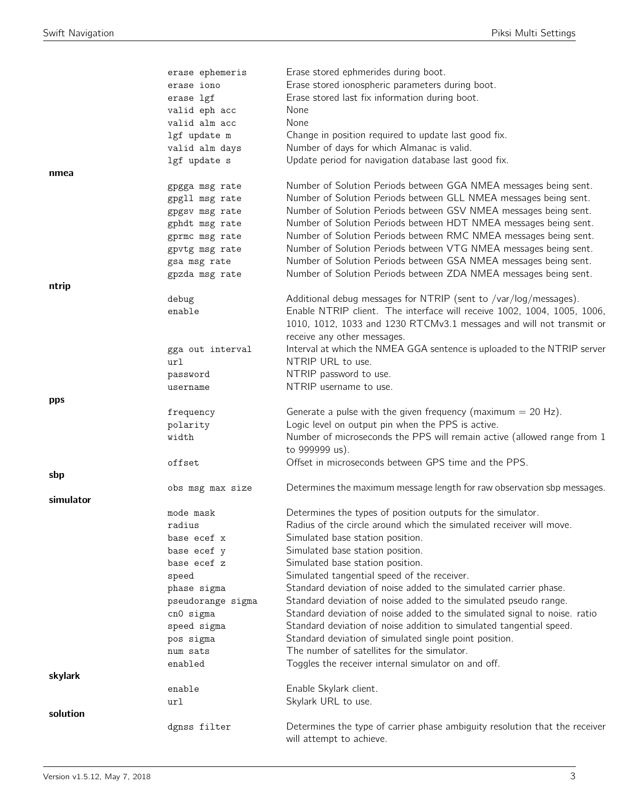|           | erase ephemeris   | Erase stored ephmerides during boot.                                        |
|-----------|-------------------|-----------------------------------------------------------------------------|
|           | erase iono        | Erase stored ionospheric parameters during boot.                            |
|           | erase lgf         | Erase stored last fix information during boot.                              |
|           | valid eph acc     | None                                                                        |
|           | valid alm acc     | None                                                                        |
|           | lgf update m      | Change in position required to update last good fix.                        |
|           | valid alm days    | Number of days for which Almanac is valid.                                  |
|           | lgf update s      | Update period for navigation database last good fix.                        |
| nmea      |                   |                                                                             |
|           | gpgga msg rate    | Number of Solution Periods between GGA NMEA messages being sent.            |
|           | gpgll msg rate    | Number of Solution Periods between GLL NMEA messages being sent.            |
|           | gpgsv msg rate    | Number of Solution Periods between GSV NMEA messages being sent.            |
|           | gphdt msg rate    | Number of Solution Periods between HDT NMEA messages being sent.            |
|           | gprmc msg rate    | Number of Solution Periods between RMC NMEA messages being sent.            |
|           | gpvtg msg rate    | Number of Solution Periods between VTG NMEA messages being sent.            |
|           | gsa msg rate      | Number of Solution Periods between GSA NMEA messages being sent.            |
|           | gpzda msg rate    | Number of Solution Periods between ZDA NMEA messages being sent.            |
| ntrip     |                   |                                                                             |
|           | debug             | Additional debug messages for NTRIP (sent to /var/log/messages).            |
|           | enable            | Enable NTRIP client. The interface will receive 1002, 1004, 1005, 1006,     |
|           |                   | 1010, 1012, 1033 and 1230 RTCMv3.1 messages and will not transmit or        |
|           |                   | receive any other messages.                                                 |
|           | gga out interval  | Interval at which the NMEA GGA sentence is uploaded to the NTRIP server     |
|           | url               | NTRIP URL to use.                                                           |
|           | password          | NTRIP password to use.                                                      |
|           | username          | NTRIP username to use.                                                      |
| pps       |                   |                                                                             |
|           | frequency         | Generate a pulse with the given frequency (maximum $= 20$ Hz).              |
|           | polarity          | Logic level on output pin when the PPS is active.                           |
|           | width             | Number of microseconds the PPS will remain active (allowed range from 1     |
|           |                   | to 999999 us).                                                              |
|           | offset            | Offset in microseconds between GPS time and the PPS.                        |
| sbp       |                   |                                                                             |
|           | obs msg max size  | Determines the maximum message length for raw observation sbp messages.     |
| simulator |                   |                                                                             |
|           | mode mask         | Determines the types of position outputs for the simulator.                 |
|           | radius            | Radius of the circle around which the simulated receiver will move.         |
|           | base ecef x       | Simulated base station position.                                            |
|           | base ecef y       | Simulated base station position.                                            |
|           | base ecef z       | Simulated base station position.                                            |
|           | speed             | Simulated tangential speed of the receiver.                                 |
|           | phase sigma       | Standard deviation of noise added to the simulated carrier phase.           |
|           | pseudorange sigma | Standard deviation of noise added to the simulated pseudo range.            |
|           | cn0 sigma         | Standard deviation of noise added to the simulated signal to noise. ratio   |
|           | speed sigma       | Standard deviation of noise addition to simulated tangential speed.         |
|           | pos sigma         | Standard deviation of simulated single point position.                      |
|           | num sats          | The number of satellites for the simulator.                                 |
|           | enabled           | Toggles the receiver internal simulator on and off.                         |
| skylark   |                   |                                                                             |
|           | enable            | Enable Skylark client.                                                      |
|           | url               | Skylark URL to use.                                                         |
| solution  |                   |                                                                             |
|           | dgnss filter      | Determines the type of carrier phase ambiguity resolution that the receiver |
|           |                   | will attempt to achieve.                                                    |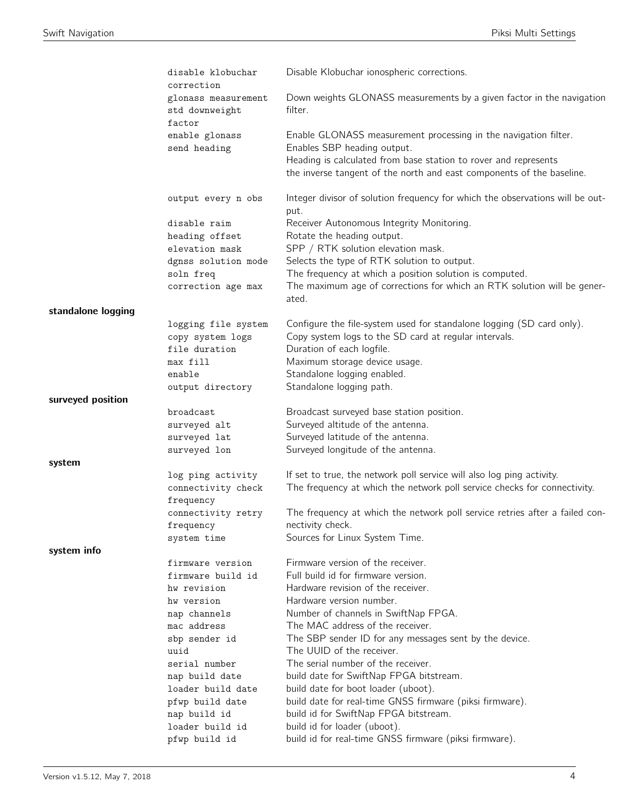|                    | disable klobuchar<br>correction                          | Disable Klobuchar ionospheric corrections.                                                                                                                  |
|--------------------|----------------------------------------------------------|-------------------------------------------------------------------------------------------------------------------------------------------------------------|
|                    | glonass measurement<br>std downweight<br>factor          | Down weights GLONASS measurements by a given factor in the navigation<br>filter.                                                                            |
|                    | enable glonass<br>send heading                           | Enable GLONASS measurement processing in the navigation filter.<br>Enables SBP heading output.                                                              |
|                    |                                                          | Heading is calculated from base station to rover and represents<br>the inverse tangent of the north and east components of the baseline.                    |
|                    | output every n obs                                       | Integer divisor of solution frequency for which the observations will be out-<br>put.                                                                       |
|                    | disable raim                                             | Receiver Autonomous Integrity Monitoring.                                                                                                                   |
|                    | heading offset                                           | Rotate the heading output.                                                                                                                                  |
|                    | elevation mask                                           | SPP / RTK solution elevation mask.                                                                                                                          |
|                    | dgnss solution mode                                      | Selects the type of RTK solution to output.                                                                                                                 |
|                    | soln freq<br>correction age max                          | The frequency at which a position solution is computed.<br>The maximum age of corrections for which an RTK solution will be gener-<br>ated.                 |
| standalone logging |                                                          |                                                                                                                                                             |
|                    | logging file system<br>copy system logs<br>file duration | Configure the file-system used for standalone logging (SD card only).<br>Copy system logs to the SD card at regular intervals.<br>Duration of each logfile. |
|                    | max fill                                                 | Maximum storage device usage.                                                                                                                               |
|                    | enable                                                   | Standalone logging enabled.                                                                                                                                 |
|                    | output directory                                         | Standalone logging path.                                                                                                                                    |
| surveyed position  |                                                          |                                                                                                                                                             |
|                    | broadcast                                                | Broadcast surveyed base station position.                                                                                                                   |
|                    | surveyed alt                                             | Surveyed altitude of the antenna.                                                                                                                           |
|                    | surveyed lat                                             | Surveyed latitude of the antenna.                                                                                                                           |
|                    | surveyed lon                                             | Surveyed longitude of the antenna.                                                                                                                          |
| system             |                                                          | If set to true, the network poll service will also log ping activity.                                                                                       |
|                    | log ping activity<br>connectivity check<br>frequency     | The frequency at which the network poll service checks for connectivity.                                                                                    |
|                    | connectivity retry                                       | The frequency at which the network poll service retries after a failed con-                                                                                 |
|                    | frequency                                                | nectivity check.                                                                                                                                            |
|                    | system time                                              | Sources for Linux System Time.                                                                                                                              |
| system info        |                                                          |                                                                                                                                                             |
|                    | firmware version                                         | Firmware version of the receiver.                                                                                                                           |
|                    | firmware build id                                        | Full build id for firmware version.                                                                                                                         |
|                    | hw revision                                              | Hardware revision of the receiver.                                                                                                                          |
|                    | hw version                                               | Hardware version number.                                                                                                                                    |
|                    | nap channels                                             | Number of channels in SwiftNap FPGA.                                                                                                                        |
|                    | mac address                                              | The MAC address of the receiver.                                                                                                                            |
|                    | sbp sender id<br>uuid                                    | The SBP sender ID for any messages sent by the device.<br>The UUID of the receiver.                                                                         |
|                    | serial number                                            | The serial number of the receiver.                                                                                                                          |
|                    | nap build date                                           | build date for SwiftNap FPGA bitstream.                                                                                                                     |
|                    | loader build date                                        | build date for boot loader (uboot).                                                                                                                         |
|                    | pfwp build date                                          | build date for real-time GNSS firmware (piksi firmware).                                                                                                    |
|                    | nap build id                                             | build id for SwiftNap FPGA bitstream.                                                                                                                       |
|                    | loader build id                                          | build id for loader (uboot).                                                                                                                                |
|                    | pfwp build id                                            | build id for real-time GNSS firmware (piksi firmware).                                                                                                      |
|                    |                                                          |                                                                                                                                                             |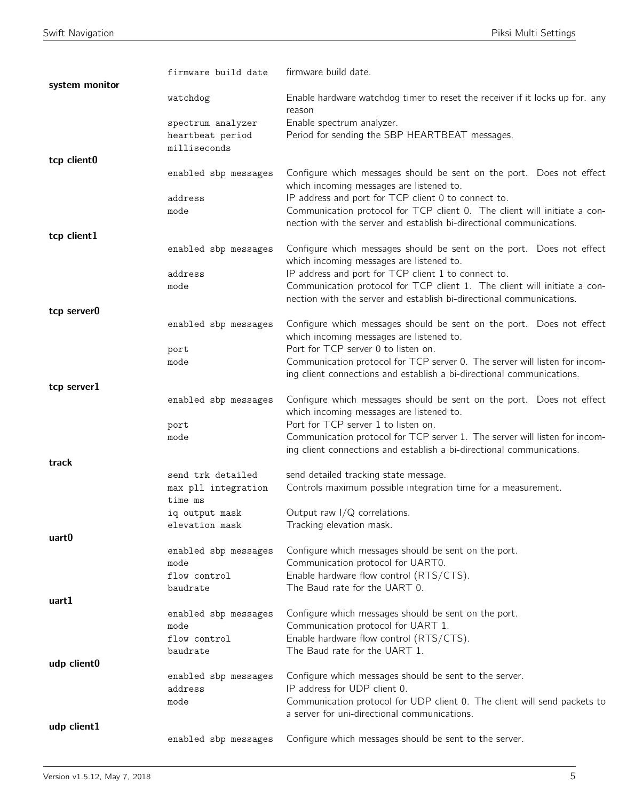| system monitor | firmware build date                      | firmware build date.                                                                                                                                |
|----------------|------------------------------------------|-----------------------------------------------------------------------------------------------------------------------------------------------------|
|                | watchdog                                 | Enable hardware watchdog timer to reset the receiver if it locks up for. any<br>reason                                                              |
|                | spectrum analyzer                        | Enable spectrum analyzer.                                                                                                                           |
|                | heartbeat period<br>milliseconds         | Period for sending the SBP HEARTBEAT messages.                                                                                                      |
| tcp client0    |                                          |                                                                                                                                                     |
|                | enabled sbp messages                     | Configure which messages should be sent on the port. Does not effect<br>which incoming messages are listened to.                                    |
|                | address                                  | IP address and port for TCP client 0 to connect to.                                                                                                 |
|                | mode                                     | Communication protocol for TCP client 0. The client will initiate a con-<br>nection with the server and establish bi-directional communications.    |
| tcp client1    |                                          |                                                                                                                                                     |
|                | enabled sbp messages                     | Configure which messages should be sent on the port. Does not effect<br>which incoming messages are listened to.                                    |
|                | address                                  | IP address and port for TCP client 1 to connect to.                                                                                                 |
|                | mode                                     | Communication protocol for TCP client 1. The client will initiate a con-<br>nection with the server and establish bi-directional communications.    |
| tcp server0    |                                          |                                                                                                                                                     |
|                | enabled sbp messages                     | Configure which messages should be sent on the port. Does not effect<br>which incoming messages are listened to.                                    |
|                | port<br>mode                             | Port for TCP server 0 to listen on.<br>Communication protocol for TCP server 0. The server will listen for incom-                                   |
|                |                                          | ing client connections and establish a bi-directional communications.                                                                               |
| tcp server1    |                                          |                                                                                                                                                     |
|                | enabled sbp messages                     | Configure which messages should be sent on the port. Does not effect<br>which incoming messages are listened to.                                    |
|                | port                                     | Port for TCP server 1 to listen on.                                                                                                                 |
|                | mode                                     | Communication protocol for TCP server 1. The server will listen for incom-<br>ing client connections and establish a bi-directional communications. |
| track          |                                          |                                                                                                                                                     |
|                | send trk detailed<br>max pll integration | send detailed tracking state message.<br>Controls maximum possible integration time for a measurement.                                              |
|                | time ms<br>ig output mask                | Output raw $I/Q$ correlations.                                                                                                                      |
|                | elevation mask                           | Tracking elevation mask.                                                                                                                            |
| uart0          |                                          |                                                                                                                                                     |
|                | enabled sbp messages                     | Configure which messages should be sent on the port.                                                                                                |
|                | mode<br>flow control                     | Communication protocol for UART0.<br>Enable hardware flow control (RTS/CTS).                                                                        |
|                | baudrate                                 | The Baud rate for the UART 0.                                                                                                                       |
| uart1          |                                          |                                                                                                                                                     |
|                | enabled sbp messages                     | Configure which messages should be sent on the port.                                                                                                |
|                | mode<br>flow control                     | Communication protocol for UART 1.<br>Enable hardware flow control (RTS/CTS).                                                                       |
|                | baudrate                                 | The Baud rate for the UART 1.                                                                                                                       |
| udp client0    |                                          |                                                                                                                                                     |
|                | enabled sbp messages                     | Configure which messages should be sent to the server.<br>IP address for UDP client 0.                                                              |
|                | address<br>mode                          | Communication protocol for UDP client 0. The client will send packets to                                                                            |
|                |                                          | a server for uni-directional communications.                                                                                                        |
| udp client1    |                                          |                                                                                                                                                     |
|                | enabled sbp messages                     | Configure which messages should be sent to the server.                                                                                              |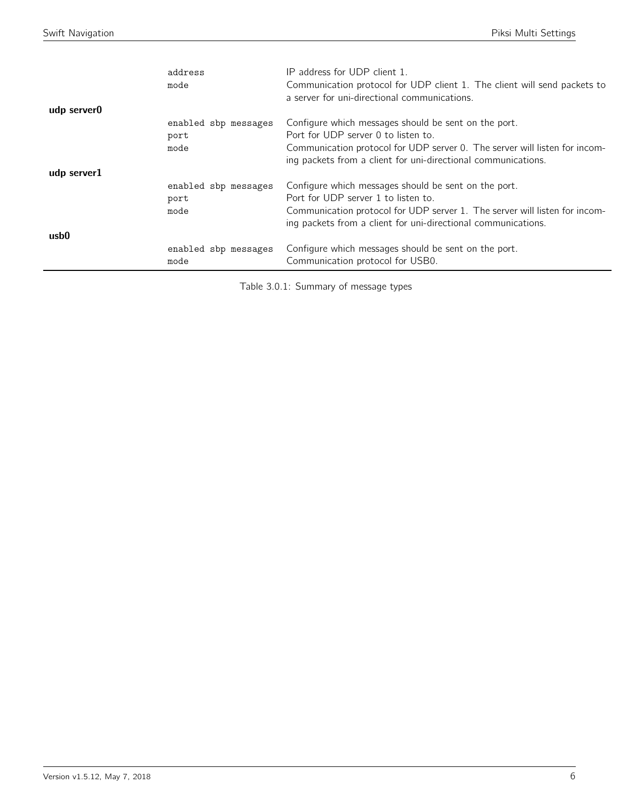| udp server0      | address<br>mode                      | IP address for UDP client 1.<br>Communication protocol for UDP client 1. The client will send packets to<br>a server for uni-directional communications.                                                                                   |
|------------------|--------------------------------------|--------------------------------------------------------------------------------------------------------------------------------------------------------------------------------------------------------------------------------------------|
|                  | enabled sbp messages<br>port<br>mode | Configure which messages should be sent on the port.<br>Port for UDP server 0 to listen to.<br>Communication protocol for UDP server 0. The server will listen for incom-<br>ing packets from a client for uni-directional communications. |
| udp server1      | enabled sbp messages<br>port<br>mode | Configure which messages should be sent on the port.<br>Port for UDP server 1 to listen to.<br>Communication protocol for UDP server 1. The server will listen for incom-<br>ing packets from a client for uni-directional communications. |
| usb <sub>0</sub> | enabled sbp messages<br>mode         | Configure which messages should be sent on the port.<br>Communication protocol for USB0.                                                                                                                                                   |

Table 3.0.1: Summary of message types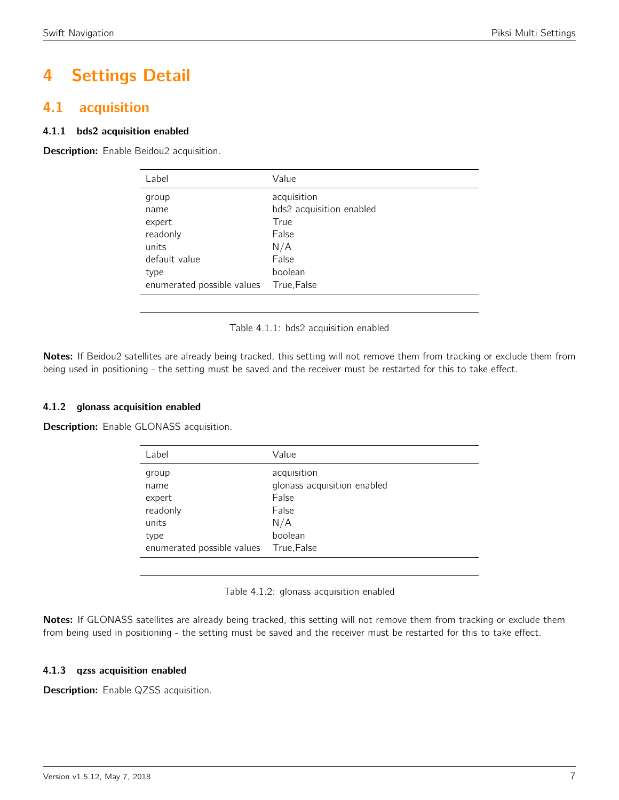# 4 Settings Detail

## <span id="page-6-0"></span>4.1 acquisition

#### 4.1.1 bds2 acquisition enabled

<span id="page-6-1"></span>Description: Enable Beidou2 acquisition.

| Label                      | Value                    |
|----------------------------|--------------------------|
| group                      | acquisition              |
| name                       | bds2 acquisition enabled |
| expert                     | True                     |
| readonly                   | False                    |
| units                      | N/A                      |
| default value              | False                    |
| type                       | boolean                  |
| enumerated possible values | True, False              |

Table 4.1.1: bds2 acquisition enabled

Notes: If Beidou2 satellites are already being tracked, this setting will not remove them from tracking or exclude them from being used in positioning - the setting must be saved and the receiver must be restarted for this to take effect.

#### 4.1.2 glonass acquisition enabled

<span id="page-6-2"></span>Description: Enable GLONASS acquisition.

| Label                                                | Value                                                                          |
|------------------------------------------------------|--------------------------------------------------------------------------------|
| group<br>name<br>expert<br>readonly<br>units<br>type | acquisition<br>glonass acquisition enabled<br>False<br>False<br>N/A<br>boolean |
| enumerated possible values                           | True, False                                                                    |

Table 4.1.2: glonass acquisition enabled

Notes: If GLONASS satellites are already being tracked, this setting will not remove them from tracking or exclude them from being used in positioning - the setting must be saved and the receiver must be restarted for this to take effect.

#### 4.1.3 qzss acquisition enabled

**Description:** Enable QZSS acquisition.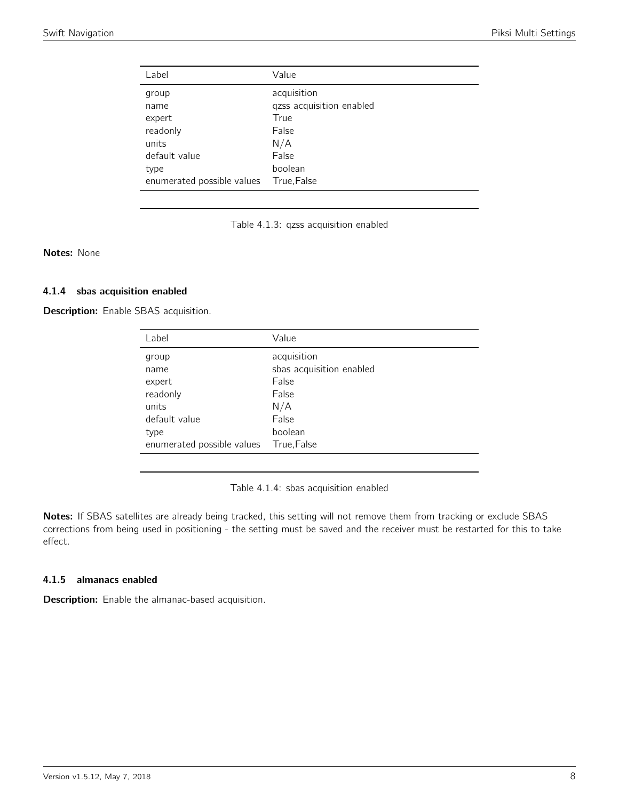<span id="page-7-0"></span>

| Label                      | Value                    |
|----------------------------|--------------------------|
| group                      | acquisition              |
| name                       | qzss acquisition enabled |
| expert                     | True                     |
| readonly                   | False                    |
| units                      | N/A                      |
| default value              | False                    |
| type                       | boolean                  |
| enumerated possible values | True, False              |



Notes: None

#### 4.1.4 sbas acquisition enabled

<span id="page-7-1"></span>Description: Enable SBAS acquisition.

| Value                    |
|--------------------------|
| acquisition              |
| sbas acquisition enabled |
| False                    |
| False                    |
| N/A                      |
| False                    |
| boolean                  |
| True, False              |
|                          |

Table 4.1.4: sbas acquisition enabled

Notes: If SBAS satellites are already being tracked, this setting will not remove them from tracking or exclude SBAS corrections from being used in positioning - the setting must be saved and the receiver must be restarted for this to take effect.

#### 4.1.5 almanacs enabled

Description: Enable the almanac-based acquisition.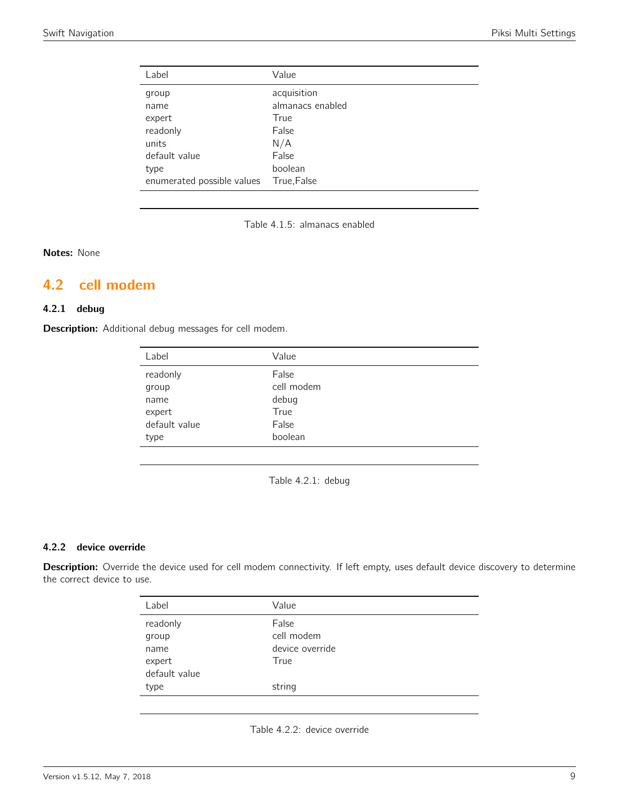| Label                      | Value            |
|----------------------------|------------------|
| group                      | acquisition      |
| name                       | almanacs enabled |
| expert                     | True             |
| readonly                   | False            |
| units                      | N/A              |
| default value              | False            |
| type                       | boolean          |
| enumerated possible values | True, False      |

Table 4.1.5: almanacs enabled

Notes: None

# <span id="page-8-0"></span>4.2 cell modem

### 4.2.1 debug

<span id="page-8-1"></span>Description: Additional debug messages for cell modem.

| Label         | Value      |
|---------------|------------|
| readonly      | False      |
| group         | cell modem |
| name          | debug      |
| expert        | True       |
| default value | False      |
| type          | boolean    |

Table 4.2.1: debug

#### 4.2.2 device override

<span id="page-8-2"></span>Description: Override the device used for cell modem connectivity. If left empty, uses default device discovery to determine the correct device to use.

| Label         | Value           |
|---------------|-----------------|
| readonly      | False           |
| group         | cell modem      |
| name          | device override |
| expert        | True            |
| default value |                 |
| type          | string          |
|               |                 |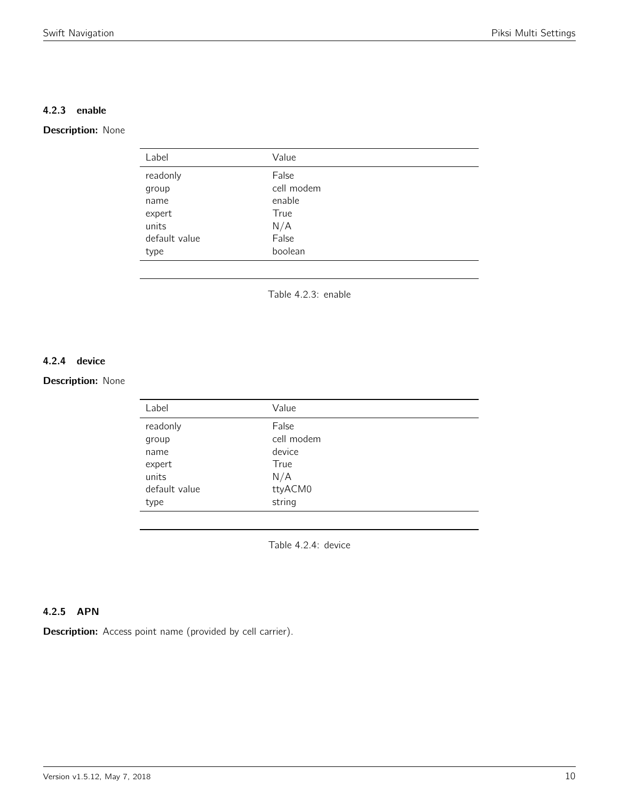#### 4.2.3 enable

#### <span id="page-9-0"></span>Description: None

| Label         | Value      |
|---------------|------------|
| readonly      | False      |
| group         | cell modem |
| name          | enable     |
| expert        | True       |
| units         | N/A        |
| default value | False      |
| type          | boolean    |
|               |            |

Table 4.2.3: enable

#### 4.2.4 device

#### <span id="page-9-1"></span>Description: None

| Label         | Value      |
|---------------|------------|
| readonly      | False      |
| group         | cell modem |
| name          | device     |
| expert        | True       |
| units         | N/A        |
| default value | ttyACM0    |
| type          | string     |
|               |            |

Table 4.2.4: device

#### 4.2.5 APN

Description: Access point name (provided by cell carrier).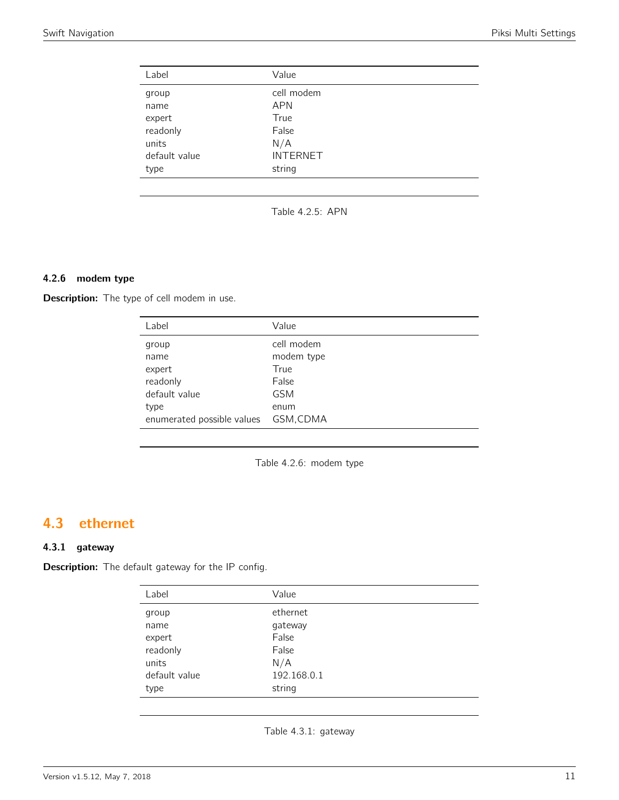<span id="page-10-0"></span>

| Label         | Value           |
|---------------|-----------------|
| group         | cell modem      |
| name          | <b>APN</b>      |
| expert        | True            |
| readonly      | False           |
| units         | N/A             |
| default value | <b>INTERNET</b> |
| type          | string          |

Table 4.2.5: APN

#### 4.2.6 modem type

Description: The type of cell modem in use.

| Label                      | Value      |
|----------------------------|------------|
| group                      | cell modem |
| name                       | modem type |
| expert                     | True       |
| readonly                   | False      |
| default value              | <b>GSM</b> |
| type                       | enum       |
| enumerated possible values | GSM, CDMA  |

Table 4.2.6: modem type

## <span id="page-10-1"></span>4.3 ethernet

#### 4.3.1 gateway

<span id="page-10-2"></span>Description: The default gateway for the IP config.

| Label         | Value       |
|---------------|-------------|
| group         | ethernet    |
| name          | gateway     |
| expert        | False       |
| readonly      | False       |
| units         | N/A         |
| default value | 192.168.0.1 |
| type          | string      |

Table 4.3.1: gateway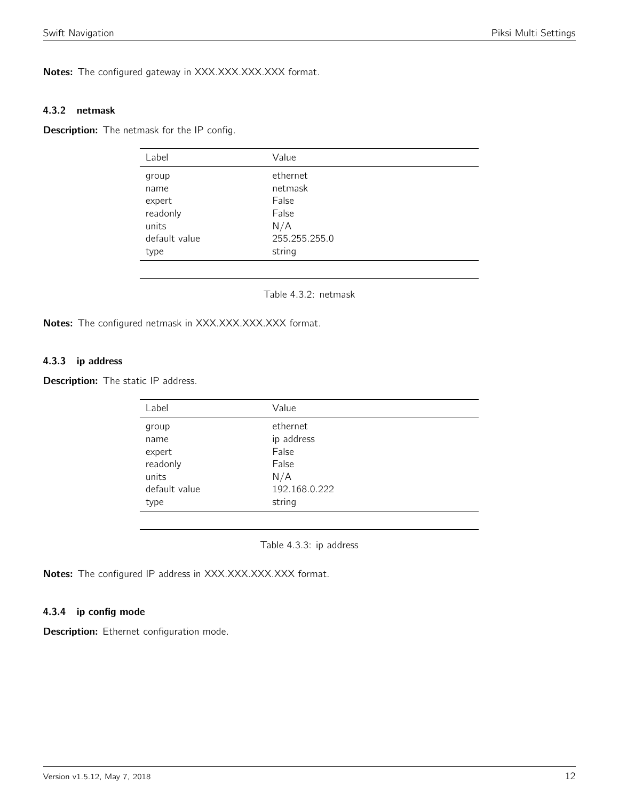Notes: The configured gateway in XXX.XXX.XXX.XXX format.

#### 4.3.2 netmask

<span id="page-11-0"></span>**Description:** The netmask for the IP config.

| Label         | Value         |  |
|---------------|---------------|--|
| group         | ethernet      |  |
| name          | netmask       |  |
| expert        | False         |  |
| readonly      | False         |  |
| units         | N/A           |  |
| default value | 255.255.255.0 |  |
| type          | string        |  |
|               |               |  |

Table 4.3.2: netmask

Notes: The configured netmask in XXX.XXX.XXX.XXX format.

#### 4.3.3 ip address

<span id="page-11-1"></span>Description: The static IP address.

| Value         |
|---------------|
| ethernet      |
| ip address    |
| False         |
| False         |
| N/A           |
| 192.168.0.222 |
| string        |
|               |

Table 4.3.3: ip address

Notes: The configured IP address in XXX.XXX.XXX.XXX format.

#### 4.3.4 ip config mode

Description: Ethernet configuration mode.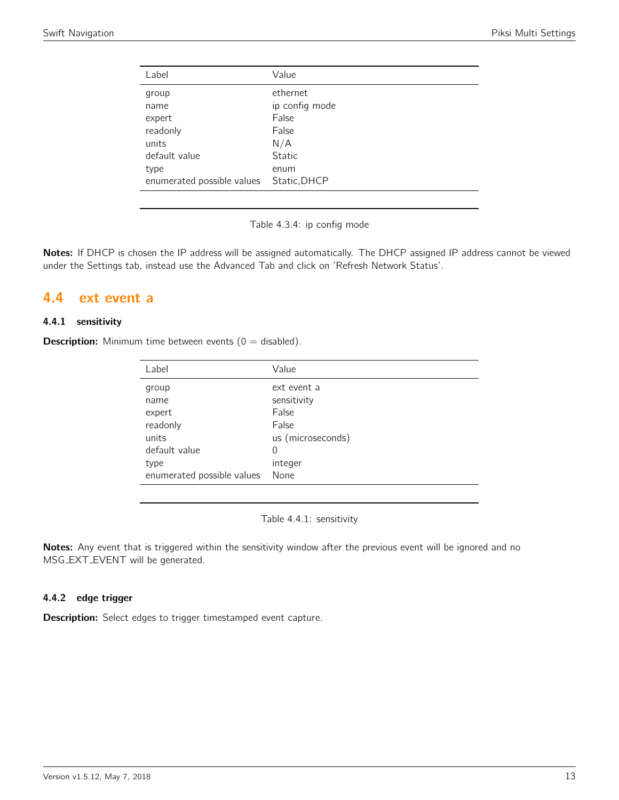| Label                      | Value          |
|----------------------------|----------------|
| group                      | ethernet       |
| name                       | ip config mode |
| expert                     | False          |
| readonly                   | False          |
| units                      | N/A            |
| default value              | <b>Static</b>  |
| type                       | enum           |
| enumerated possible values | Static, DHCP   |
|                            |                |

Table 4.3.4: ip config mode

Notes: If DHCP is chosen the IP address will be assigned automatically. The DHCP assigned IP address cannot be viewed under the Settings tab, instead use the Advanced Tab and click on 'Refresh Network Status'.

### <span id="page-12-0"></span>4.4 ext event a

#### 4.4.1 sensitivity

<span id="page-12-1"></span>**Description:** Minimum time between events ( $0 =$  disabled).

| Label                      | Value             |
|----------------------------|-------------------|
| group                      | ext event a       |
| name                       | sensitivity       |
| expert                     | False             |
| readonly                   | False             |
| units                      | us (microseconds) |
| default value              | 0                 |
| type                       | integer           |
| enumerated possible values | None              |

Table 4.4.1: sensitivity

Notes: Any event that is triggered within the sensitivity window after the previous event will be ignored and no MSG EXT EVENT will be generated.

#### 4.4.2 edge trigger

Description: Select edges to trigger timestamped event capture.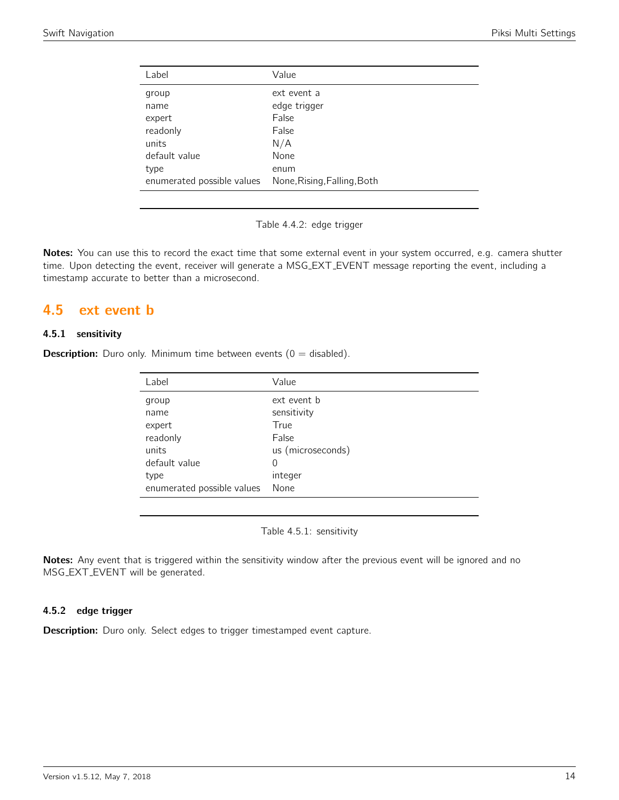| Value                       |
|-----------------------------|
| ext event a                 |
| edge trigger                |
| False                       |
| False                       |
| N/A                         |
| None                        |
| enum                        |
| None, Rising, Falling, Both |
|                             |

Table 4.4.2: edge trigger

Notes: You can use this to record the exact time that some external event in your system occurred, e.g. camera shutter time. Upon detecting the event, receiver will generate a MSG EXT EVENT message reporting the event, including a timestamp accurate to better than a microsecond.

## <span id="page-13-0"></span>4.5 ext event b

#### 4.5.1 sensitivity

<span id="page-13-1"></span>**Description:** Duro only. Minimum time between events  $(0 = \text{disabled})$ .

| Value             |
|-------------------|
| ext event b       |
| sensitivity       |
| True              |
| False             |
| us (microseconds) |
| 0                 |
| integer           |
| None              |
|                   |

Table 4.5.1: sensitivity

Notes: Any event that is triggered within the sensitivity window after the previous event will be ignored and no MSG EXT EVENT will be generated.

#### 4.5.2 edge trigger

**Description:** Duro only. Select edges to trigger timestamped event capture.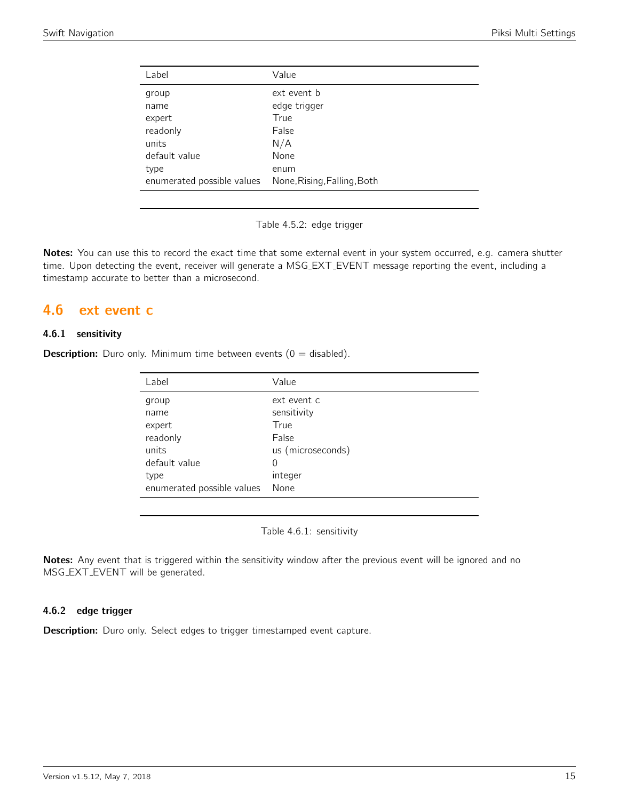| Value                       |
|-----------------------------|
| ext event b                 |
| edge trigger                |
| True                        |
| False                       |
| N/A                         |
| None                        |
| enum                        |
| None, Rising, Falling, Both |
|                             |

Table 4.5.2: edge trigger

Notes: You can use this to record the exact time that some external event in your system occurred, e.g. camera shutter time. Upon detecting the event, receiver will generate a MSG EXT EVENT message reporting the event, including a timestamp accurate to better than a microsecond.

## <span id="page-14-0"></span>4.6 ext event c

#### 4.6.1 sensitivity

<span id="page-14-1"></span>**Description:** Duro only. Minimum time between events  $(0 = \text{disabled})$ .

| Value             |
|-------------------|
| ext event c       |
| sensitivity       |
| True              |
| False             |
| us (microseconds) |
| 0                 |
| integer           |
| None              |
|                   |

Table 4.6.1: sensitivity

Notes: Any event that is triggered within the sensitivity window after the previous event will be ignored and no MSG EXT EVENT will be generated.

#### 4.6.2 edge trigger

**Description:** Duro only. Select edges to trigger timestamped event capture.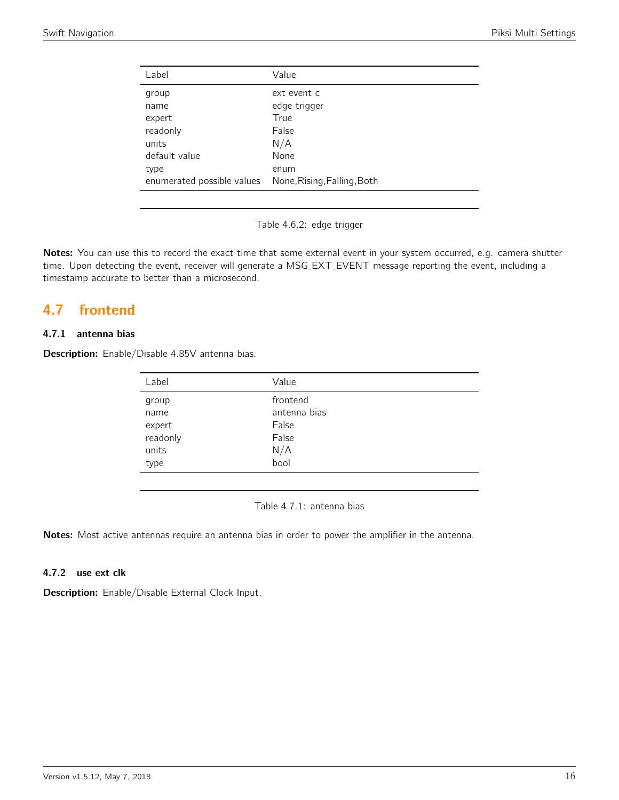| Value                       |
|-----------------------------|
| ext event c                 |
| edge trigger                |
| True                        |
| False                       |
| N/A                         |
| None                        |
| enum                        |
| None, Rising, Falling, Both |
|                             |

Table 4.6.2: edge trigger

Notes: You can use this to record the exact time that some external event in your system occurred, e.g. camera shutter time. Upon detecting the event, receiver will generate a MSG EXT EVENT message reporting the event, including a timestamp accurate to better than a microsecond.

## <span id="page-15-0"></span>4.7 frontend

#### 4.7.1 antenna bias

<span id="page-15-1"></span>Description: Enable/Disable 4.85V antenna bias.

| Label    | Value        |
|----------|--------------|
| group    | frontend     |
| name     | antenna bias |
| expert   | False        |
| readonly | False        |
| units    | N/A          |
| type     | bool         |

Table 4.7.1: antenna bias

Notes: Most active antennas require an antenna bias in order to power the amplifier in the antenna.

#### 4.7.2 use ext clk

Description: Enable/Disable External Clock Input.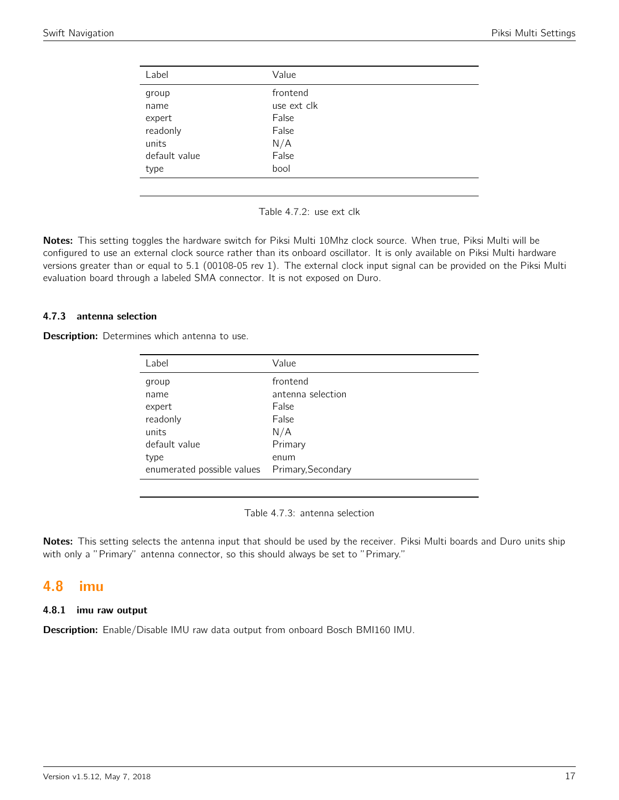<span id="page-16-0"></span>

| Label         | Value       |  |
|---------------|-------------|--|
| group         | frontend    |  |
| name          | use ext clk |  |
| expert        | False       |  |
| readonly      | False       |  |
| units         | N/A         |  |
| default value | False       |  |
| type          | bool        |  |
|               |             |  |

Table 4.7.2: use ext clk

Notes: This setting toggles the hardware switch for Piksi Multi 10Mhz clock source. When true, Piksi Multi will be configured to use an external clock source rather than its onboard oscillator. It is only available on Piksi Multi hardware versions greater than or equal to 5.1 (00108-05 rev 1). The external clock input signal can be provided on the Piksi Multi evaluation board through a labeled SMA connector. It is not exposed on Duro.

#### 4.7.3 antenna selection

**Description:** Determines which antenna to use.

| Label                                          | Value             |
|------------------------------------------------|-------------------|
| group                                          | frontend          |
| name                                           | antenna selection |
| expert                                         | False             |
| readonly                                       | False             |
| units                                          | N/A               |
| default value                                  | Primary           |
| type                                           | enum              |
| enumerated possible values  Primary, Secondary |                   |
|                                                |                   |

Table 4.7.3: antenna selection

Notes: This setting selects the antenna input that should be used by the receiver. Piksi Multi boards and Duro units ship with only a "Primary" antenna connector, so this should always be set to "Primary."

## <span id="page-16-1"></span>4.8 imu

#### 4.8.1 imu raw output

Description: Enable/Disable IMU raw data output from onboard Bosch BMI160 IMU.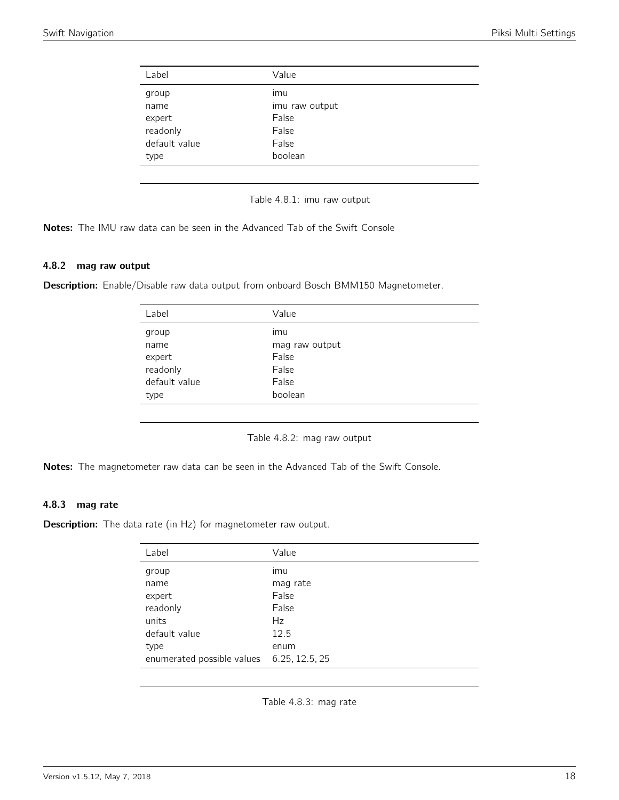<span id="page-17-0"></span>

| Label         | Value          |
|---------------|----------------|
| group         | imu            |
| name          | imu raw output |
| expert        | False          |
| readonly      | False          |
| default value | False          |
| type          | boolean        |
|               |                |

Table 4.8.1: imu raw output

Notes: The IMU raw data can be seen in the Advanced Tab of the Swift Console

#### 4.8.2 mag raw output

<span id="page-17-1"></span>Description: Enable/Disable raw data output from onboard Bosch BMM150 Magnetometer.

| Label         | Value          |
|---------------|----------------|
| group         | ımu            |
| name          | mag raw output |
| expert        | False          |
| readonly      | False          |
| default value | False          |
| type          | boolean        |
|               |                |

Table 4.8.2: mag raw output

Notes: The magnetometer raw data can be seen in the Advanced Tab of the Swift Console.

#### 4.8.3 mag rate

<span id="page-17-2"></span>**Description:** The data rate (in Hz) for magnetometer raw output.

| Label                                     | Value    |
|-------------------------------------------|----------|
| group                                     | ımu      |
| name                                      | mag rate |
| expert                                    | False    |
| readonly                                  | False    |
| units                                     | Hz       |
| default value                             | 12.5     |
| type                                      | enum     |
| enumerated possible values 6.25, 12.5, 25 |          |

Table 4.8.3: mag rate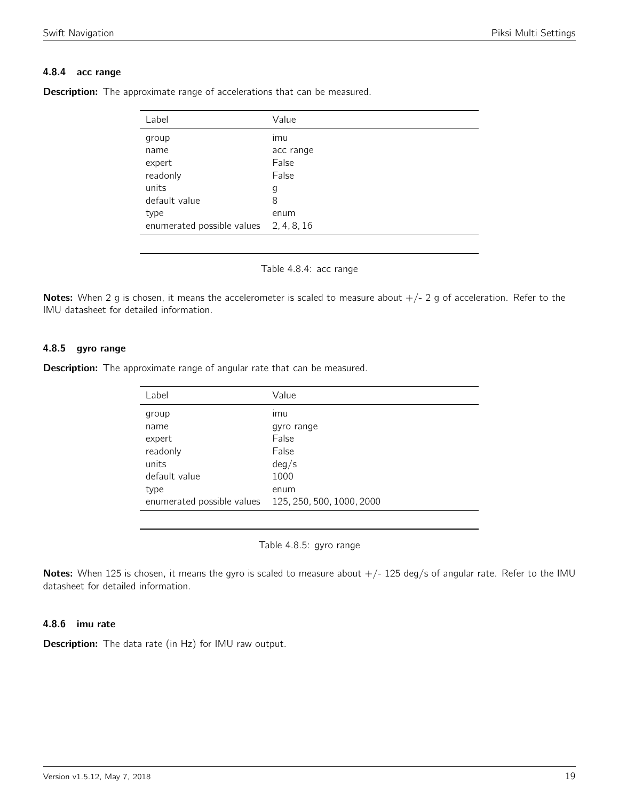#### 4.8.4 acc range

| Label                                  | Value     |
|----------------------------------------|-----------|
| group                                  | ımu       |
| name                                   | acc range |
| expert                                 | False     |
| readonly                               | False     |
| units                                  | g         |
| default value                          | 8         |
| type                                   | enum      |
| enumerated possible values 2, 4, 8, 16 |           |

<span id="page-18-0"></span>**Description:** The approximate range of accelerations that can be measured.

Table 4.8.4: acc range

Notes: When 2 g is chosen, it means the accelerometer is scaled to measure about  $+/- 2$  g of acceleration. Refer to the IMU datasheet for detailed information.

#### 4.8.5 gyro range

<span id="page-18-1"></span>**Description:** The approximate range of angular rate that can be measured.

| Label                      | Value                     |
|----------------------------|---------------------------|
| group                      | ımu                       |
| name                       | gyro range                |
| expert                     | False                     |
| readonly                   | False                     |
| units                      | deg/s                     |
| default value              | 1000                      |
| type                       | enum                      |
| enumerated possible values | 125, 250, 500, 1000, 2000 |
|                            |                           |

Table 4.8.5: gyro range

Notes: When 125 is chosen, it means the gyro is scaled to measure about  $+/- 125$  deg/s of angular rate. Refer to the IMU datasheet for detailed information.

#### 4.8.6 imu rate

Description: The data rate (in Hz) for IMU raw output.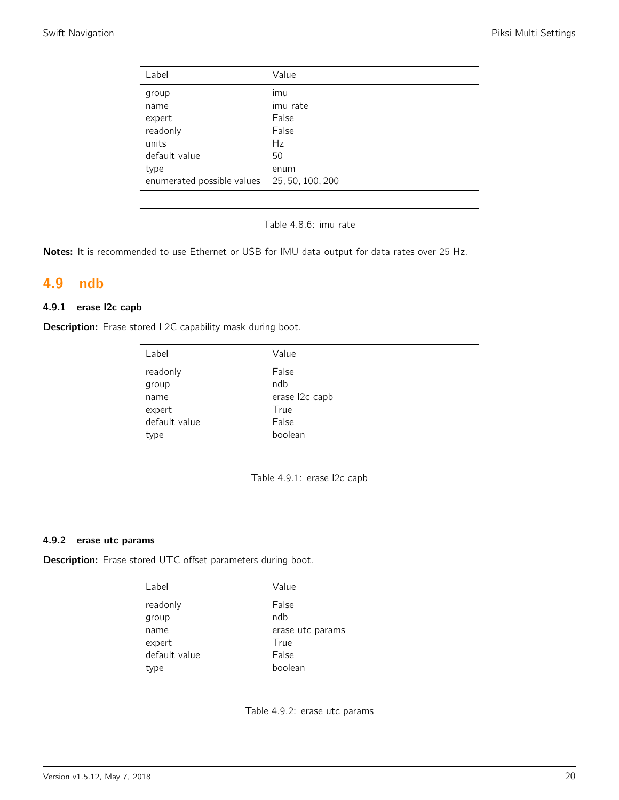| Label                                       | Value    |
|---------------------------------------------|----------|
| group                                       | imu      |
| name                                        | imu rate |
| expert                                      | False    |
| readonly                                    | False    |
| units                                       | Hz       |
| default value                               | 50       |
| type                                        | enum     |
| enumerated possible values 25, 50, 100, 200 |          |

Table 4.8.6: imu rate

Notes: It is recommended to use Ethernet or USB for IMU data output for data rates over 25 Hz.

### <span id="page-19-0"></span>4.9 ndb

#### 4.9.1 erase l2c capb

<span id="page-19-1"></span>Description: Erase stored L2C capability mask during boot.

| Label         | Value          |
|---------------|----------------|
| readonly      | False          |
| group         | ndb            |
| name          | erase l2c capb |
| expert        | True           |
| default value | False          |
| type          | boolean        |

Table 4.9.1: erase l2c capb

#### 4.9.2 erase utc params

<span id="page-19-2"></span>Description: Erase stored UTC offset parameters during boot.

| Value            |
|------------------|
| False            |
| ndb              |
| erase utc params |
| True             |
| False            |
| boolean          |
|                  |

Table 4.9.2: erase utc params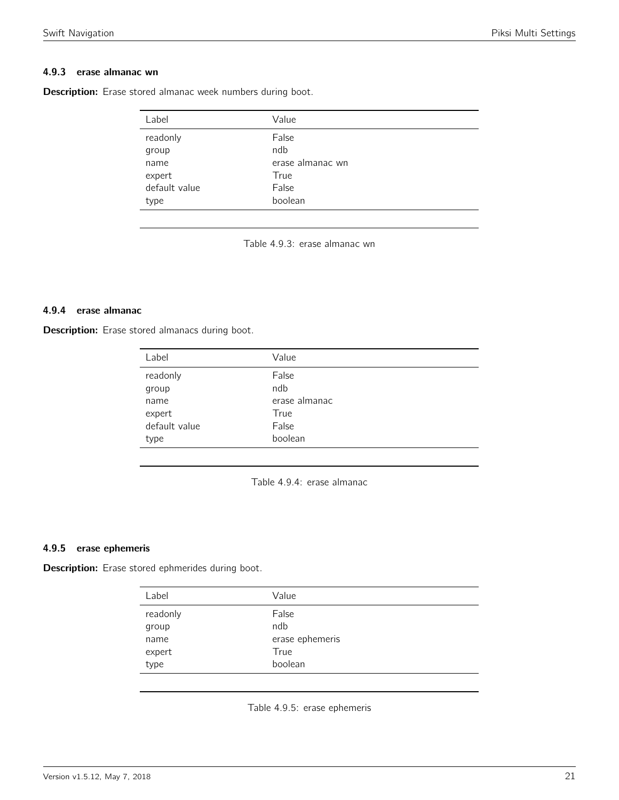#### 4.9.3 erase almanac wn

<span id="page-20-0"></span>Description: Erase stored almanac week numbers during boot.

| Label         | Value            |
|---------------|------------------|
| readonly      | False            |
| group         | ndb              |
| name          | erase almanac wn |
| expert        | True             |
| default value | False            |
| type          | boolean          |
|               |                  |

Table 4.9.3: erase almanac wn

#### 4.9.4 erase almanac

<span id="page-20-1"></span>Description: Erase stored almanacs during boot.

| Label         | Value         |
|---------------|---------------|
| readonly      | False         |
| group         | ndb           |
| name          | erase almanac |
| expert        | True          |
| default value | False         |
| type          | boolean       |

Table 4.9.4: erase almanac

#### 4.9.5 erase ephemeris

<span id="page-20-2"></span>Description: Erase stored ephmerides during boot.

| Label             | Value           |
|-------------------|-----------------|
| readonly<br>group | False<br>ndb    |
| name              | erase ephemeris |
| expert            | True            |
| type              | boolean         |
|                   |                 |

Table 4.9.5: erase ephemeris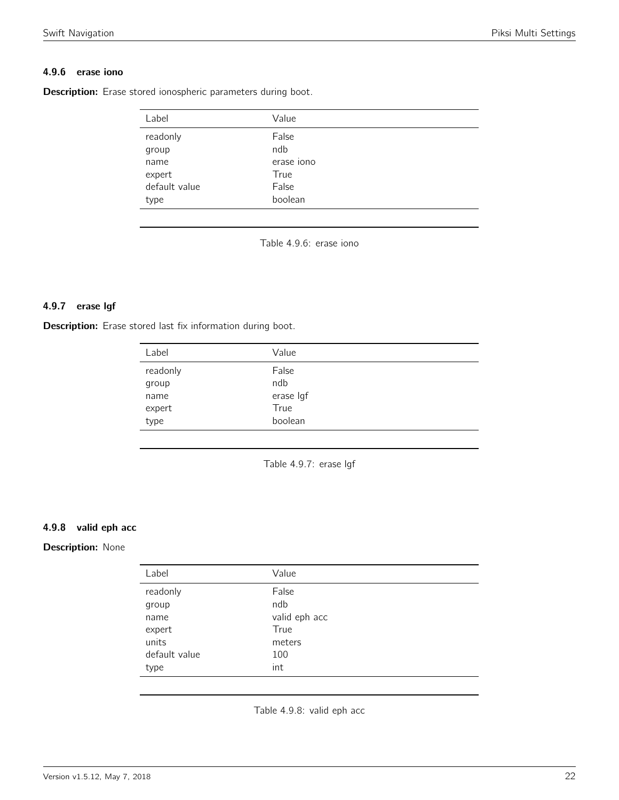#### 4.9.6 erase iono

<span id="page-21-0"></span>Description: Erase stored ionospheric parameters during boot.

| Label         | Value      |  |
|---------------|------------|--|
| readonly      | False      |  |
| group         | ndb        |  |
| name          | erase iono |  |
| expert        | True       |  |
| default value | False      |  |
| type          | boolean    |  |

Table 4.9.6: erase iono

#### 4.9.7 erase lgf

<span id="page-21-1"></span>Description: Erase stored last fix information during boot.

| readonly<br>False |           |
|-------------------|-----------|
| ndb<br>group      |           |
| name              | erase Igf |
| True<br>expert    |           |
| type              | boolean   |

Table 4.9.7: erase lgf

#### 4.9.8 valid eph acc

#### <span id="page-21-2"></span>Description: None

| Label         | Value         |
|---------------|---------------|
| readonly      | False         |
| group         | ndb           |
| name          | valid eph acc |
| expert        | True          |
| units         | meters        |
| default value | 100           |
| type          | int           |

Table 4.9.8: valid eph acc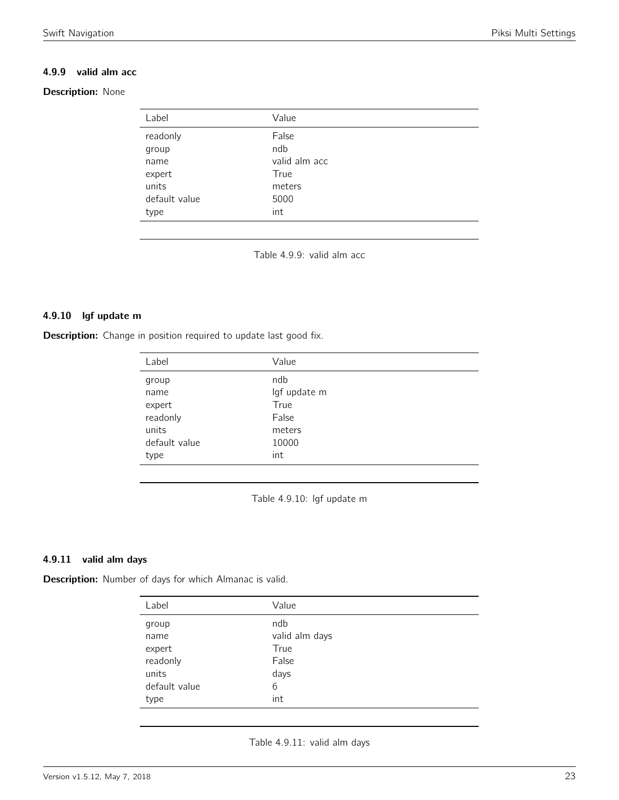#### 4.9.9 valid alm acc

#### <span id="page-22-0"></span>Description: None

| Label         | Value         |
|---------------|---------------|
| readonly      | False         |
| group         | ndb           |
| name          | valid alm acc |
| expert        | True          |
| units         | meters        |
| default value | 5000          |
| type          | int           |

Table 4.9.9: valid alm acc

#### 4.9.10 lgf update m

<span id="page-22-1"></span>**Description:** Change in position required to update last good fix.

| Label         | Value        |
|---------------|--------------|
| group         | ndb          |
| name          | lgf update m |
| expert        | True         |
| readonly      | False        |
| units         | meters       |
| default value | 10000        |
| type          | int          |

Table 4.9.10: lgf update m

#### 4.9.11 valid alm days

<span id="page-22-2"></span>Description: Number of days for which Almanac is valid.

| Label         | Value          |
|---------------|----------------|
| group         | ndb            |
| name          | valid alm days |
| expert        | True           |
| readonly      | False          |
| units         | days           |
| default value | 6              |
| type          | int            |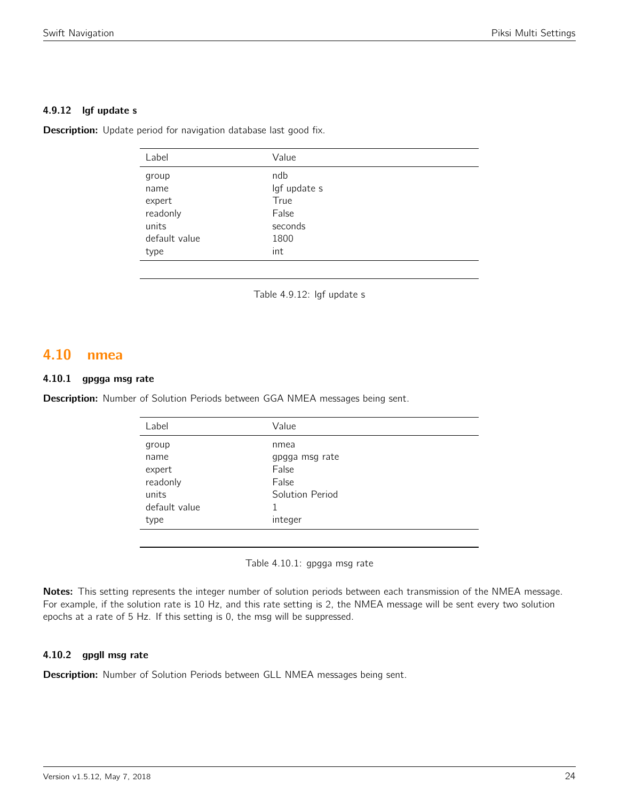#### 4.9.12 lgf update s

**Description:** Update period for navigation database last good fix.

| Label         | Value        |
|---------------|--------------|
| group         | ndb          |
| name          | lgf update s |
| expert        | True         |
| readonly      | False        |
| units         | seconds      |
| default value | 1800         |
| type          | int          |
|               |              |

Table 4.9.12: lgf update s

### <span id="page-23-0"></span>4.10 nmea

#### 4.10.1 gpgga msg rate

<span id="page-23-1"></span>Description: Number of Solution Periods between GGA NMEA messages being sent.

| Label         | Value           |
|---------------|-----------------|
| group         | nmea            |
| name          | gpgga msg rate  |
| expert        | False           |
| readonly      | False           |
| units         | Solution Period |
| default value |                 |
| type          | integer         |
|               |                 |

Table 4.10.1: gpgga msg rate

Notes: This setting represents the integer number of solution periods between each transmission of the NMEA message. For example, if the solution rate is 10 Hz, and this rate setting is 2, the NMEA message will be sent every two solution epochs at a rate of 5 Hz. If this setting is 0, the msg will be suppressed.

#### 4.10.2 gpgll msg rate

Description: Number of Solution Periods between GLL NMEA messages being sent.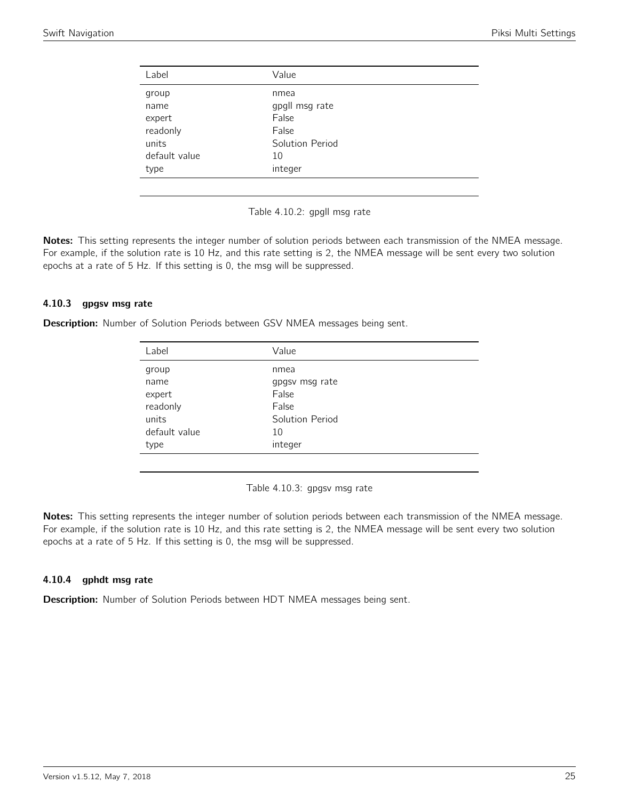<span id="page-24-0"></span>

| Label         | Value           |
|---------------|-----------------|
| group         | nmea            |
| name          | gpgll msg rate  |
| expert        | False           |
| readonly      | False           |
| units         | Solution Period |
| default value | 10              |
| type          | integer         |
|               |                 |

Table 4.10.2: gpgll msg rate

Notes: This setting represents the integer number of solution periods between each transmission of the NMEA message. For example, if the solution rate is 10 Hz, and this rate setting is 2, the NMEA message will be sent every two solution epochs at a rate of 5 Hz. If this setting is 0, the msg will be suppressed.

#### 4.10.3 gpgsv msg rate

<span id="page-24-1"></span>Description: Number of Solution Periods between GSV NMEA messages being sent.

| Label         | Value           |  |
|---------------|-----------------|--|
| group         | nmea            |  |
| name          | gpgsv msg rate  |  |
| expert        | False           |  |
| readonly      | False           |  |
| units         | Solution Period |  |
| default value | 10              |  |
| type          | integer         |  |
|               |                 |  |

Table 4.10.3: gpgsv msg rate

Notes: This setting represents the integer number of solution periods between each transmission of the NMEA message. For example, if the solution rate is 10 Hz, and this rate setting is 2, the NMEA message will be sent every two solution epochs at a rate of 5 Hz. If this setting is 0, the msg will be suppressed.

#### 4.10.4 gphdt msg rate

Description: Number of Solution Periods between HDT NMEA messages being sent.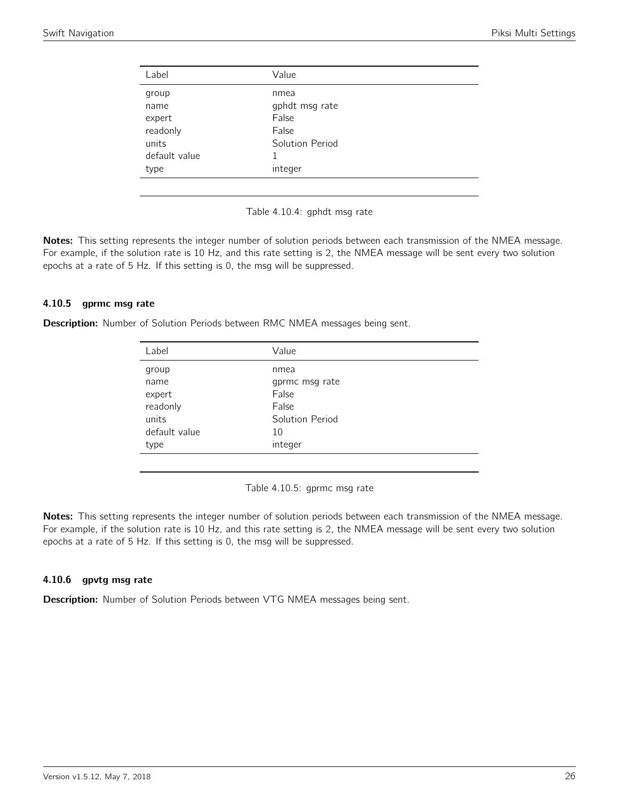<span id="page-25-0"></span>

| Label         | Value           |
|---------------|-----------------|
| group         | nmea            |
| name          | gphdt msg rate  |
| expert        | False           |
| readonly      | False           |
| units         | Solution Period |
| default value |                 |
| type          | integer         |
|               |                 |

Table 4.10.4: gphdt msg rate

Notes: This setting represents the integer number of solution periods between each transmission of the NMEA message. For example, if the solution rate is 10 Hz, and this rate setting is 2, the NMEA message will be sent every two solution epochs at a rate of 5 Hz. If this setting is 0, the msg will be suppressed.

#### 4.10.5 gprmc msg rate

<span id="page-25-1"></span>Description: Number of Solution Periods between RMC NMEA messages being sent.

| Label         | Value           |  |
|---------------|-----------------|--|
| group         | nmea            |  |
| name          | gprmc msg rate  |  |
| expert        | False           |  |
| readonly      | False           |  |
| units         | Solution Period |  |
| default value | 10              |  |
| type          | integer         |  |
|               |                 |  |

Table 4.10.5: gprmc msg rate

Notes: This setting represents the integer number of solution periods between each transmission of the NMEA message. For example, if the solution rate is 10 Hz, and this rate setting is 2, the NMEA message will be sent every two solution epochs at a rate of 5 Hz. If this setting is 0, the msg will be suppressed.

#### 4.10.6 gpvtg msg rate

Description: Number of Solution Periods between VTG NMEA messages being sent.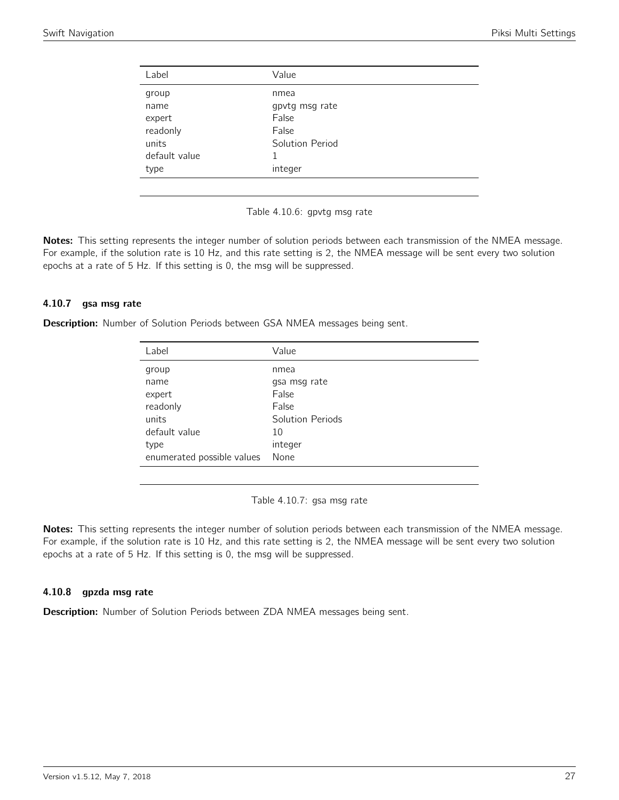<span id="page-26-0"></span>

| nmea            |
|-----------------|
| gpvtg msg rate  |
| False           |
| False           |
| Solution Period |
|                 |
| integer         |
|                 |

Table 4.10.6: gpvtg msg rate

Notes: This setting represents the integer number of solution periods between each transmission of the NMEA message. For example, if the solution rate is 10 Hz, and this rate setting is 2, the NMEA message will be sent every two solution epochs at a rate of 5 Hz. If this setting is 0, the msg will be suppressed.

#### 4.10.7 gsa msg rate

<span id="page-26-1"></span>Description: Number of Solution Periods between GSA NMEA messages being sent.

| Label                      | Value            |
|----------------------------|------------------|
| group                      | nmea             |
| name                       | gsa msg rate     |
| expert                     | False            |
| readonly                   | False            |
| units                      | Solution Periods |
| default value              | 10               |
| type                       | integer          |
| enumerated possible values | None             |

Table 4.10.7: gsa msg rate

Notes: This setting represents the integer number of solution periods between each transmission of the NMEA message. For example, if the solution rate is 10 Hz, and this rate setting is 2, the NMEA message will be sent every two solution epochs at a rate of 5 Hz. If this setting is 0, the msg will be suppressed.

#### 4.10.8 gpzda msg rate

Description: Number of Solution Periods between ZDA NMEA messages being sent.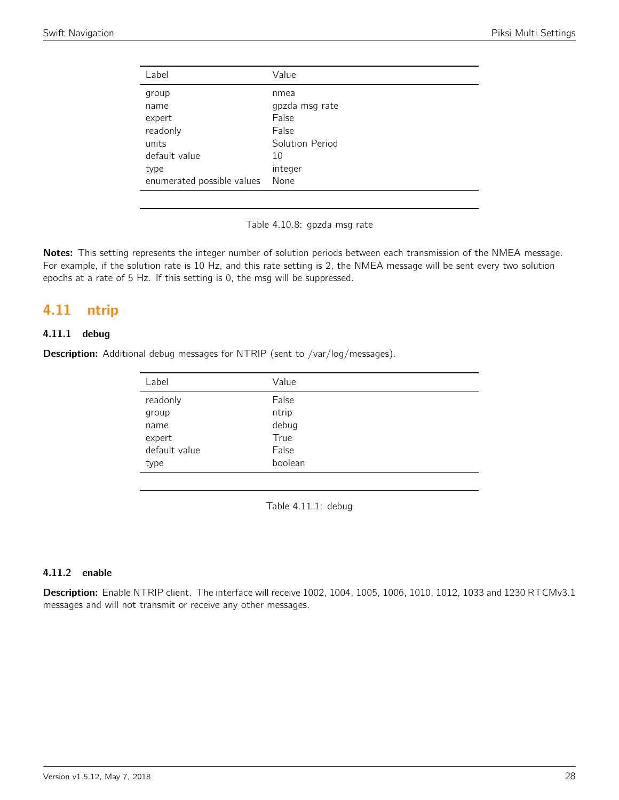| Label                      | Value           |
|----------------------------|-----------------|
| group                      | nmea            |
| name                       | gpzda msg rate  |
| expert                     | False           |
| readonly                   | False           |
| units                      | Solution Period |
| default value              | 10              |
| type                       | integer         |
| enumerated possible values | None            |

Table 4.10.8: gpzda msg rate

Notes: This setting represents the integer number of solution periods between each transmission of the NMEA message. For example, if the solution rate is 10 Hz, and this rate setting is 2, the NMEA message will be sent every two solution epochs at a rate of 5 Hz. If this setting is 0, the msg will be suppressed.

## <span id="page-27-0"></span>4.11 ntrip

#### 4.11.1 debug

<span id="page-27-1"></span>**Description:** Additional debug messages for NTRIP (sent to /var/log/messages).

| Value   |
|---------|
| False   |
| ntrip   |
| debug   |
| True    |
| False   |
| boolean |
|         |

Table 4.11.1: debug

#### 4.11.2 enable

Description: Enable NTRIP client. The interface will receive 1002, 1004, 1005, 1006, 1010, 1012, 1033 and 1230 RTCMv3.1 messages and will not transmit or receive any other messages.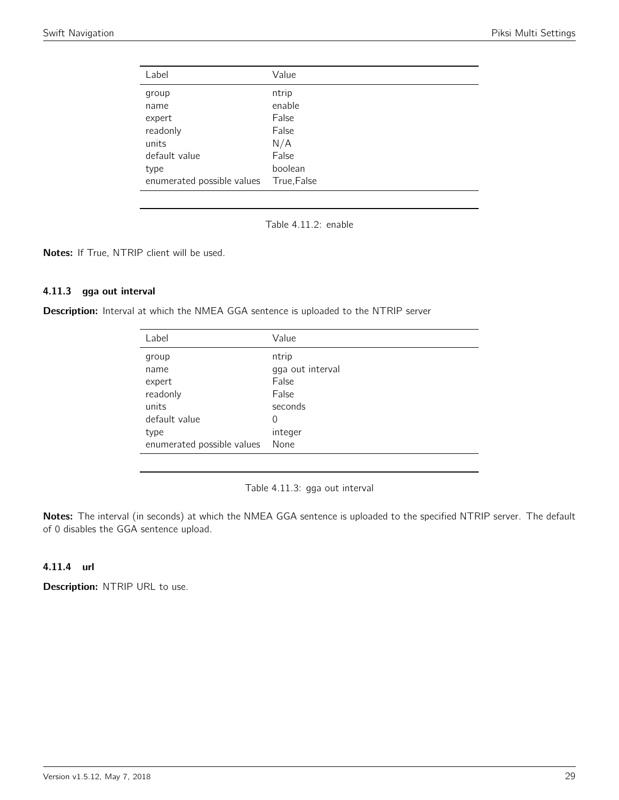<span id="page-28-0"></span>

| Label                      | Value       |
|----------------------------|-------------|
| group                      | ntrip       |
| name                       | enable      |
| expert                     | False       |
| readonly                   | False       |
| units                      | N/A         |
| default value              | False       |
| type                       | boolean     |
| enumerated possible values | True, False |

Table 4.11.2: enable

Notes: If True, NTRIP client will be used.

#### 4.11.3 gga out interval

<span id="page-28-1"></span>Description: Interval at which the NMEA GGA sentence is uploaded to the NTRIP server

| Value                              |
|------------------------------------|
| ntrip                              |
| gga out interval                   |
| False                              |
| False                              |
| seconds                            |
| 0                                  |
| integer                            |
| None<br>enumerated possible values |
|                                    |

Table 4.11.3: gga out interval

Notes: The interval (in seconds) at which the NMEA GGA sentence is uploaded to the specified NTRIP server. The default of 0 disables the GGA sentence upload.

#### 4.11.4 url

Description: NTRIP URL to use.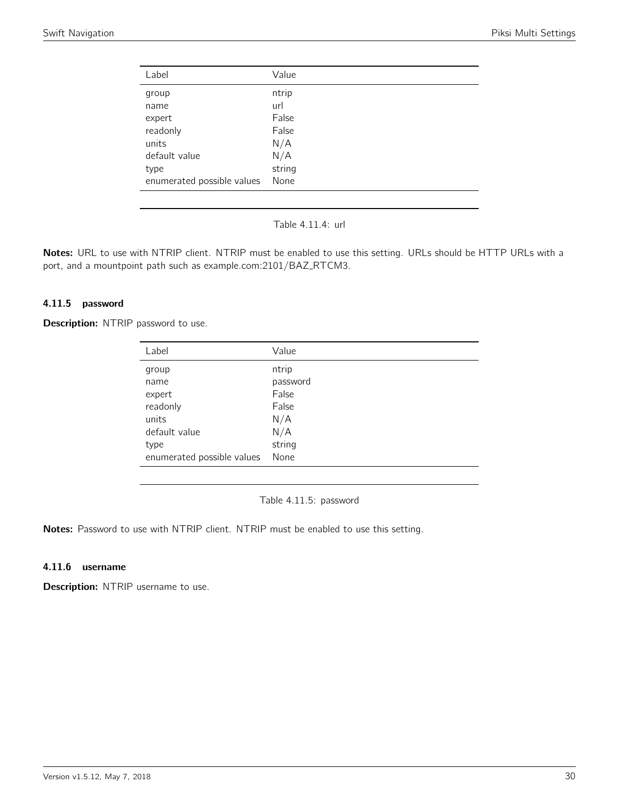<span id="page-29-0"></span>

| Label                      | Value  |
|----------------------------|--------|
|                            |        |
| group                      | ntrip  |
| name                       | url    |
| expert                     | False  |
| readonly                   | False  |
| units                      | N/A    |
| default value              | N/A    |
| type                       | string |
| enumerated possible values | None   |
|                            |        |

Table 4.11.4: url

Notes: URL to use with NTRIP client. NTRIP must be enabled to use this setting. URLs should be HTTP URLs with a port, and a mountpoint path such as example.com: 2101/BAZ\_RTCM3.

#### 4.11.5 password

<span id="page-29-1"></span>Description: NTRIP password to use.

| Label                      | Value    |
|----------------------------|----------|
| group                      | ntrip    |
| name                       | password |
| expert                     | False    |
| readonly                   | False    |
| units                      | N/A      |
| default value              | N/A      |
| type                       | string   |
| enumerated possible values | None     |

Table 4.11.5: password

Notes: Password to use with NTRIP client. NTRIP must be enabled to use this setting.

#### 4.11.6 username

Description: NTRIP username to use.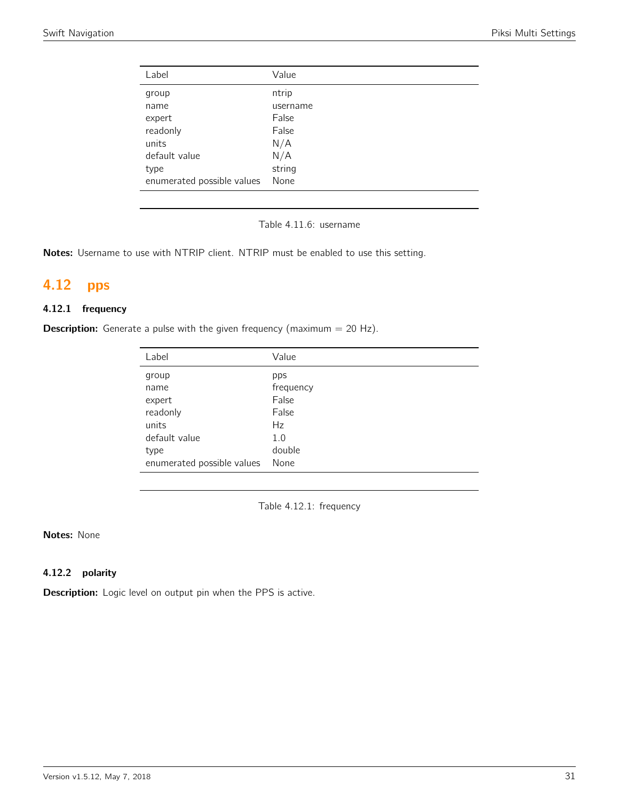| Label                      | Value    |
|----------------------------|----------|
| group                      | ntrip    |
| name                       | username |
| expert                     | False    |
| readonly                   | False    |
| units                      | N/A      |
| default value              | N/A      |
| type                       | string   |
| enumerated possible values | None     |

Table 4.11.6: username

Notes: Username to use with NTRIP client. NTRIP must be enabled to use this setting.

# <span id="page-30-0"></span>4.12 pps

#### 4.12.1 frequency

<span id="page-30-1"></span>**Description:** Generate a pulse with the given frequency (maximum  $= 20$  Hz).

| Label                      | Value     |
|----------------------------|-----------|
| group                      | pps       |
| name                       | frequency |
| expert                     | False     |
| readonly                   | False     |
| units                      | Hz        |
| default value              | 1.0       |
| type                       | double    |
| enumerated possible values | None      |
|                            |           |

Table 4.12.1: frequency

Notes: None

#### 4.12.2 polarity

Description: Logic level on output pin when the PPS is active.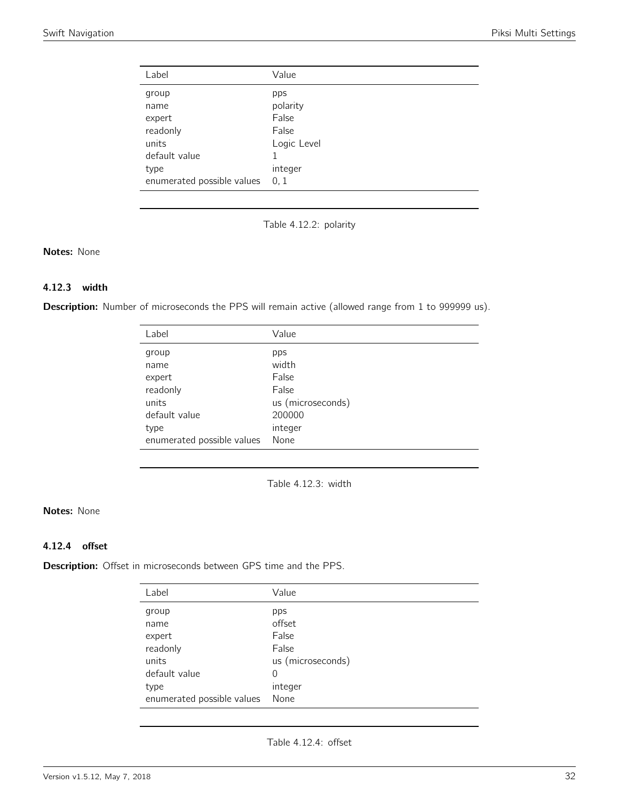<span id="page-31-0"></span>

| Label                      | Value       |
|----------------------------|-------------|
| group                      | pps         |
| name                       | polarity    |
| expert                     | False       |
| readonly                   | False       |
| units<br>default value     | Logic Level |
| type                       | integer     |
| enumerated possible values | 0, 1        |

Table 4.12.2: polarity

#### Notes: None

#### 4.12.3 width

<span id="page-31-1"></span>Description: Number of microseconds the PPS will remain active (allowed range from 1 to 999999 us).

| Label                      | Value             |
|----------------------------|-------------------|
| group                      | pps               |
| name                       | width             |
| expert                     | False             |
| readonly                   | False             |
| units                      | us (microseconds) |
| default value              | 200000            |
| type                       | integer           |
| enumerated possible values | None              |

Table 4.12.3: width

#### Notes: None

#### 4.12.4 offset

Description: Offset in microseconds between GPS time and the PPS.

| Label                      | Value             |
|----------------------------|-------------------|
| group                      | pps               |
| name                       | offset            |
| expert                     | False             |
| readonly                   | False             |
| units                      | us (microseconds) |
| default value              | 0                 |
| type                       | integer           |
| enumerated possible values | None              |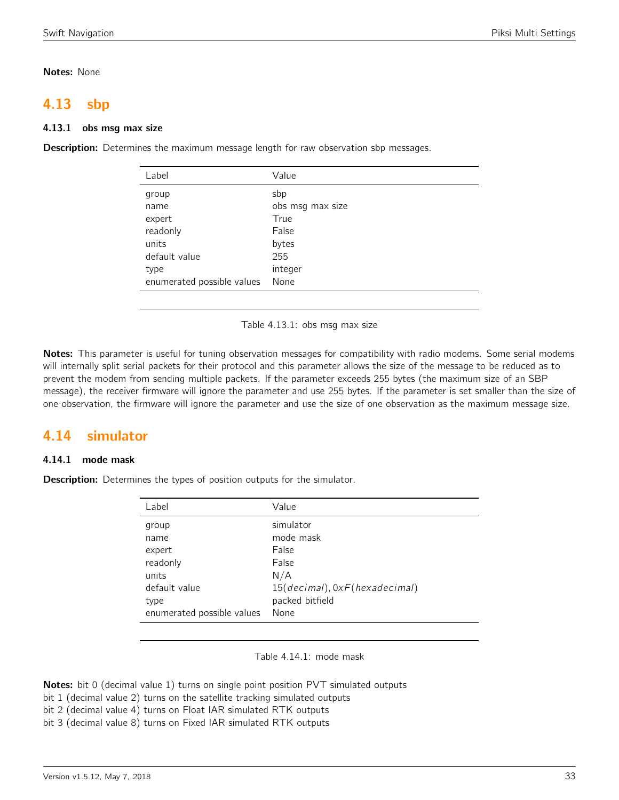#### Notes: None

## <span id="page-32-0"></span>4.13 sbp

#### 4.13.1 obs msg max size

**Description:** Determines the maximum message length for raw observation sbp messages.

| Label                      | Value            |
|----------------------------|------------------|
| group                      | sbp              |
| name                       | obs msg max size |
| expert                     | True             |
| readonly                   | False            |
| units                      | bytes            |
| default value              | 255              |
| type                       | integer          |
| enumerated possible values | None             |
|                            |                  |

Table 4.13.1: obs msg max size

Notes: This parameter is useful for tuning observation messages for compatibility with radio modems. Some serial modems will internally split serial packets for their protocol and this parameter allows the size of the message to be reduced as to prevent the modem from sending multiple packets. If the parameter exceeds 255 bytes (the maximum size of an SBP message), the receiver firmware will ignore the parameter and use 255 bytes. If the parameter is set smaller than the size of one observation, the firmware will ignore the parameter and use the size of one observation as the maximum message size.

## <span id="page-32-1"></span>4.14 simulator

#### 4.14.1 mode mask

<span id="page-32-2"></span>**Description:** Determines the types of position outputs for the simulator.

| Label                                                                 | Value                                                                                               |
|-----------------------------------------------------------------------|-----------------------------------------------------------------------------------------------------|
| group<br>name<br>expert<br>readonly<br>units<br>default value<br>type | simulator<br>mode mask<br>False<br>False<br>N/A<br>15(decimal), 0xF(hexadecimal)<br>packed bitfield |
| enumerated possible values                                            | None                                                                                                |

Table 4.14.1: mode mask

**Notes:** bit 0 (decimal value 1) turns on single point position PVT simulated outputs

- bit 1 (decimal value 2) turns on the satellite tracking simulated outputs
- bit 2 (decimal value 4) turns on Float IAR simulated RTK outputs

bit 3 (decimal value 8) turns on Fixed IAR simulated RTK outputs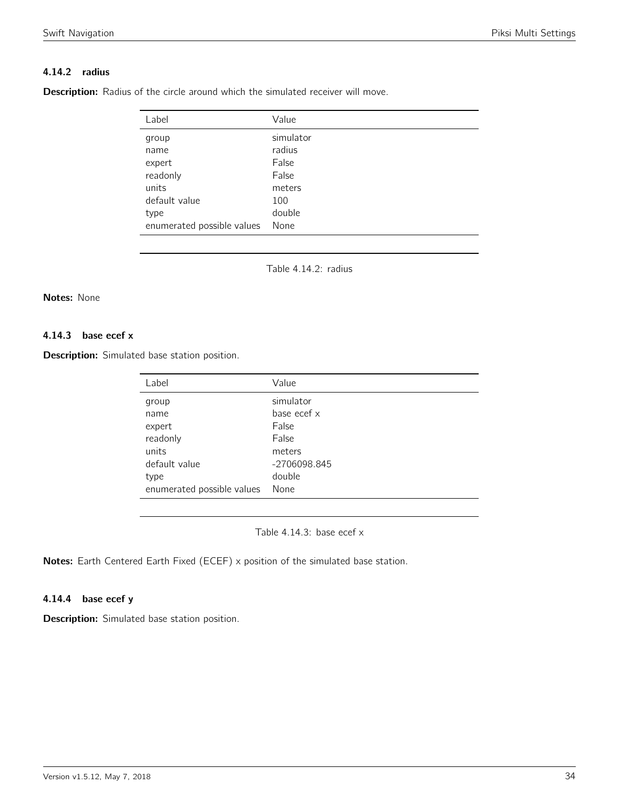#### 4.14.2 radius

<span id="page-33-0"></span>**Description:** Radius of the circle around which the simulated receiver will move.

| Label                      | Value     |
|----------------------------|-----------|
| group                      | simulator |
| name                       | radius    |
| expert                     | False     |
| readonly                   | False     |
| units                      | meters    |
| default value              | 100       |
| type                       | double    |
| enumerated possible values | None      |

Table 4.14.2: radius

#### Notes: None

#### 4.14.3 base ecef x

<span id="page-33-1"></span>Description: Simulated base station position.

| Label                      | Value        |
|----------------------------|--------------|
| group                      | simulator    |
| name                       | base ecef x  |
| expert                     | False        |
| readonly                   | False        |
| units                      | meters       |
| default value              | -2706098.845 |
| type                       | double       |
| enumerated possible values | None         |

Table 4.14.3: base ecef x

Notes: Earth Centered Earth Fixed (ECEF) x position of the simulated base station.

#### 4.14.4 base ecef y

Description: Simulated base station position.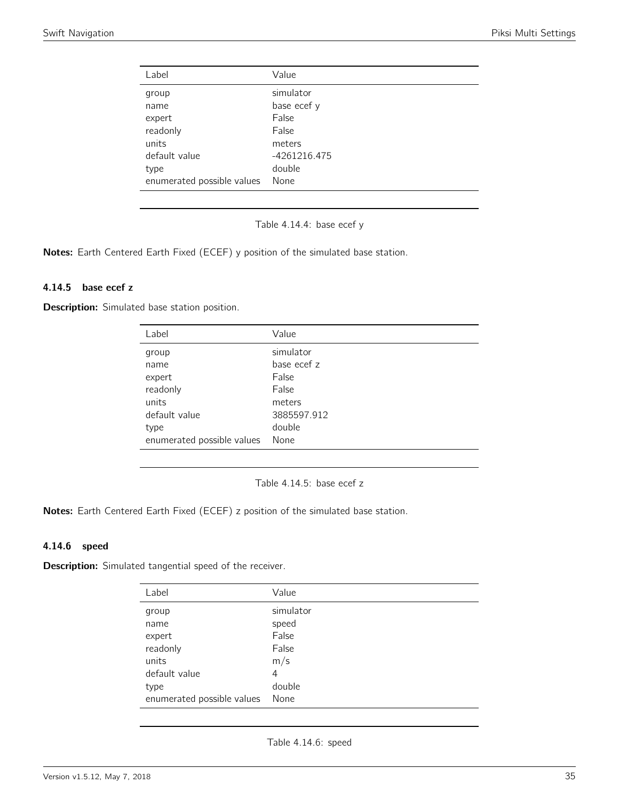<span id="page-34-0"></span>

| Value        |
|--------------|
| simulator    |
| base ecef y  |
| False        |
| False        |
| meters       |
| -4261216.475 |
| double       |
| None         |
|              |

Table 4.14.4: base ecef y

Notes: Earth Centered Earth Fixed (ECEF) y position of the simulated base station.

#### 4.14.5 base ecef z

<span id="page-34-1"></span>Description: Simulated base station position.

| Label                      | Value       |
|----------------------------|-------------|
| group                      | simulator   |
| name                       | base ecef z |
| expert                     | False       |
| readonly                   | False       |
| units                      | meters      |
| default value              | 3885597.912 |
| type                       | double      |
| enumerated possible values | None        |

Table 4.14.5: base ecef z

Notes: Earth Centered Earth Fixed (ECEF) z position of the simulated base station.

#### 4.14.6 speed

<span id="page-34-2"></span>Description: Simulated tangential speed of the receiver.

| Label                      | Value     |
|----------------------------|-----------|
| group                      | simulator |
| name                       | speed     |
| expert                     | False     |
| readonly                   | False     |
| units                      | m/s       |
| default value              | 4         |
| type                       | double    |
| enumerated possible values | None      |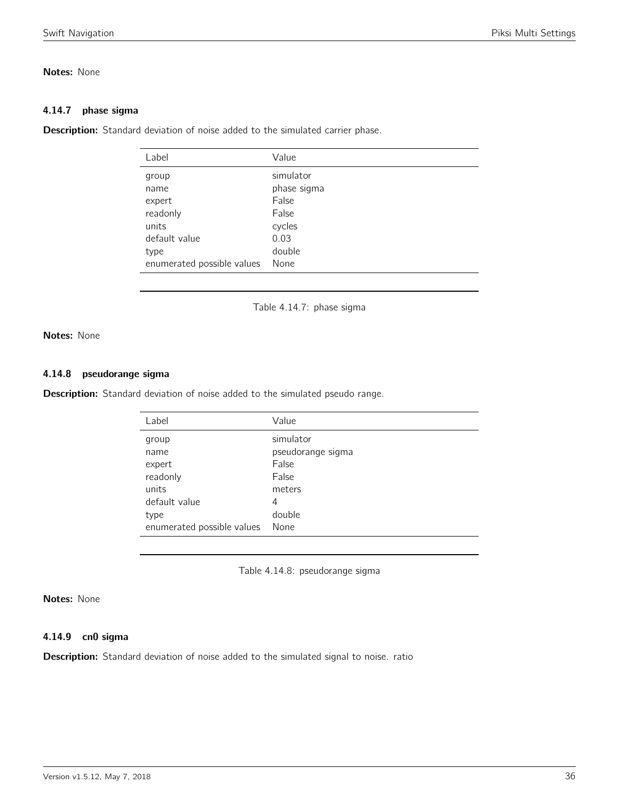#### Notes: None

#### 4.14.7 phase sigma

<span id="page-35-0"></span>**Description:** Standard deviation of noise added to the simulated carrier phase.

| Value       |
|-------------|
| simulator   |
| phase sigma |
| False       |
| False       |
| cycles      |
| 0.03        |
| double      |
| None        |
|             |

Table 4.14.7: phase sigma

Notes: None

#### 4.14.8 pseudorange sigma

<span id="page-35-1"></span>Description: Standard deviation of noise added to the simulated pseudo range.

| Label                      | Value             |
|----------------------------|-------------------|
| group                      | simulator         |
| name                       | pseudorange sigma |
| expert                     | False             |
| readonly                   | False             |
| units                      | meters            |
| default value              | 4                 |
| type                       | double            |
| enumerated possible values | None              |

Table 4.14.8: pseudorange sigma

#### Notes: None

#### 4.14.9 cn0 sigma

Description: Standard deviation of noise added to the simulated signal to noise. ratio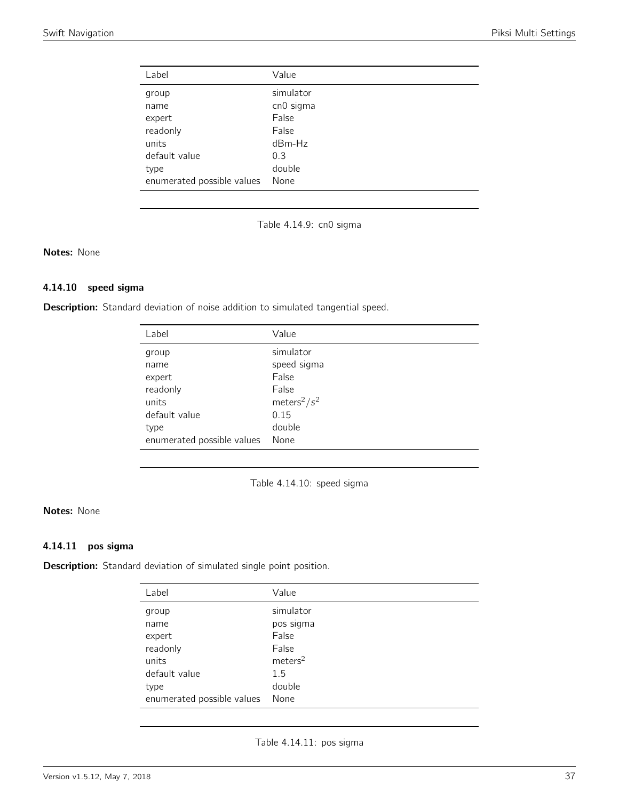| Label                      | Value     |
|----------------------------|-----------|
| group                      | simulator |
| name                       | cn0 sigma |
| expert                     | False     |
| readonly                   | False     |
| units                      | $dBm-Hz$  |
| default value              | 0.3       |
| type                       | double    |
| enumerated possible values | None      |

Table 4.14.9: cn0 sigma

## Notes: None

## 4.14.10 speed sigma

Description: Standard deviation of noise addition to simulated tangential speed.

| Label                      | Value                       |
|----------------------------|-----------------------------|
| group                      | simulator                   |
| name                       | speed sigma                 |
| expert                     | False                       |
| readonly                   | False                       |
| units                      | meters <sup>2</sup> / $s^2$ |
| default value              | 0.15                        |
| type                       | double                      |
| enumerated possible values | None                        |

Table 4.14.10: speed sigma

## Notes: None

## 4.14.11 pos sigma

Description: Standard deviation of simulated single point position.

| Label                      | Value               |
|----------------------------|---------------------|
| group                      | simulator           |
| name                       | pos sigma           |
| expert                     | False               |
| readonly                   | False               |
| units                      | meters <sup>2</sup> |
| default value              | 1.5                 |
| type                       | double              |
| enumerated possible values | None                |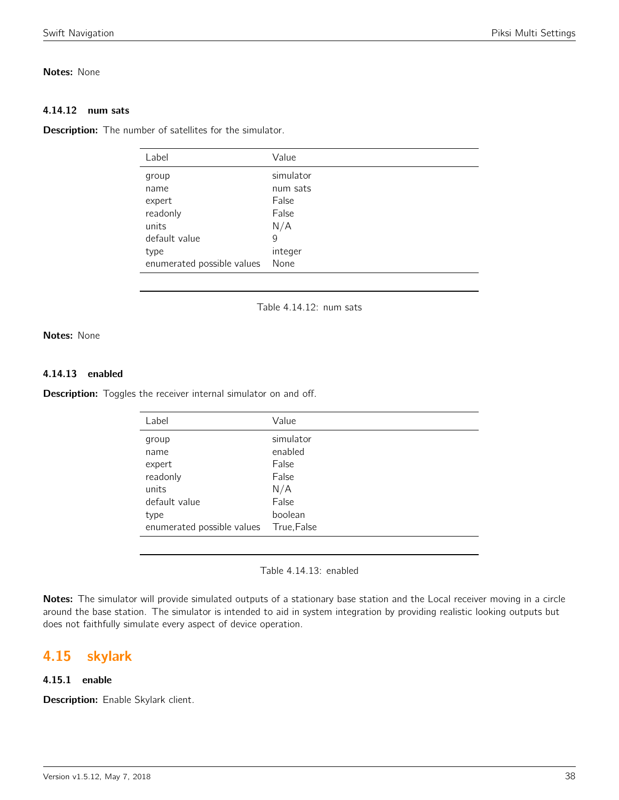## Notes: None

#### 4.14.12 num sats

**Description:** The number of satellites for the simulator.

| Value     |
|-----------|
| simulator |
| num sats  |
| False     |
| False     |
| N/A       |
| 9         |
| integer   |
| None      |
|           |

Table 4.14.12: num sats

## Notes: None

#### 4.14.13 enabled

Description: Toggles the receiver internal simulator on and off.

| Label                      | Value       |
|----------------------------|-------------|
| group                      | simulator   |
| name                       | enabled     |
| expert                     | False       |
| readonly                   | False       |
| units                      | N/A         |
| default value              | False       |
| type                       | boolean     |
| enumerated possible values | True, False |

Table 4.14.13: enabled

Notes: The simulator will provide simulated outputs of a stationary base station and the Local receiver moving in a circle around the base station. The simulator is intended to aid in system integration by providing realistic looking outputs but does not faithfully simulate every aspect of device operation.

## 4.15 skylark

## 4.15.1 enable

Description: Enable Skylark client.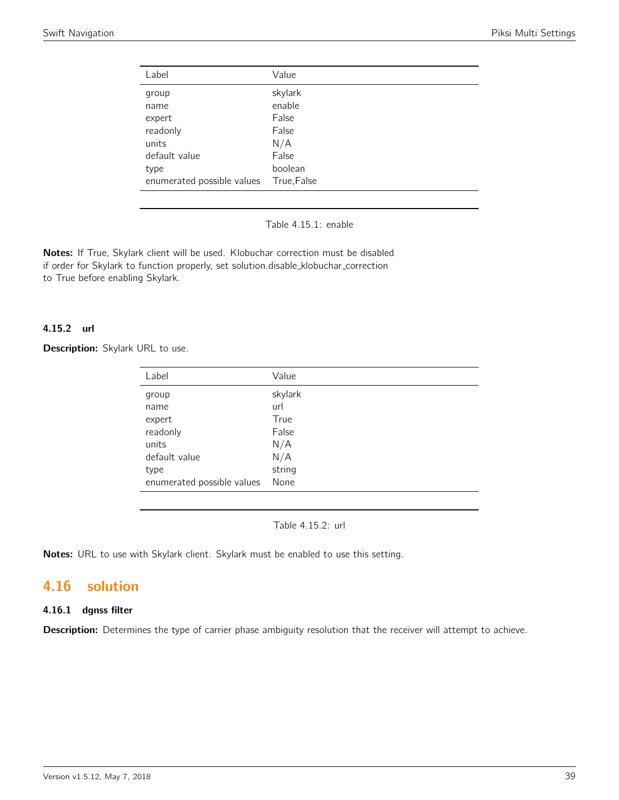| Value       |
|-------------|
| skylark     |
| enable      |
| False       |
| False       |
| N/A         |
| False       |
| boolean     |
| True, False |
|             |

Table 4.15.1: enable

Notes: If True, Skylark client will be used. Klobuchar correction must be disabled if order for Skylark to function properly, set solution.disable\_klobuchar\_correction to True before enabling Skylark.

## 4.15.2 url

Description: Skylark URL to use.

| Value   |
|---------|
| skylark |
| url     |
| True    |
| False   |
| N/A     |
| N/A     |
| string  |
| None    |
|         |

Table 4.15.2: url

Notes: URL to use with Skylark client. Skylark must be enabled to use this setting.

# 4.16 solution

## 4.16.1 dgnss filter

Description: Determines the type of carrier phase ambiguity resolution that the receiver will attempt to achieve.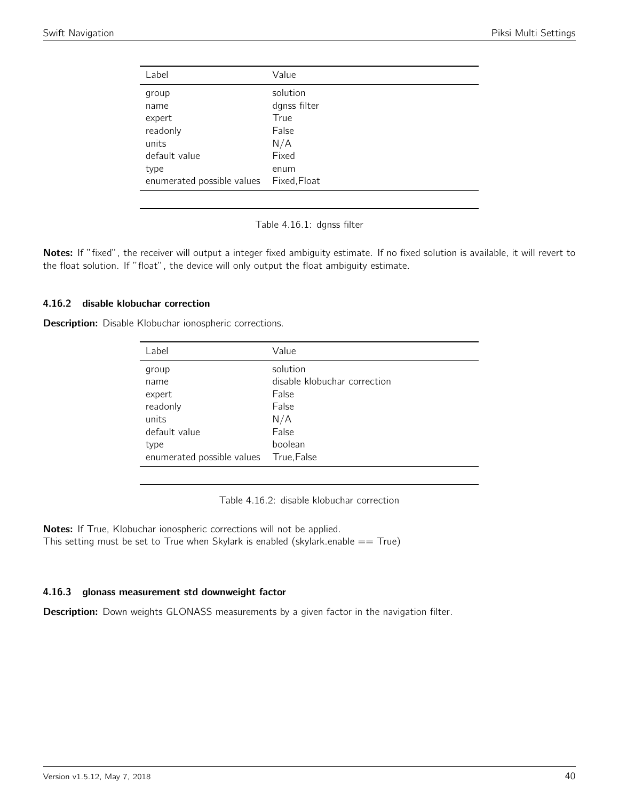| solution<br>group<br>dgnss filter<br>name<br>True<br>expert<br>readonly<br>False<br>N/A<br>units |  |
|--------------------------------------------------------------------------------------------------|--|
|                                                                                                  |  |
|                                                                                                  |  |
|                                                                                                  |  |
|                                                                                                  |  |
|                                                                                                  |  |
| Fixed<br>default value                                                                           |  |
| type<br>enum                                                                                     |  |
| Fixed, Float<br>enumerated possible values                                                       |  |

Table 4.16.1: dgnss filter

Notes: If "fixed", the receiver will output a integer fixed ambiguity estimate. If no fixed solution is available, it will revert to the float solution. If "float", the device will only output the float ambiguity estimate.

## 4.16.2 disable klobuchar correction

Description: Disable Klobuchar ionospheric corrections.

| Label                      | Value                        |
|----------------------------|------------------------------|
| group                      | solution                     |
| name                       | disable klobuchar correction |
| expert                     | False                        |
| readonly                   | False                        |
| units                      | N/A                          |
| default value              | False                        |
| type                       | boolean                      |
| enumerated possible values | True, False                  |

Table 4.16.2: disable klobuchar correction

Notes: If True, Klobuchar ionospheric corrections will not be applied. This setting must be set to True when Skylark is enabled (skylark.enable  $==$  True)

## 4.16.3 glonass measurement std downweight factor

**Description:** Down weights GLONASS measurements by a given factor in the navigation filter.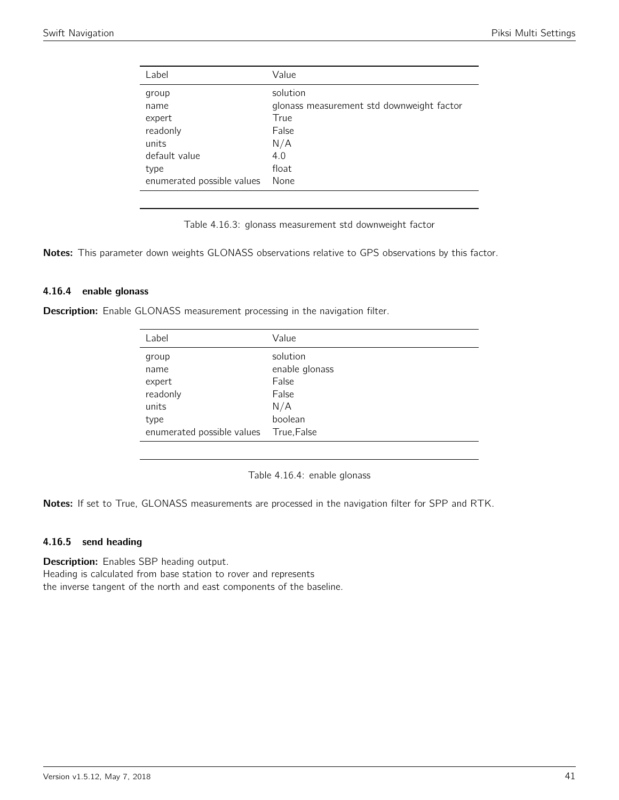| Label                      | Value                                     |
|----------------------------|-------------------------------------------|
| group                      | solution                                  |
| name                       | glonass measurement std downweight factor |
| expert                     | True                                      |
| readonly                   | False                                     |
| units                      | N/A                                       |
| default value              | 4.0                                       |
| type                       | float                                     |
| enumerated possible values | None                                      |

Table 4.16.3: glonass measurement std downweight factor

Notes: This parameter down weights GLONASS observations relative to GPS observations by this factor.

#### 4.16.4 enable glonass

Description: Enable GLONASS measurement processing in the navigation filter.

| Value          |
|----------------|
| solution       |
| enable glonass |
| False          |
| False          |
| N/A            |
| boolean        |
| True, False    |
|                |

Table 4.16.4: enable glonass

Notes: If set to True, GLONASS measurements are processed in the navigation filter for SPP and RTK.

## 4.16.5 send heading

**Description:** Enables SBP heading output. Heading is calculated from base station to rover and represents the inverse tangent of the north and east components of the baseline.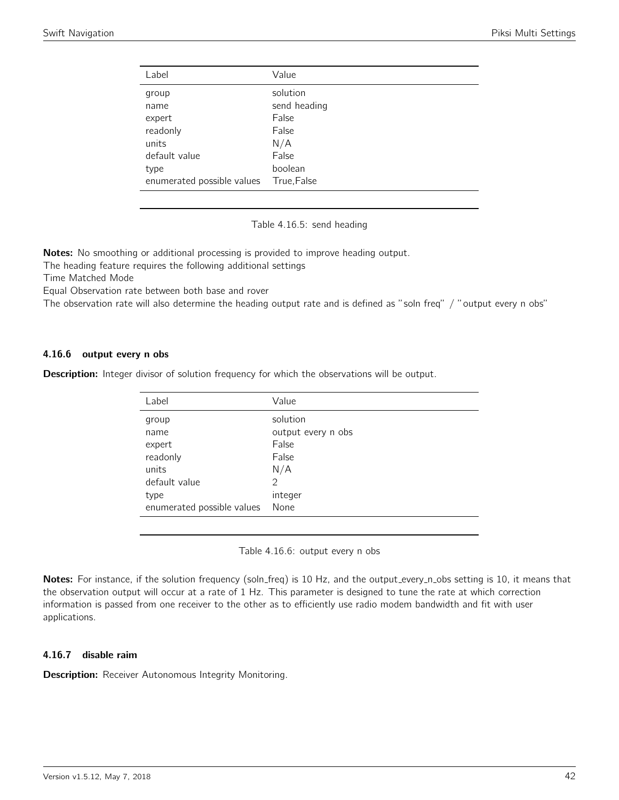| Label                      | Value        |
|----------------------------|--------------|
| group                      | solution     |
| name                       | send heading |
| expert                     | False        |
| readonly                   | False        |
| units                      | N/A          |
| default value              | False        |
| type                       | boolean      |
| enumerated possible values | True, False  |

Table 4.16.5: send heading

Notes: No smoothing or additional processing is provided to improve heading output.

The heading feature requires the following additional settings

Time Matched Mode

Equal Observation rate between both base and rover

The observation rate will also determine the heading output rate and is defined as "soln freq" / "output every n obs"

#### 4.16.6 output every n obs

**Description:** Integer divisor of solution frequency for which the observations will be output.

| Label                      | Value              |
|----------------------------|--------------------|
| group                      | solution           |
| name                       | output every n obs |
| expert                     | False              |
| readonly                   | False              |
| units                      | N/A                |
| default value              | $\mathcal{P}$      |
| type                       | integer            |
| enumerated possible values | None               |

Table 4.16.6: output every n obs

Notes: For instance, if the solution frequency (soln\_freq) is 10 Hz, and the output\_every\_n\_obs setting is 10, it means that the observation output will occur at a rate of 1 Hz. This parameter is designed to tune the rate at which correction information is passed from one receiver to the other as to efficiently use radio modem bandwidth and fit with user applications.

## 4.16.7 disable raim

**Description:** Receiver Autonomous Integrity Monitoring.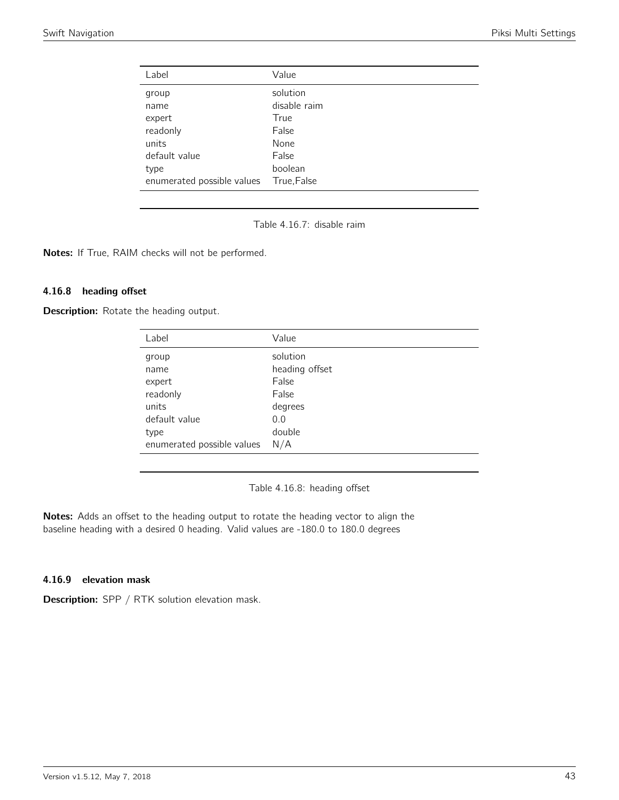| Label                      | Value        |
|----------------------------|--------------|
| group                      | solution     |
| name                       | disable raim |
| expert                     | True         |
| readonly                   | False        |
| units                      | None         |
| default value              | False        |
| type                       | boolean      |
| enumerated possible values | True, False  |

Table 4.16.7: disable raim

Notes: If True, RAIM checks will not be performed.

#### 4.16.8 heading offset

Description: Rotate the heading output.

| Label                      | Value          |
|----------------------------|----------------|
| group                      | solution       |
| name                       | heading offset |
| expert                     | False          |
| readonly                   | False          |
| units                      | degrees        |
| default value              | 0.0            |
| type                       | double         |
| enumerated possible values | N/A            |

Table 4.16.8: heading offset

Notes: Adds an offset to the heading output to rotate the heading vector to align the baseline heading with a desired 0 heading. Valid values are -180.0 to 180.0 degrees

## 4.16.9 elevation mask

Description: SPP / RTK solution elevation mask.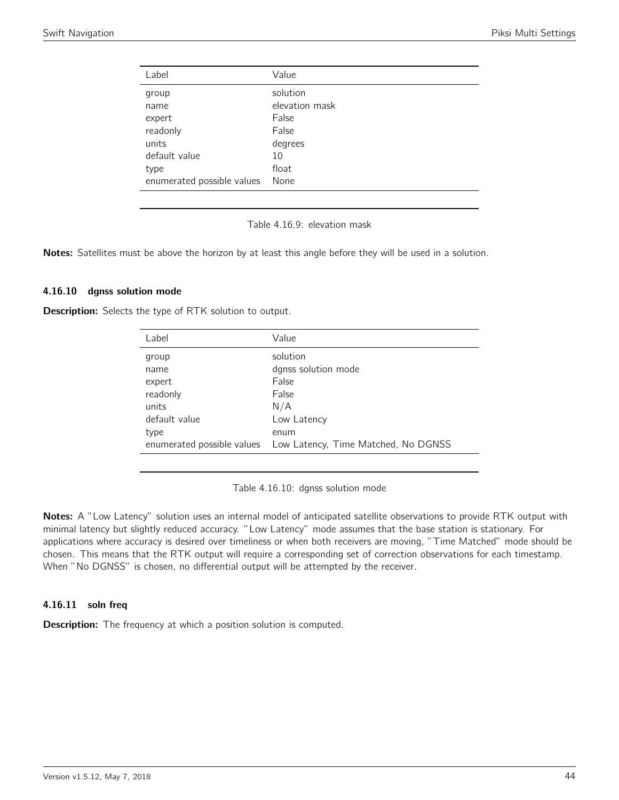| Label                      | Value          |
|----------------------------|----------------|
| group                      | solution       |
| name                       | elevation mask |
| expert                     | False          |
| readonly                   | False          |
| units                      | degrees        |
| default value              | 10             |
| type                       | float          |
| enumerated possible values | None           |

Table 4.16.9: elevation mask

Notes: Satellites must be above the horizon by at least this angle before they will be used in a solution.

#### 4.16.10 dgnss solution mode

Description: Selects the type of RTK solution to output.

| Label         | Value                                                           |
|---------------|-----------------------------------------------------------------|
| group         | solution                                                        |
| name          | dgnss solution mode                                             |
| expert        | False                                                           |
| readonly      | False                                                           |
| units         | N/A                                                             |
| default value | Low Latency                                                     |
| type          | enum                                                            |
|               | enumerated possible values  Low Latency, Time Matched, No DGNSS |

Table 4.16.10: dgnss solution mode

Notes: A "Low Latency" solution uses an internal model of anticipated satellite observations to provide RTK output with minimal latency but slightly reduced accuracy. "Low Latency" mode assumes that the base station is stationary. For applications where accuracy is desired over timeliness or when both receivers are moving, "Time Matched" mode should be chosen. This means that the RTK output will require a corresponding set of correction observations for each timestamp. When "No DGNSS" is chosen, no differential output will be attempted by the receiver.

#### 4.16.11 soln freq

**Description:** The frequency at which a position solution is computed.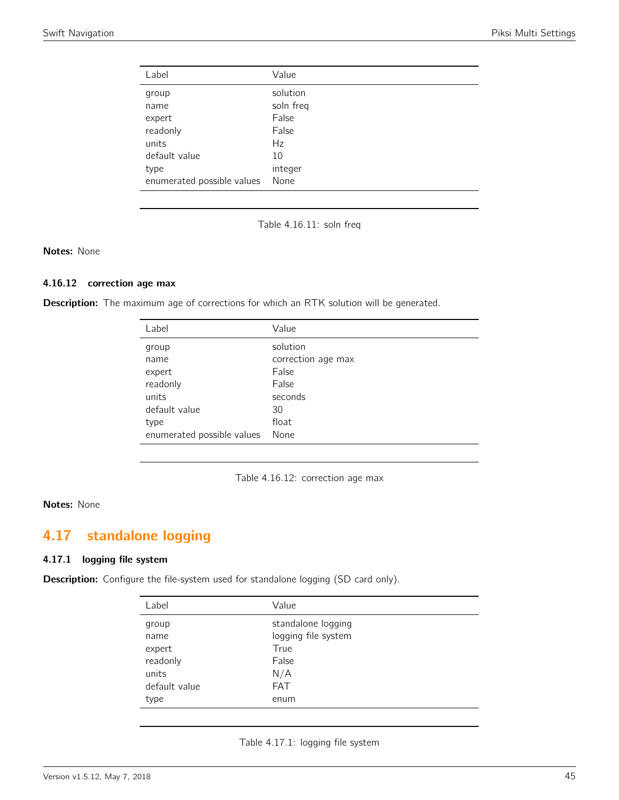| Label                      | Value     |
|----------------------------|-----------|
| group                      | solution  |
| name                       | soln freq |
| expert                     | False     |
| readonly                   | False     |
| units                      | Hz        |
| default value              | 10        |
| type                       | integer   |
| enumerated possible values | None      |

Table 4.16.11: soln freq

## Notes: None

## 4.16.12 correction age max

Description: The maximum age of corrections for which an RTK solution will be generated.

| Label                      | Value              |
|----------------------------|--------------------|
| group                      | solution           |
| name                       | correction age max |
| expert                     | False              |
| readonly                   | False              |
| units                      | seconds            |
| default value              | 30                 |
| type                       | float              |
| enumerated possible values | None               |



#### Notes: None

# 4.17 standalone logging

## 4.17.1 logging file system

Description: Configure the file-system used for standalone logging (SD card only).

| Label         | Value               |
|---------------|---------------------|
| group         | standalone logging  |
| name          | logging file system |
| expert        | True                |
| readonly      | False               |
| units         | N/A                 |
| default value | <b>FAT</b>          |
| type          | enum                |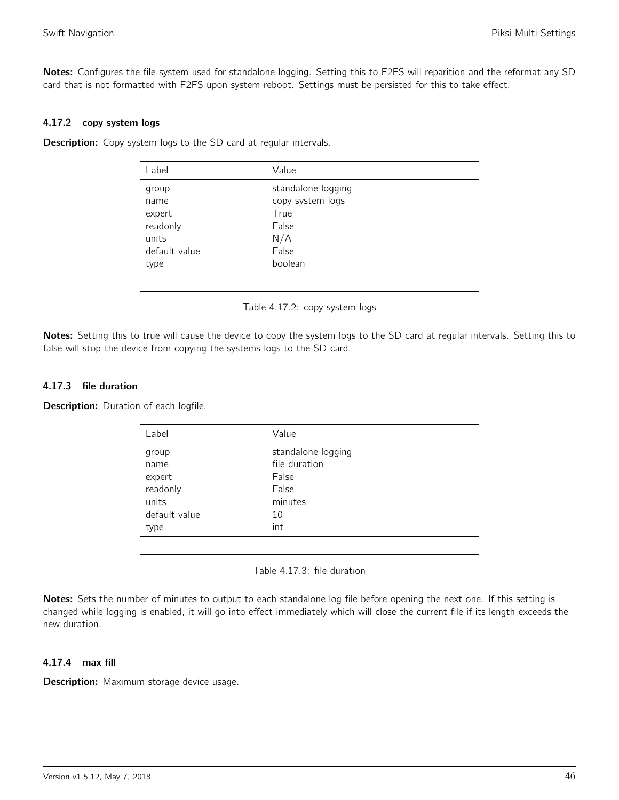Notes: Configures the file-system used for standalone logging. Setting this to F2FS will reparition and the reformat any SD card that is not formatted with F2FS upon system reboot. Settings must be persisted for this to take effect.

## 4.17.2 copy system logs

**Description:** Copy system logs to the SD card at regular intervals.

| Label         | Value              |  |
|---------------|--------------------|--|
| group         | standalone logging |  |
| name          | copy system logs   |  |
| expert        | True               |  |
| readonly      | False              |  |
| units         | N/A                |  |
| default value | False              |  |
| type          | boolean            |  |
|               |                    |  |

Table 4.17.2: copy system logs

Notes: Setting this to true will cause the device to copy the system logs to the SD card at regular intervals. Setting this to false will stop the device from copying the systems logs to the SD card.

## 4.17.3 file duration

**Description:** Duration of each logfile.

| Label         | Value              |
|---------------|--------------------|
| group         | standalone logging |
| name          | file duration      |
| expert        | False              |
| readonly      | False              |
| units         | minutes            |
| default value | 10                 |
| type          | int                |

Table 4.17.3: file duration

Notes: Sets the number of minutes to output to each standalone log file before opening the next one. If this setting is changed while logging is enabled, it will go into effect immediately which will close the current file if its length exceeds the new duration.

#### 4.17.4 max fill

Description: Maximum storage device usage.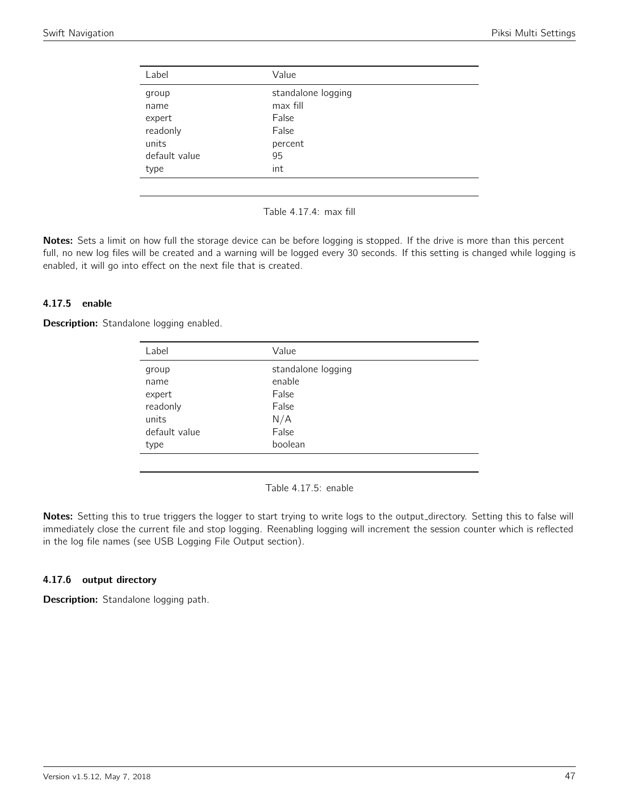| Label         | Value              |
|---------------|--------------------|
| group         | standalone logging |
| name          | max fill           |
| expert        | False              |
| readonly      | False              |
| units         | percent            |
| default value | 95                 |
| type          | int                |
|               |                    |

Table 4.17.4: max fill

Notes: Sets a limit on how full the storage device can be before logging is stopped. If the drive is more than this percent full, no new log files will be created and a warning will be logged every 30 seconds. If this setting is changed while logging is enabled, it will go into effect on the next file that is created.

## 4.17.5 enable

**Description:** Standalone logging enabled.

| Label         | Value              |
|---------------|--------------------|
| group         | standalone logging |
| name          | enable             |
| expert        | False              |
| readonly      | False              |
| units         | N/A                |
| default value | False              |
| type          | boolean            |
|               |                    |

Table 4.17.5: enable

Notes: Setting this to true triggers the logger to start trying to write logs to the output\_directory. Setting this to false will immediately close the current file and stop logging. Reenabling logging will increment the session counter which is reflected in the log file names (see USB Logging File Output section).

## 4.17.6 output directory

Description: Standalone logging path.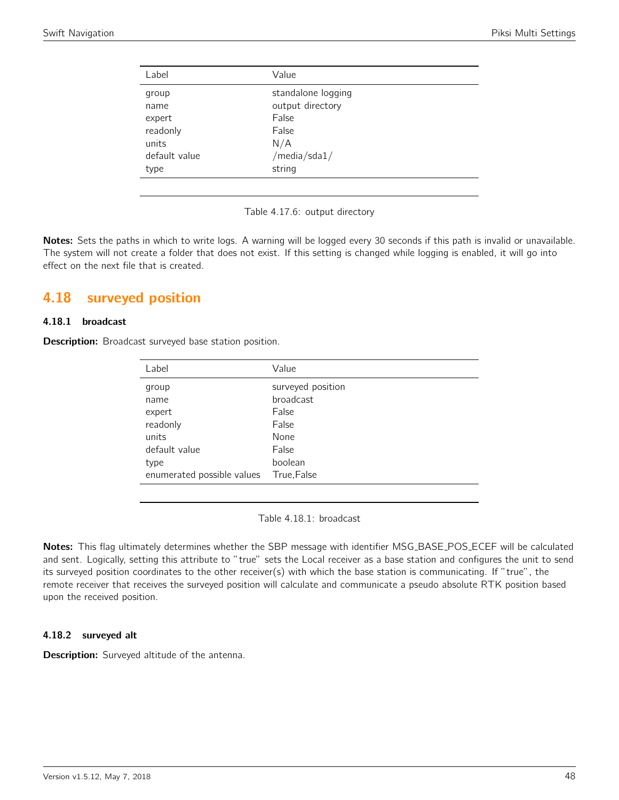| Label         | Value              |
|---------------|--------------------|
| group         | standalone logging |
| name          | output directory   |
| expert        | False              |
| readonly      | False              |
| units         | N/A                |
| default value | /media/sda1/       |
| type          | string             |

Table 4.17.6: output directory

Notes: Sets the paths in which to write logs. A warning will be logged every 30 seconds if this path is invalid or unavailable. The system will not create a folder that does not exist. If this setting is changed while logging is enabled, it will go into effect on the next file that is created.

# 4.18 surveyed position

#### 4.18.1 broadcast

**Description:** Broadcast surveyed base station position.

| Label                      | Value             |
|----------------------------|-------------------|
| group                      | surveyed position |
| name                       | broadcast         |
| expert                     | False             |
| readonly                   | False             |
| units                      | None              |
| default value              | False             |
| type                       | boolean           |
| enumerated possible values | True, False       |

Table 4.18.1: broadcast

Notes: This flag ultimately determines whether the SBP message with identifier MSG\_BASE\_POS\_ECEF will be calculated and sent. Logically, setting this attribute to "true" sets the Local receiver as a base station and configures the unit to send its surveyed position coordinates to the other receiver(s) with which the base station is communicating. If "true", the remote receiver that receives the surveyed position will calculate and communicate a pseudo absolute RTK position based upon the received position.

## 4.18.2 surveyed alt

Description: Surveyed altitude of the antenna.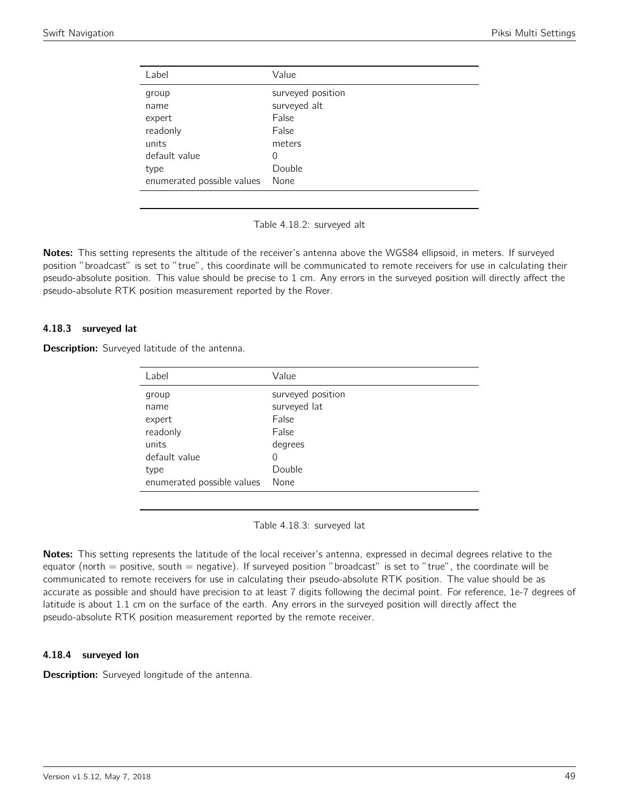| Label                      | Value             |
|----------------------------|-------------------|
| group                      | surveyed position |
| name                       | surveyed alt      |
| expert                     | False             |
| readonly                   | False             |
| units                      | meters            |
| default value              | 0                 |
| type                       | Double            |
| enumerated possible values | None              |

Table 4.18.2: surveyed alt

Notes: This setting represents the altitude of the receiver's antenna above the WGS84 ellipsoid, in meters. If surveyed position "broadcast" is set to "true", this coordinate will be communicated to remote receivers for use in calculating their pseudo-absolute position. This value should be precise to 1 cm. Any errors in the surveyed position will directly affect the pseudo-absolute RTK position measurement reported by the Rover.

#### 4.18.3 surveyed lat

Description: Surveyed latitude of the antenna.

| Label                      | Value             |
|----------------------------|-------------------|
| group                      | surveyed position |
| name                       | surveyed lat      |
| expert                     | False             |
| readonly                   | False             |
| units                      | degrees           |
| default value              | 0                 |
| type                       | Double            |
| enumerated possible values | None              |
|                            |                   |

Table 4.18.3: surveyed lat

Notes: This setting represents the latitude of the local receiver's antenna, expressed in decimal degrees relative to the equator (north  $=$  positive, south  $=$  negative). If surveyed position "broadcast" is set to "true", the coordinate will be communicated to remote receivers for use in calculating their pseudo-absolute RTK position. The value should be as accurate as possible and should have precision to at least 7 digits following the decimal point. For reference, 1e-7 degrees of latitude is about 1.1 cm on the surface of the earth. Any errors in the surveyed position will directly affect the pseudo-absolute RTK position measurement reported by the remote receiver.

## 4.18.4 surveyed lon

**Description:** Surveyed longitude of the antenna.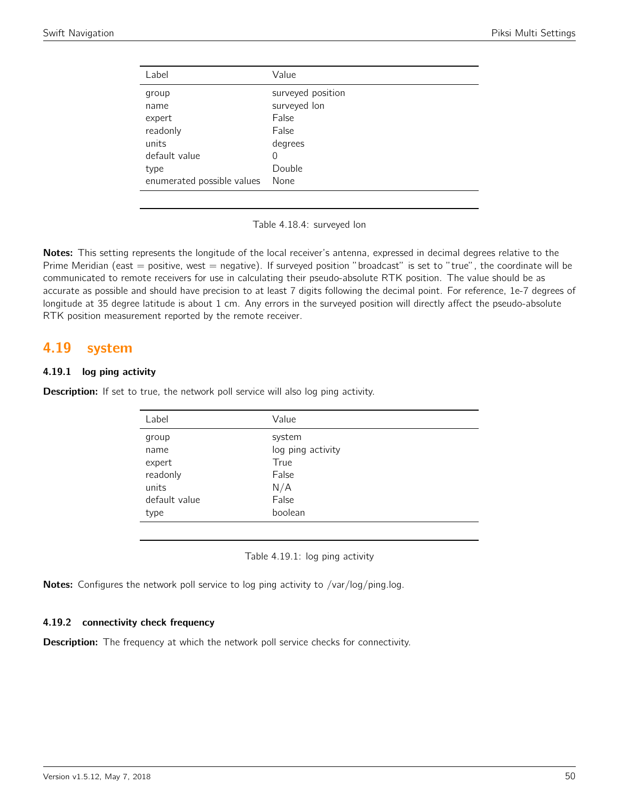| Label                      | Value             |
|----------------------------|-------------------|
| group                      | surveyed position |
| name                       | surveyed lon      |
| expert                     | False             |
| readonly                   | False             |
| units                      | degrees           |
| default value              | 0                 |
| type                       | Double            |
| enumerated possible values | None              |

Table 4.18.4: surveyed lon

Notes: This setting represents the longitude of the local receiver's antenna, expressed in decimal degrees relative to the Prime Meridian (east  $=$  positive, west  $=$  negative). If surveyed position "broadcast" is set to "true", the coordinate will be communicated to remote receivers for use in calculating their pseudo-absolute RTK position. The value should be as accurate as possible and should have precision to at least 7 digits following the decimal point. For reference, 1e-7 degrees of longitude at 35 degree latitude is about 1 cm. Any errors in the surveyed position will directly affect the pseudo-absolute RTK position measurement reported by the remote receiver.

## 4.19 system

## 4.19.1 log ping activity

**Description:** If set to true, the network poll service will also log ping activity.

| Label         | Value             |
|---------------|-------------------|
| group         | system            |
| name          | log ping activity |
| expert        | True              |
| readonly      | False             |
| units         | N/A               |
| default value | False             |
| type          | boolean           |
|               |                   |

Table 4.19.1: log ping activity

Notes: Configures the network poll service to log ping activity to /var/log/ping.log.

## 4.19.2 connectivity check frequency

**Description:** The frequency at which the network poll service checks for connectivity.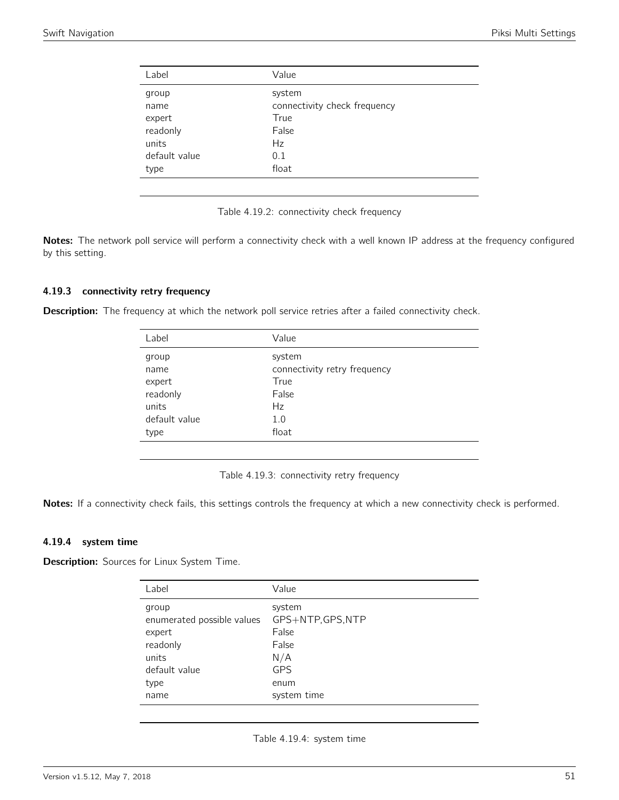| Label         | Value                        |
|---------------|------------------------------|
| group         | system                       |
| name          | connectivity check frequency |
| expert        | True                         |
| readonly      | False                        |
| units         | Hz                           |
| default value | 0.1                          |
| type          | float                        |
|               |                              |

Table 4.19.2: connectivity check frequency

Notes: The network poll service will perform a connectivity check with a well known IP address at the frequency configured by this setting.

#### 4.19.3 connectivity retry frequency

Description: The frequency at which the network poll service retries after a failed connectivity check.

| Label         | Value                        |
|---------------|------------------------------|
| group         | system                       |
| name          | connectivity retry frequency |
| expert        | True                         |
| readonly      | False                        |
| units         | Hz                           |
| default value | 1.0                          |
| type          | float                        |
|               |                              |

Table 4.19.3: connectivity retry frequency

Notes: If a connectivity check fails, this settings controls the frequency at which a new connectivity check is performed.

## 4.19.4 system time

**Description:** Sources for Linux System Time.

| Label                                                                                               | Value                                                                                     |
|-----------------------------------------------------------------------------------------------------|-------------------------------------------------------------------------------------------|
| group<br>enumerated possible values<br>expert<br>readonly<br>units<br>default value<br>type<br>name | system<br>GPS+NTP, GPS, NTP<br>False<br>False<br>N/A<br><b>GPS</b><br>enum<br>system time |
|                                                                                                     |                                                                                           |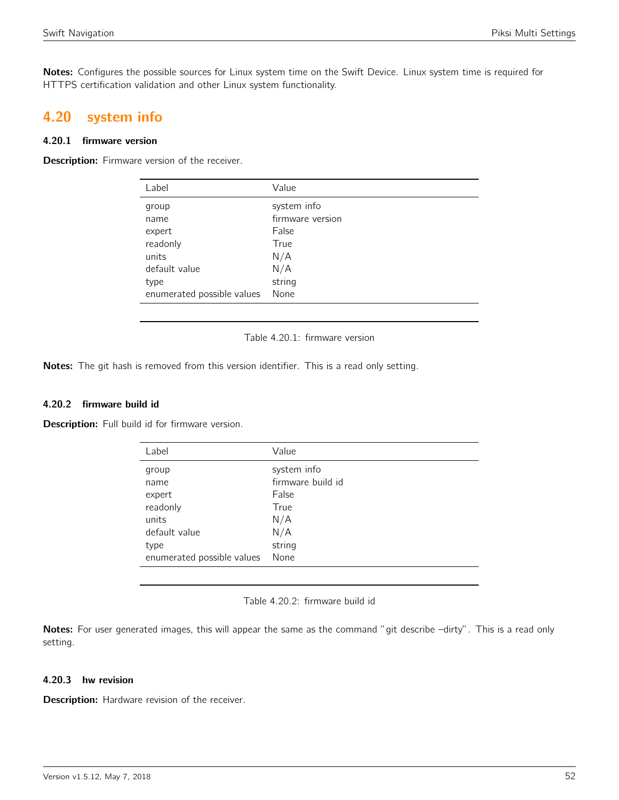Notes: Configures the possible sources for Linux system time on the Swift Device. Linux system time is required for HTTPS certification validation and other Linux system functionality.

## 4.20 system info

## 4.20.1 firmware version

Description: Firmware version of the receiver.

| Label                      | Value            |
|----------------------------|------------------|
| group                      | system info      |
| name                       | firmware version |
| expert                     | False            |
| readonly                   | True             |
| units                      | N/A              |
| default value              | N/A              |
| type                       | string           |
| enumerated possible values | None             |
|                            |                  |

Table 4.20.1: firmware version

Notes: The git hash is removed from this version identifier. This is a read only setting.

#### 4.20.2 firmware build id

Description: Full build id for firmware version.

| Value             |
|-------------------|
| system info       |
| firmware build id |
| False             |
| True              |
| N/A               |
| N/A               |
| string            |
| None              |
|                   |

#### Table 4.20.2: firmware build id

Notes: For user generated images, this will appear the same as the command "git describe -dirty". This is a read only setting.

## 4.20.3 hw revision

Description: Hardware revision of the receiver.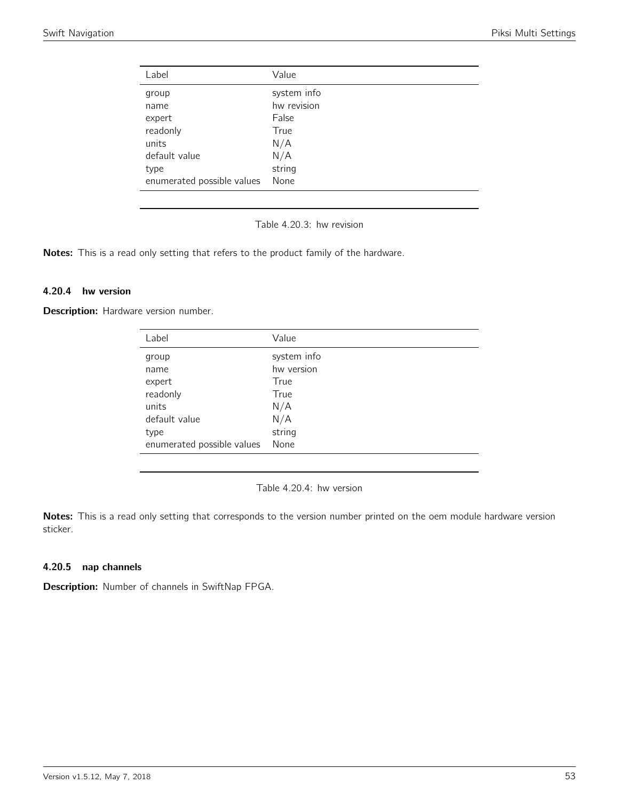| Label                      | Value       |
|----------------------------|-------------|
| group                      | system info |
| name                       | hw revision |
| expert                     | False       |
| readonly                   | True        |
| units                      | N/A         |
| default value              | N/A         |
| type                       | string      |
| enumerated possible values | None        |

Table 4.20.3: hw revision

Notes: This is a read only setting that refers to the product family of the hardware.

#### 4.20.4 hw version

Description: Hardware version number.

| system info<br>group<br>hw version<br>name<br>True<br>expert | Label    | Value |
|--------------------------------------------------------------|----------|-------|
|                                                              |          |       |
|                                                              |          |       |
|                                                              |          |       |
|                                                              | readonly | True  |
| N/A<br>units                                                 |          |       |
| N/A<br>default value                                         |          |       |
| string<br>type                                               |          |       |
| None<br>enumerated possible values                           |          |       |

Table 4.20.4: hw version

Notes: This is a read only setting that corresponds to the version number printed on the oem module hardware version sticker.

## 4.20.5 nap channels

Description: Number of channels in SwiftNap FPGA.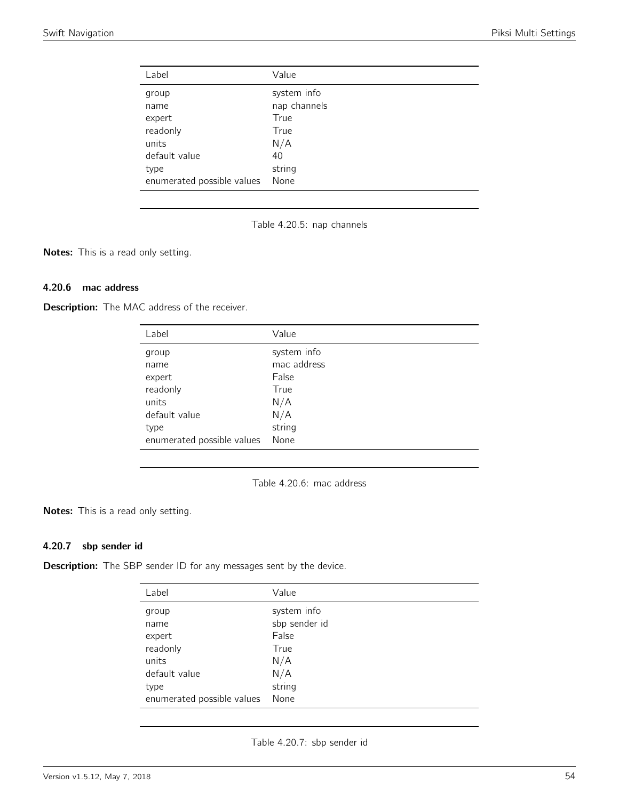| Label                      | Value        |
|----------------------------|--------------|
| group                      | system info  |
| name                       | nap channels |
| expert                     | True         |
| readonly                   | True         |
| units                      | N/A          |
| default value              | 40           |
| type                       | string       |
| enumerated possible values | None         |

Table 4.20.5: nap channels

Notes: This is a read only setting.

## 4.20.6 mac address

**Description:** The MAC address of the receiver.

| Label                      | Value       |
|----------------------------|-------------|
| group                      | system info |
| name                       | mac address |
| expert                     | False       |
| readonly                   | True        |
| units                      | N/A         |
| default value              | N/A         |
| type                       | string      |
| enumerated possible values | None        |

Table 4.20.6: mac address

Notes: This is a read only setting.

## 4.20.7 sbp sender id

**Description:** The SBP sender ID for any messages sent by the device.

| Label                      | Value         |
|----------------------------|---------------|
| group                      | system info   |
| name                       | sbp sender id |
| expert                     | False         |
| readonly                   | True          |
| units                      | N/A           |
| default value              | N/A           |
| type                       | string        |
| enumerated possible values | None          |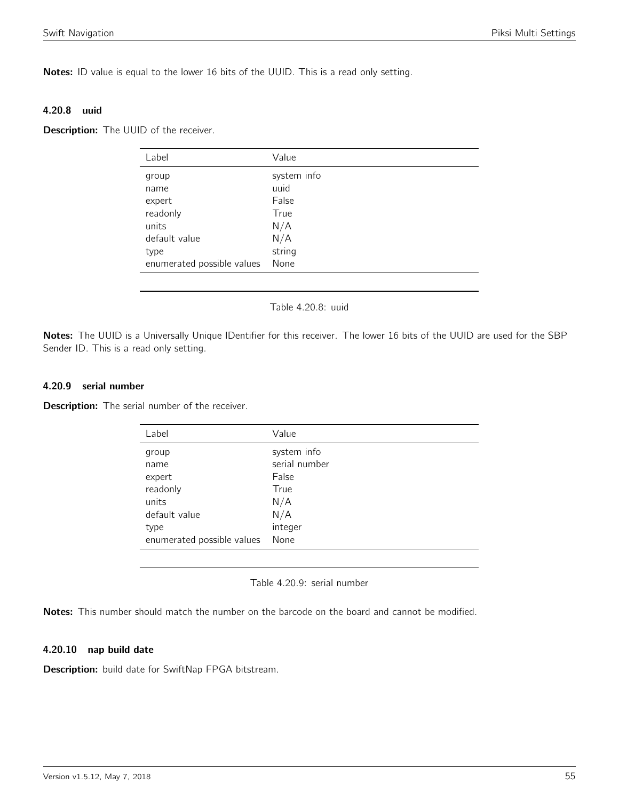Notes: ID value is equal to the lower 16 bits of the UUID. This is a read only setting.

#### 4.20.8 uuid

**Description:** The UUID of the receiver.

| Label                      | Value       |
|----------------------------|-------------|
| group                      | system info |
| name                       | uuid        |
| expert                     | False       |
| readonly                   | True        |
| units                      | N/A         |
| default value              | N/A         |
| type                       | string      |
| enumerated possible values | None        |
|                            |             |

#### Table 4.20.8: uuid

Notes: The UUID is a Universally Unique IDentifier for this receiver. The lower 16 bits of the UUID are used for the SBP Sender ID. This is a read only setting.

#### 4.20.9 serial number

**Description:** The serial number of the receiver.

| Label                      | Value         |
|----------------------------|---------------|
| group                      | system info   |
| name                       | serial number |
| expert                     | False         |
| readonly                   | True          |
| units                      | N/A           |
| default value              | N/A           |
| type                       | integer       |
| enumerated possible values | None          |

Table 4.20.9: serial number

Notes: This number should match the number on the barcode on the board and cannot be modified.

## 4.20.10 nap build date

Description: build date for SwiftNap FPGA bitstream.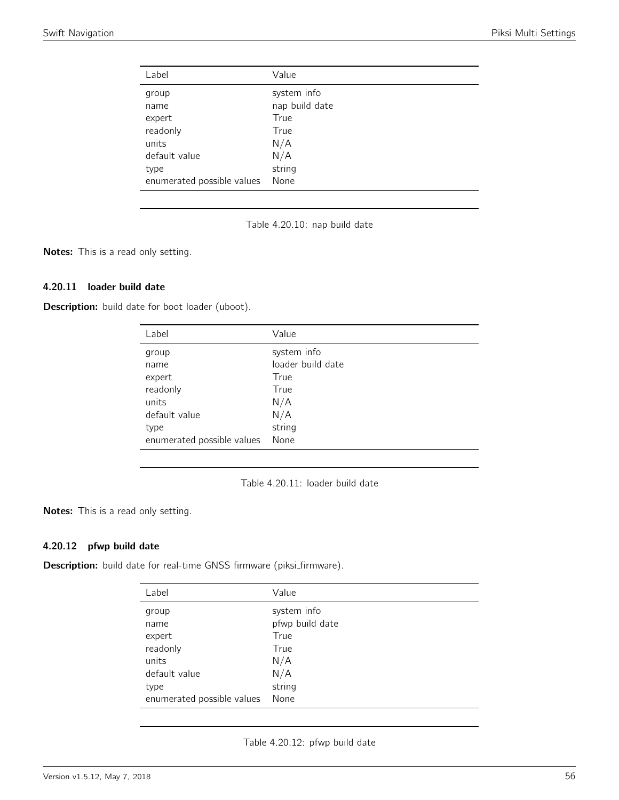| Label                      | Value          |
|----------------------------|----------------|
| group                      | system info    |
| name                       | nap build date |
| expert                     | True           |
| readonly                   | True           |
| units                      | N/A            |
| default value              | N/A            |
| type                       | string         |
| enumerated possible values | None           |

Table 4.20.10: nap build date

Notes: This is a read only setting.

## 4.20.11 loader build date

Description: build date for boot loader (uboot).

| Label                      | Value             |
|----------------------------|-------------------|
| group                      | system info       |
| name                       | loader build date |
| expert                     | True              |
| readonly                   | True              |
| units                      | N/A               |
| default value              | N/A               |
| type                       | string            |
| enumerated possible values | None              |

Table 4.20.11: loader build date

Notes: This is a read only setting.

## 4.20.12 pfwp build date

Description: build date for real-time GNSS firmware (piksi\_firmware).

| Label                      | Value           |
|----------------------------|-----------------|
| group                      | system info     |
| name                       | pfwp build date |
| expert                     | True            |
| readonly                   | True            |
| units                      | N/A             |
| default value              | N/A             |
| type                       | string          |
| enumerated possible values | None            |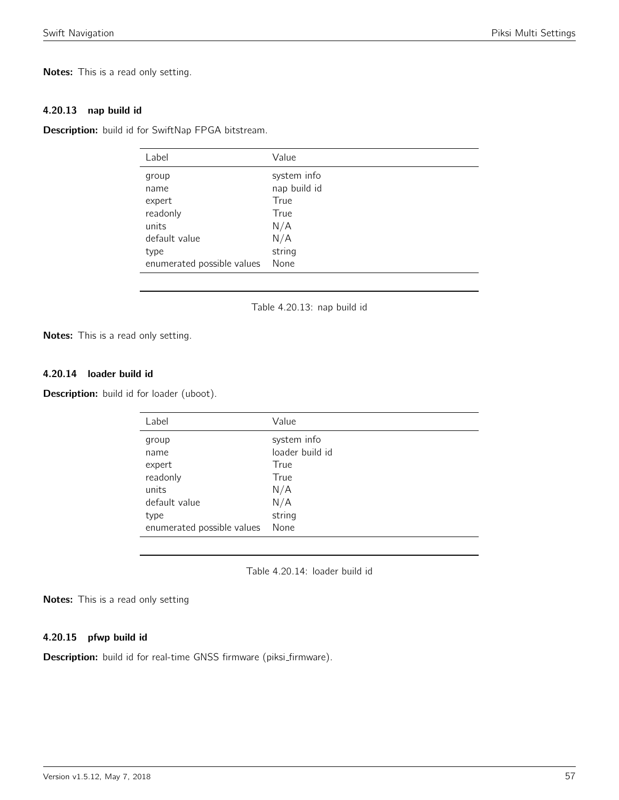Notes: This is a read only setting.

#### 4.20.13 nap build id

Description: build id for SwiftNap FPGA bitstream.

| Value        |
|--------------|
| system info  |
| nap build id |
| True         |
| True         |
| N/A          |
| N/A          |
| string       |
| None         |
|              |

Table 4.20.13: nap build id

Notes: This is a read only setting.

## 4.20.14 loader build id

Description: build id for loader (uboot).

| Label                      | Value           |
|----------------------------|-----------------|
| group                      | system info     |
| name                       | loader build id |
| expert                     | True            |
| readonly                   | True            |
| units                      | N/A             |
| default value              | N/A             |
| type                       | string          |
| enumerated possible values | None            |

Table 4.20.14: loader build id

Notes: This is a read only setting

#### 4.20.15 pfwp build id

Description: build id for real-time GNSS firmware (piksi\_firmware).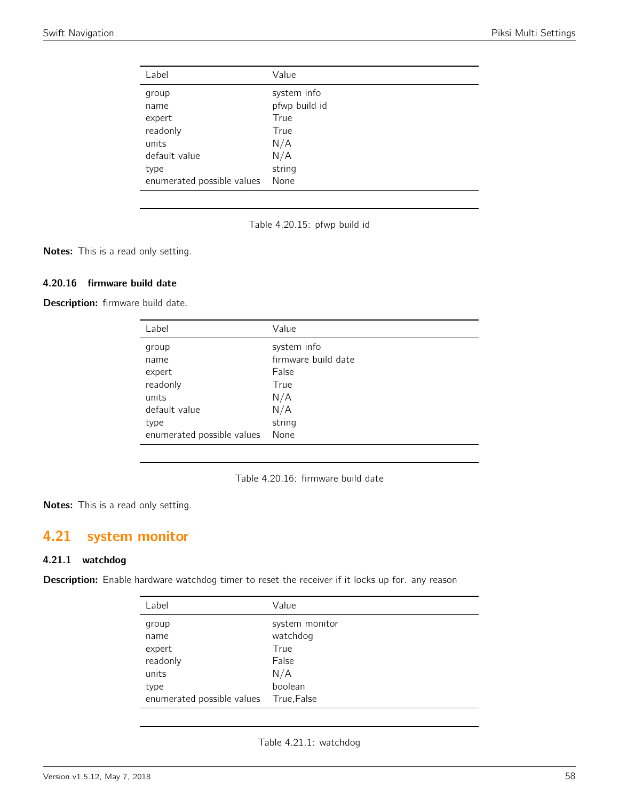| Label                      | Value         |
|----------------------------|---------------|
| group                      | system info   |
| name                       | pfwp build id |
| expert                     | True          |
| readonly                   | True          |
| units                      | N/A           |
| default value              | N/A           |
| type                       | string        |
| enumerated possible values | None          |

Table 4.20.15: pfwp build id

Notes: This is a read only setting.

## 4.20.16 firmware build date

Description: firmware build date.

| Value               |
|---------------------|
| system info         |
| firmware build date |
| False               |
| True                |
| N/A                 |
| N/A                 |
| string              |
| None                |
|                     |

Table 4.20.16: firmware build date

Notes: This is a read only setting.

# 4.21 system monitor

#### 4.21.1 watchdog

Description: Enable hardware watchdog timer to reset the receiver if it locks up for. any reason

| Label                      | Value          |
|----------------------------|----------------|
| group                      | system monitor |
| name                       | watchdog       |
| expert                     | True           |
| readonly                   | False          |
| units                      | N/A            |
| type                       | boolean        |
| enumerated possible values | True, False    |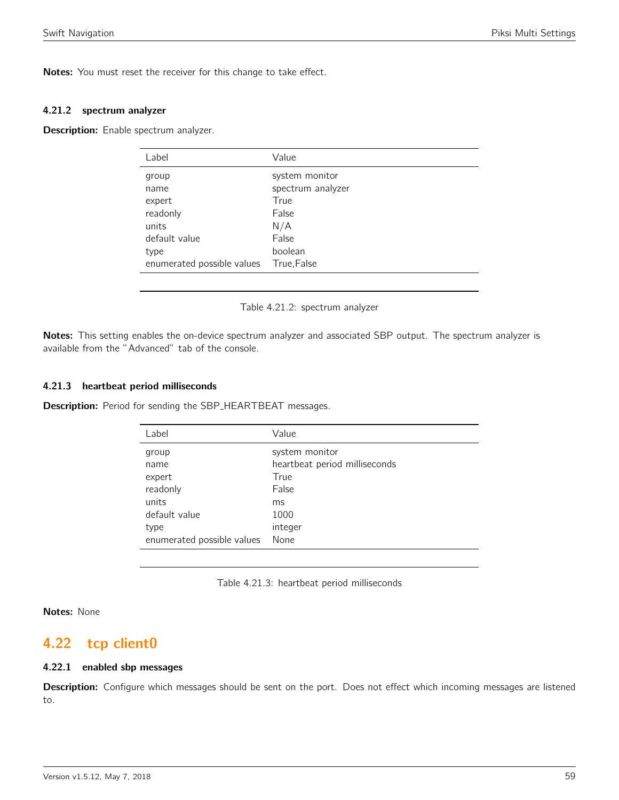Notes: You must reset the receiver for this change to take effect.

#### 4.21.2 spectrum analyzer

Description: Enable spectrum analyzer.

| Value             |
|-------------------|
| system monitor    |
| spectrum analyzer |
| True              |
| False             |
| N/A               |
| False             |
| boolean           |
| True, False       |
|                   |

Table 4.21.2: spectrum analyzer

Notes: This setting enables the on-device spectrum analyzer and associated SBP output. The spectrum analyzer is available from the "Advanced" tab of the console.

## 4.21.3 heartbeat period milliseconds

**Description:** Period for sending the SBP\_HEARTBEAT messages.

| Label                      | Value                         |
|----------------------------|-------------------------------|
| group                      | system monitor                |
| name                       | heartbeat period milliseconds |
| expert                     | True                          |
| readonly                   | False                         |
| units                      | ms                            |
| default value              | 1000                          |
| type                       | integer                       |
| enumerated possible values | None                          |

Table 4.21.3: heartbeat period milliseconds

Notes: None

## 4.22 tcp client0

## 4.22.1 enabled sbp messages

Description: Configure which messages should be sent on the port. Does not effect which incoming messages are listened to.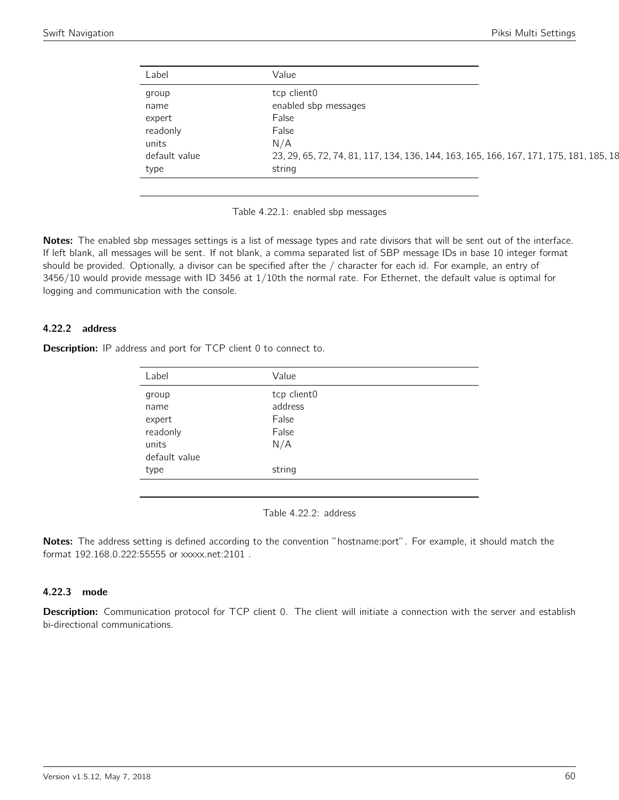| Label         | Value                                                                                  |
|---------------|----------------------------------------------------------------------------------------|
| group         | tcp client0                                                                            |
| name          | enabled sbp messages                                                                   |
| expert        | False                                                                                  |
| readonly      | False                                                                                  |
| units         | N/A                                                                                    |
| default value | 23, 29, 65, 72, 74, 81, 117, 134, 136, 144, 163, 165, 166, 167, 171, 175, 181, 185, 18 |
| type          | string                                                                                 |

Table 4.22.1: enabled sbp messages

Notes: The enabled sbp messages settings is a list of message types and rate divisors that will be sent out of the interface. If left blank, all messages will be sent. If not blank, a comma separated list of SBP message IDs in base 10 integer format should be provided. Optionally, a divisor can be specified after the / character for each id. For example, an entry of 3456/10 would provide message with ID 3456 at 1/10th the normal rate. For Ethernet, the default value is optimal for logging and communication with the console.

#### 4.22.2 address

Description: IP address and port for TCP client 0 to connect to.

| Label         | Value       |
|---------------|-------------|
| group         | tcp client0 |
| name          | address     |
| expert        | False       |
| readonly      | False       |
| units         | N/A         |
| default value |             |
| type          | string      |
|               |             |

Table 4.22.2: address

Notes: The address setting is defined according to the convention "hostname:port". For example, it should match the format 192.168.0.222:55555 or xxxxx.net:2101 .

## 4.22.3 mode

Description: Communication protocol for TCP client 0. The client will initiate a connection with the server and establish bi-directional communications.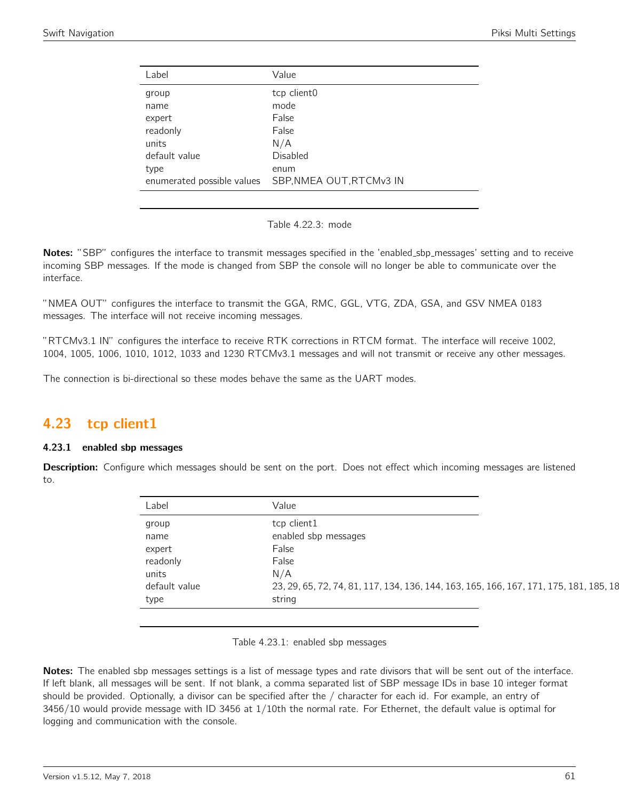| Label                      | Value                    |
|----------------------------|--------------------------|
| group                      | tcp client0              |
| name                       | mode                     |
| expert                     | False                    |
| readonly                   | False                    |
| units                      | N/A                      |
| default value              | Disabled                 |
| type                       | enum                     |
| enumerated possible values | SBP, NMEA OUT, RTCMv3 IN |
|                            |                          |



Notes: "SBP" configures the interface to transmit messages specified in the 'enabled\_sbp\_messages' setting and to receive incoming SBP messages. If the mode is changed from SBP the console will no longer be able to communicate over the interface.

"NMEA OUT" configures the interface to transmit the GGA, RMC, GGL, VTG, ZDA, GSA, and GSV NMEA 0183 messages. The interface will not receive incoming messages.

"RTCMv3.1 IN" configures the interface to receive RTK corrections in RTCM format. The interface will receive 1002, 1004, 1005, 1006, 1010, 1012, 1033 and 1230 RTCMv3.1 messages and will not transmit or receive any other messages.

The connection is bi-directional so these modes behave the same as the UART modes.

## 4.23 tcp client1

## 4.23.1 enabled sbp messages

Description: Configure which messages should be sent on the port. Does not effect which incoming messages are listened to.

| Label         | Value                                                                                  |
|---------------|----------------------------------------------------------------------------------------|
| group         | tcp client1                                                                            |
| name          | enabled sbp messages                                                                   |
| expert        | False                                                                                  |
| readonly      | False                                                                                  |
| units         | N/A                                                                                    |
| default value | 23, 29, 65, 72, 74, 81, 117, 134, 136, 144, 163, 165, 166, 167, 171, 175, 181, 185, 18 |
| type          | string                                                                                 |

Table 4.23.1: enabled sbp messages

Notes: The enabled sbp messages settings is a list of message types and rate divisors that will be sent out of the interface. If left blank, all messages will be sent. If not blank, a comma separated list of SBP message IDs in base 10 integer format should be provided. Optionally, a divisor can be specified after the / character for each id. For example, an entry of 3456/10 would provide message with ID 3456 at 1/10th the normal rate. For Ethernet, the default value is optimal for logging and communication with the console.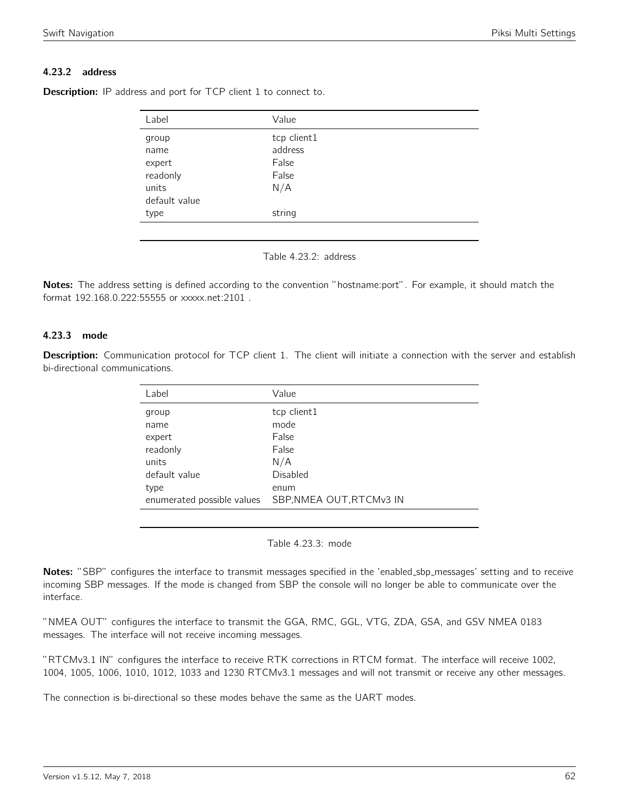## 4.23.2 address

| Value       |  |
|-------------|--|
| tcp client1 |  |
| address     |  |
| False       |  |
| False       |  |
| N/A         |  |
|             |  |
| string      |  |
|             |  |

**Description:** IP address and port for TCP client 1 to connect to.



Notes: The address setting is defined according to the convention "hostname:port". For example, it should match the format 192.168.0.222:55555 or xxxxx.net:2101 .

## 4.23.3 mode

Description: Communication protocol for TCP client 1. The client will initiate a connection with the server and establish bi-directional communications.

| Label                      | Value                    |
|----------------------------|--------------------------|
| group                      | tcp client1              |
| name                       | mode                     |
| expert                     | False                    |
| readonly                   | False                    |
| units                      | N/A                      |
| default value              | Disabled                 |
| type                       | enum                     |
| enumerated possible values | SBP, NMEA OUT, RTCMv3 IN |
|                            |                          |

Table 4.23.3: mode

Notes: "SBP" configures the interface to transmit messages specified in the 'enabled\_sbp\_messages' setting and to receive incoming SBP messages. If the mode is changed from SBP the console will no longer be able to communicate over the interface.

"NMEA OUT" configures the interface to transmit the GGA, RMC, GGL, VTG, ZDA, GSA, and GSV NMEA 0183 messages. The interface will not receive incoming messages.

"RTCMv3.1 IN" configures the interface to receive RTK corrections in RTCM format. The interface will receive 1002, 1004, 1005, 1006, 1010, 1012, 1033 and 1230 RTCMv3.1 messages and will not transmit or receive any other messages.

The connection is bi-directional so these modes behave the same as the UART modes.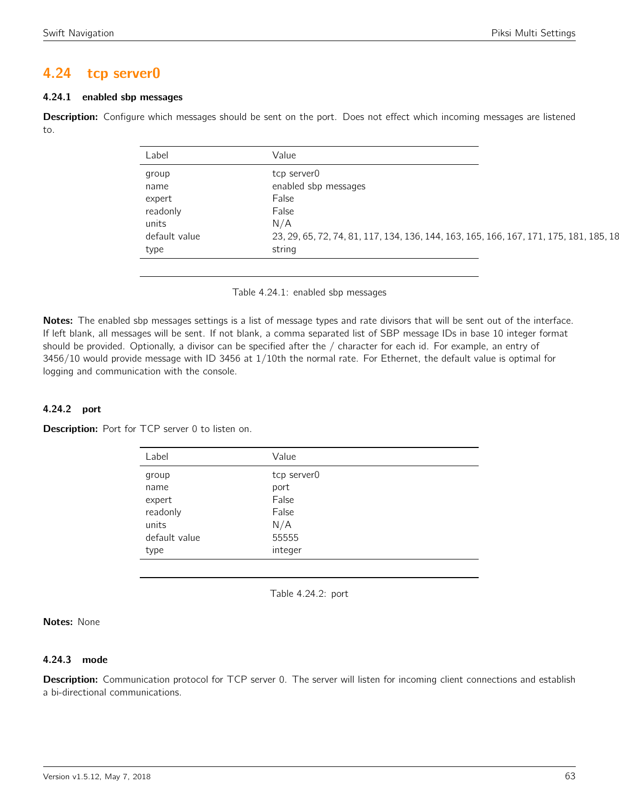## 4.24 tcp server0

## 4.24.1 enabled sbp messages

Description: Configure which messages should be sent on the port. Does not effect which incoming messages are listened to.

| Label         | Value                                                                                  |
|---------------|----------------------------------------------------------------------------------------|
| group         | tcp server0                                                                            |
| name          | enabled sbp messages                                                                   |
| expert        | False                                                                                  |
| readonly      | False                                                                                  |
| units         | N/A                                                                                    |
| default value | 23, 29, 65, 72, 74, 81, 117, 134, 136, 144, 163, 165, 166, 167, 171, 175, 181, 185, 18 |
| type          | string                                                                                 |

Table 4.24.1: enabled sbp messages

Notes: The enabled sbp messages settings is a list of message types and rate divisors that will be sent out of the interface. If left blank, all messages will be sent. If not blank, a comma separated list of SBP message IDs in base 10 integer format should be provided. Optionally, a divisor can be specified after the / character for each id. For example, an entry of 3456/10 would provide message with ID 3456 at 1/10th the normal rate. For Ethernet, the default value is optimal for logging and communication with the console.

## 4.24.2 port

Description: Port for TCP server 0 to listen on.

| Label         | Value       |
|---------------|-------------|
| group         | tcp server0 |
| name          | port        |
| expert        | False       |
| readonly      | False       |
| units         | N/A         |
| default value | 55555       |
| type          | integer     |
|               |             |

Table 4.24.2: port

Notes: None

## 4.24.3 mode

Description: Communication protocol for TCP server 0. The server will listen for incoming client connections and establish a bi-directional communications.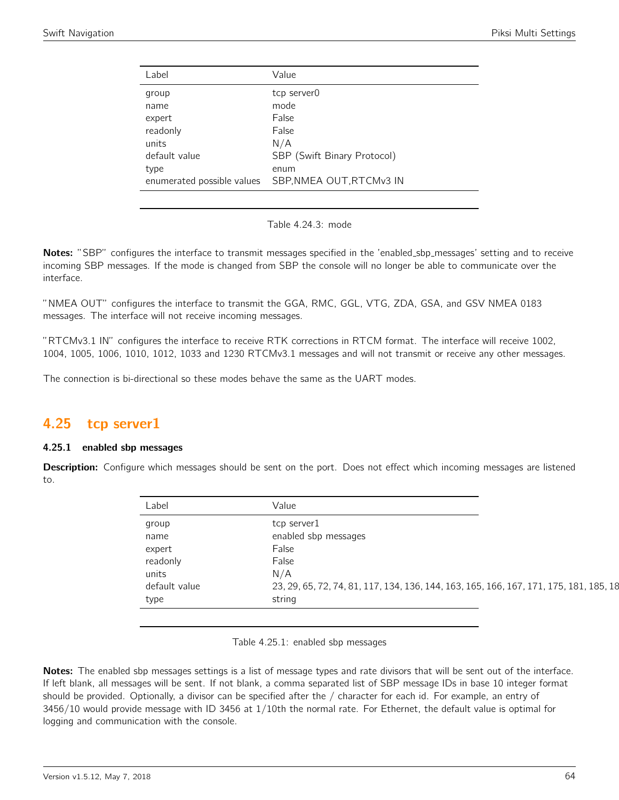| Label                      | Value                       |
|----------------------------|-----------------------------|
| group                      | tcp server0                 |
| name                       | mode                        |
| expert                     | False                       |
| readonly                   | False                       |
| units                      | N/A                         |
| default value              | SBP (Swift Binary Protocol) |
| type                       | enum                        |
| enumerated possible values | SBP, NMEA OUT, RTCMv3 IN    |
|                            |                             |

Table 4.24.3: mode

Notes: "SBP" configures the interface to transmit messages specified in the 'enabled\_sbp\_messages' setting and to receive incoming SBP messages. If the mode is changed from SBP the console will no longer be able to communicate over the interface.

"NMEA OUT" configures the interface to transmit the GGA, RMC, GGL, VTG, ZDA, GSA, and GSV NMEA 0183 messages. The interface will not receive incoming messages.

"RTCMv3.1 IN" configures the interface to receive RTK corrections in RTCM format. The interface will receive 1002, 1004, 1005, 1006, 1010, 1012, 1033 and 1230 RTCMv3.1 messages and will not transmit or receive any other messages.

The connection is bi-directional so these modes behave the same as the UART modes.

## 4.25 tcp server1

## 4.25.1 enabled sbp messages

Description: Configure which messages should be sent on the port. Does not effect which incoming messages are listened to.

| Label         | Value                                                                                  |
|---------------|----------------------------------------------------------------------------------------|
| group         | tcp server1                                                                            |
| name          | enabled sbp messages                                                                   |
| expert        | False                                                                                  |
| readonly      | False                                                                                  |
| units         | N/A                                                                                    |
| default value | 23, 29, 65, 72, 74, 81, 117, 134, 136, 144, 163, 165, 166, 167, 171, 175, 181, 185, 18 |
| type          | string                                                                                 |

Table 4.25.1: enabled sbp messages

Notes: The enabled sbp messages settings is a list of message types and rate divisors that will be sent out of the interface. If left blank, all messages will be sent. If not blank, a comma separated list of SBP message IDs in base 10 integer format should be provided. Optionally, a divisor can be specified after the / character for each id. For example, an entry of 3456/10 would provide message with ID 3456 at 1/10th the normal rate. For Ethernet, the default value is optimal for logging and communication with the console.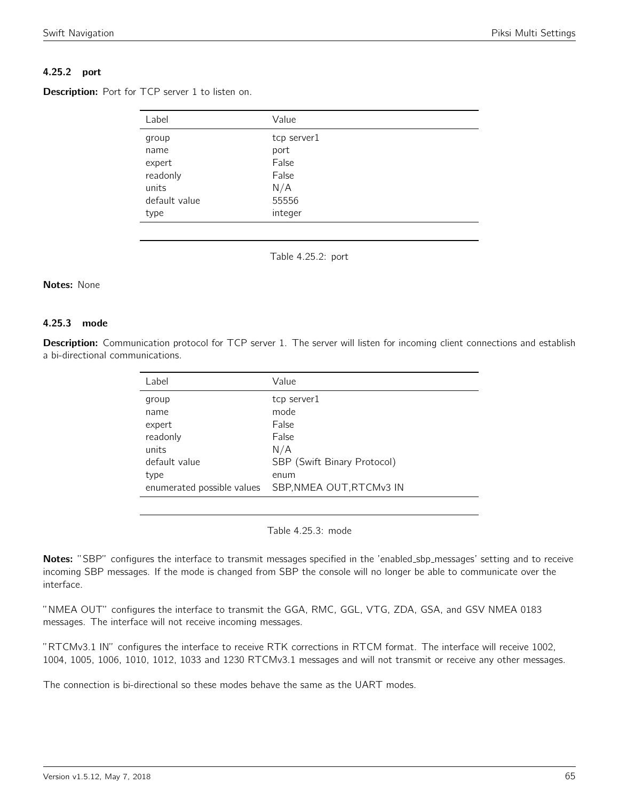## 4.25.2 port

Description: Port for TCP server 1 to listen on.

| Label         | Value       |
|---------------|-------------|
| group         | tcp server1 |
| name          | port        |
| expert        | False       |
| readonly      | False       |
| units         | N/A         |
| default value | 55556       |
| type          | integer     |

Table 4.25.2: port

#### Notes: None

#### 4.25.3 mode

Description: Communication protocol for TCP server 1. The server will listen for incoming client connections and establish a bi-directional communications.

| Label                      | Value                       |
|----------------------------|-----------------------------|
| group                      | tcp server1                 |
| name                       | mode                        |
| expert                     | False                       |
| readonly                   | False                       |
| units                      | N/A                         |
| default value              | SBP (Swift Binary Protocol) |
| type                       | enum                        |
| enumerated possible values | SBP, NMEA OUT, RTCMv3 IN    |
|                            |                             |

Table 4.25.3: mode

Notes: "SBP" configures the interface to transmit messages specified in the 'enabled\_sbp\_messages' setting and to receive incoming SBP messages. If the mode is changed from SBP the console will no longer be able to communicate over the interface.

"NMEA OUT" configures the interface to transmit the GGA, RMC, GGL, VTG, ZDA, GSA, and GSV NMEA 0183 messages. The interface will not receive incoming messages.

"RTCMv3.1 IN" configures the interface to receive RTK corrections in RTCM format. The interface will receive 1002, 1004, 1005, 1006, 1010, 1012, 1033 and 1230 RTCMv3.1 messages and will not transmit or receive any other messages.

The connection is bi-directional so these modes behave the same as the UART modes.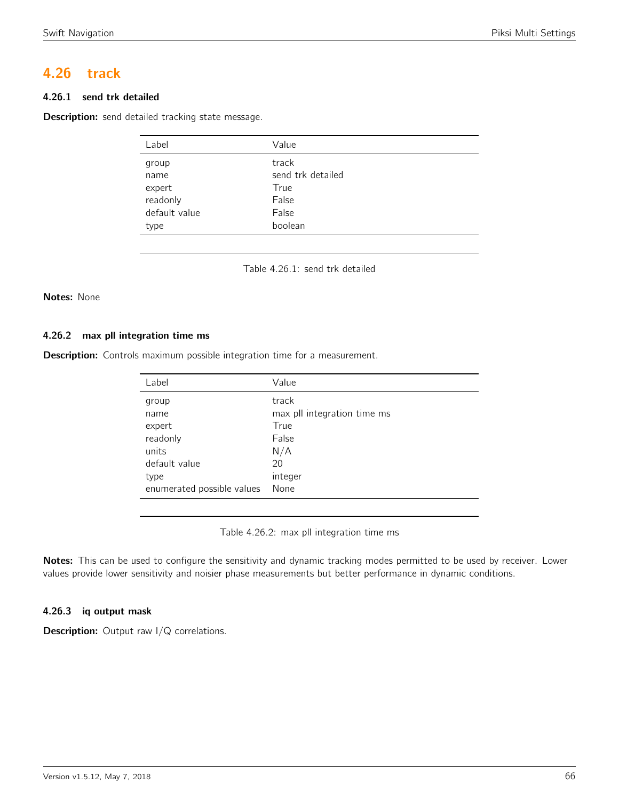# 4.26 track

## 4.26.1 send trk detailed

Description: send detailed tracking state message.

| Label         | Value             |
|---------------|-------------------|
| group         | track             |
| name          | send trk detailed |
| expert        | True              |
| readonly      | False             |
| default value | False             |
| type          | boolean           |

Table 4.26.1: send trk detailed

## Notes: None

#### 4.26.2 max pll integration time ms

Description: Controls maximum possible integration time for a measurement.

| Value                       |
|-----------------------------|
| track                       |
| max pll integration time ms |
| True                        |
| False                       |
| N/A                         |
| 20                          |
| integer                     |
| None                        |
|                             |

Table 4.26.2: max pll integration time ms

Notes: This can be used to configure the sensitivity and dynamic tracking modes permitted to be used by receiver. Lower values provide lower sensitivity and noisier phase measurements but better performance in dynamic conditions.

## 4.26.3 iq output mask

**Description:** Output raw I/Q correlations.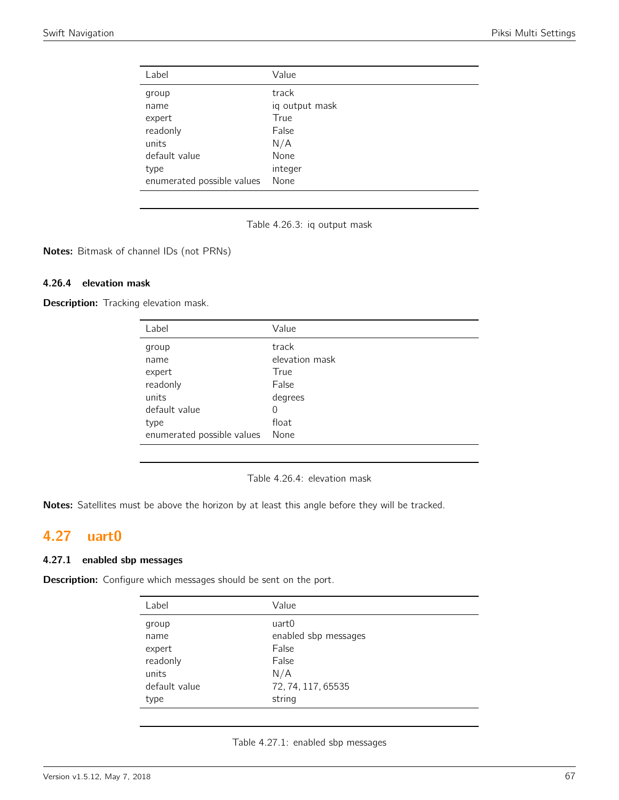| Label                      | Value          |
|----------------------------|----------------|
| group                      | track          |
| name                       | iq output mask |
| expert                     | True           |
| readonly                   | False          |
| units                      | N/A            |
| default value              | None           |
| type                       | integer        |
| enumerated possible values | None           |

Table 4.26.3: iq output mask

Notes: Bitmask of channel IDs (not PRNs)

## 4.26.4 elevation mask

Description: Tracking elevation mask.

| Label                      | Value          |
|----------------------------|----------------|
| group                      | track          |
| name                       | elevation mask |
| expert                     | True           |
| readonly                   | False          |
| units                      | degrees        |
| default value              | $\Omega$       |
| type                       | float          |
| enumerated possible values | None           |

Table 4.26.4: elevation mask

Notes: Satellites must be above the horizon by at least this angle before they will be tracked.

# 4.27 uart0

## 4.27.1 enabled sbp messages

Description: Configure which messages should be sent on the port.

| Label         | Value                |
|---------------|----------------------|
| group         | uart0                |
| name          | enabled sbp messages |
| expert        | False                |
| readonly      | False                |
| units         | N/A                  |
| default value | 72, 74, 117, 65535   |
| type          | string               |

| Table 4.27.1: enabled sbp messages |  |  |  |
|------------------------------------|--|--|--|
|------------------------------------|--|--|--|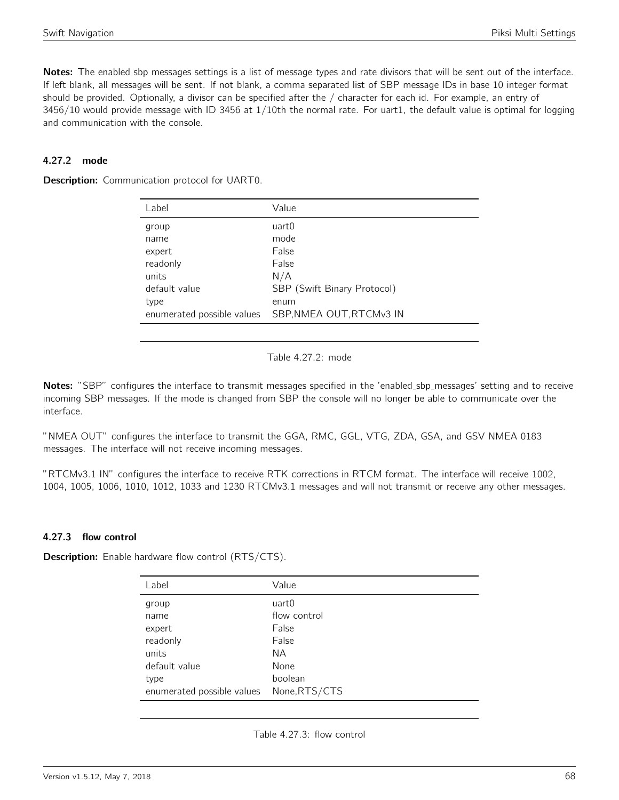Notes: The enabled sbp messages settings is a list of message types and rate divisors that will be sent out of the interface. If left blank, all messages will be sent. If not blank, a comma separated list of SBP message IDs in base 10 integer format should be provided. Optionally, a divisor can be specified after the / character for each id. For example, an entry of 3456/10 would provide message with ID 3456 at 1/10th the normal rate. For uart1, the default value is optimal for logging and communication with the console.

## 4.27.2 mode

**Description:** Communication protocol for UART0.

| Label         | Value                                                  |
|---------------|--------------------------------------------------------|
| group         | uart0                                                  |
| name          | mode                                                   |
| expert        | False                                                  |
| readonly      | False                                                  |
| units         | N/A                                                    |
| default value | SBP (Swift Binary Protocol)                            |
| type          | enum                                                   |
|               | enumerated possible values    SBP, NMEA OUT, RTCMv3 IN |
|               |                                                        |

Table 4.27.2: mode

Notes: "SBP" configures the interface to transmit messages specified in the 'enabled\_sbp\_messages' setting and to receive incoming SBP messages. If the mode is changed from SBP the console will no longer be able to communicate over the interface.

"NMEA OUT" configures the interface to transmit the GGA, RMC, GGL, VTG, ZDA, GSA, and GSV NMEA 0183 messages. The interface will not receive incoming messages.

"RTCMv3.1 IN" configures the interface to receive RTK corrections in RTCM format. The interface will receive 1002, 1004, 1005, 1006, 1010, 1012, 1033 and 1230 RTCMv3.1 messages and will not transmit or receive any other messages.

## 4.27.3 flow control

**Description:** Enable hardware flow control (RTS/CTS).

| Label                      | Value         |
|----------------------------|---------------|
| group                      | uart0         |
| name                       | flow control  |
| expert                     | False         |
| readonly                   | False         |
| units                      | ΝA            |
| default value              | None          |
| type                       | boolean       |
| enumerated possible values | None, RTS/CTS |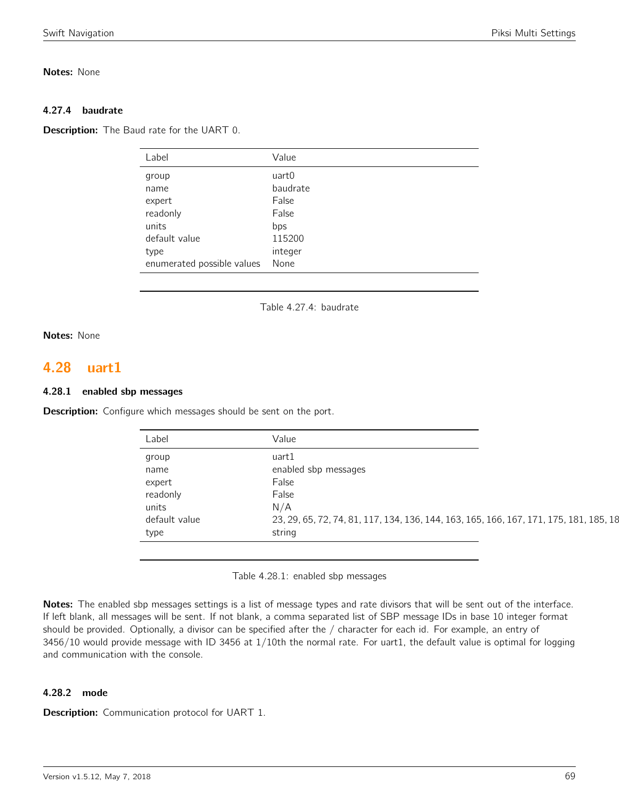## Notes: None

## 4.27.4 baudrate

**Description:** The Baud rate for the UART 0.

| Label                      | Value    |
|----------------------------|----------|
| group                      | uart0    |
| name                       | baudrate |
| expert                     | False    |
| readonly                   | False    |
| units                      | bps      |
| default value              | 115200   |
| type                       | integer  |
| enumerated possible values | None     |

Table 4.27.4: baudrate

## Notes: None

## 4.28 uart1

## 4.28.1 enabled sbp messages

**Description:** Configure which messages should be sent on the port.

| Label         | Value                                                                                  |
|---------------|----------------------------------------------------------------------------------------|
| group         | uart1                                                                                  |
| name          | enabled sbp messages                                                                   |
| expert        | False                                                                                  |
| readonly      | False                                                                                  |
| units         | N/A                                                                                    |
| default value | 23, 29, 65, 72, 74, 81, 117, 134, 136, 144, 163, 165, 166, 167, 171, 175, 181, 185, 18 |
| type          | string                                                                                 |

Table 4.28.1: enabled sbp messages

Notes: The enabled sbp messages settings is a list of message types and rate divisors that will be sent out of the interface. If left blank, all messages will be sent. If not blank, a comma separated list of SBP message IDs in base 10 integer format should be provided. Optionally, a divisor can be specified after the / character for each id. For example, an entry of 3456/10 would provide message with ID 3456 at 1/10th the normal rate. For uart1, the default value is optimal for logging and communication with the console.

## 4.28.2 mode

Description: Communication protocol for UART 1.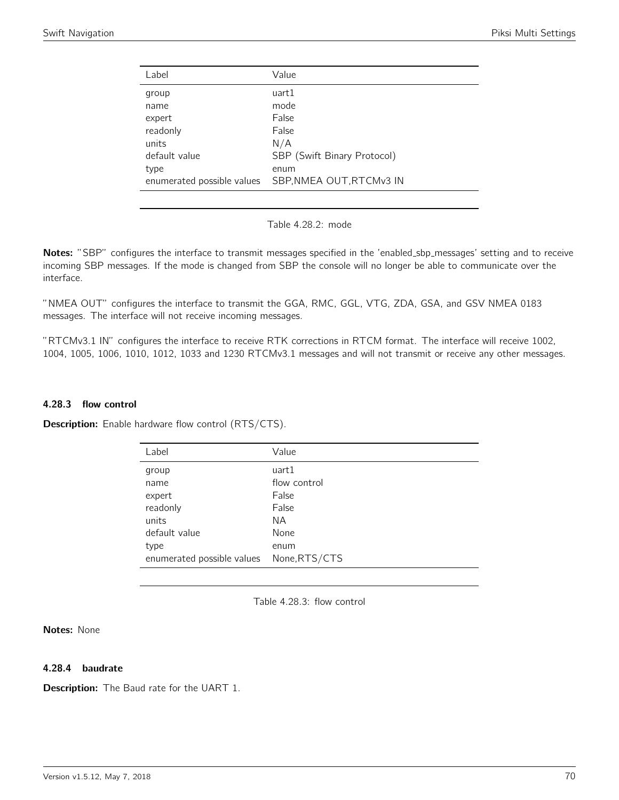| Label                      | Value                       |
|----------------------------|-----------------------------|
| group                      | uart1                       |
| name                       | mode                        |
| expert                     | False                       |
| readonly                   | False                       |
| units                      | N/A                         |
| default value              | SBP (Swift Binary Protocol) |
| type                       | enum                        |
| enumerated possible values | SBP, NMEA OUT, RTCMv3 IN    |
|                            |                             |

Table 4.28.2: mode

Notes: "SBP" configures the interface to transmit messages specified in the 'enabled\_sbp\_messages' setting and to receive incoming SBP messages. If the mode is changed from SBP the console will no longer be able to communicate over the interface.

"NMEA OUT" configures the interface to transmit the GGA, RMC, GGL, VTG, ZDA, GSA, and GSV NMEA 0183 messages. The interface will not receive incoming messages.

"RTCMv3.1 IN" configures the interface to receive RTK corrections in RTCM format. The interface will receive 1002, 1004, 1005, 1006, 1010, 1012, 1033 and 1230 RTCMv3.1 messages and will not transmit or receive any other messages.

#### 4.28.3 flow control

Description: Enable hardware flow control (RTS/CTS).

| Label                                    | Value        |
|------------------------------------------|--------------|
| group                                    | uart1        |
| name                                     | flow control |
| expert                                   | False        |
| readonly                                 | False        |
| units                                    | ΝA           |
| default value                            | None         |
| type                                     | enum         |
| enumerated possible values None, RTS/CTS |              |

Table 4.28.3: flow control

Notes: None

## 4.28.4 baudrate

**Description:** The Baud rate for the UART 1.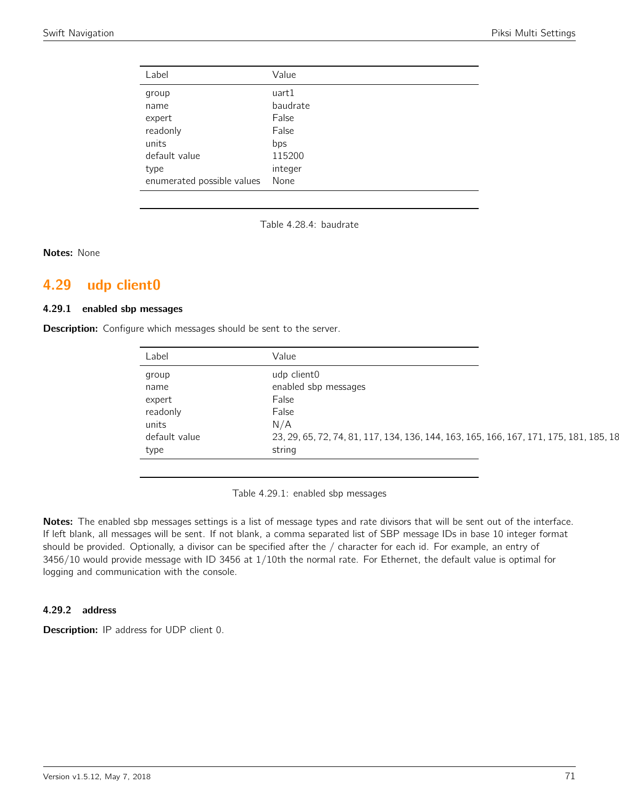| Label                      | Value    |
|----------------------------|----------|
| group                      | uart1    |
| name                       | baudrate |
| expert                     | False    |
| readonly                   | False    |
| units                      | bps      |
| default value              | 115200   |
| type                       | integer  |
| enumerated possible values | None     |

Table 4.28.4: baudrate

Notes: None

## 4.29 udp client0

#### 4.29.1 enabled sbp messages

**Description:** Configure which messages should be sent to the server.

| Label         | Value                                                                                  |
|---------------|----------------------------------------------------------------------------------------|
| group         | udp client0                                                                            |
| name          | enabled sbp messages                                                                   |
| expert        | False                                                                                  |
| readonly      | False                                                                                  |
| units         | N/A                                                                                    |
| default value | 23, 29, 65, 72, 74, 81, 117, 134, 136, 144, 163, 165, 166, 167, 171, 175, 181, 185, 18 |
| type          | string                                                                                 |

Table 4.29.1: enabled sbp messages

Notes: The enabled sbp messages settings is a list of message types and rate divisors that will be sent out of the interface. If left blank, all messages will be sent. If not blank, a comma separated list of SBP message IDs in base 10 integer format should be provided. Optionally, a divisor can be specified after the / character for each id. For example, an entry of 3456/10 would provide message with ID 3456 at 1/10th the normal rate. For Ethernet, the default value is optimal for logging and communication with the console.

## 4.29.2 address

Description: IP address for UDP client 0.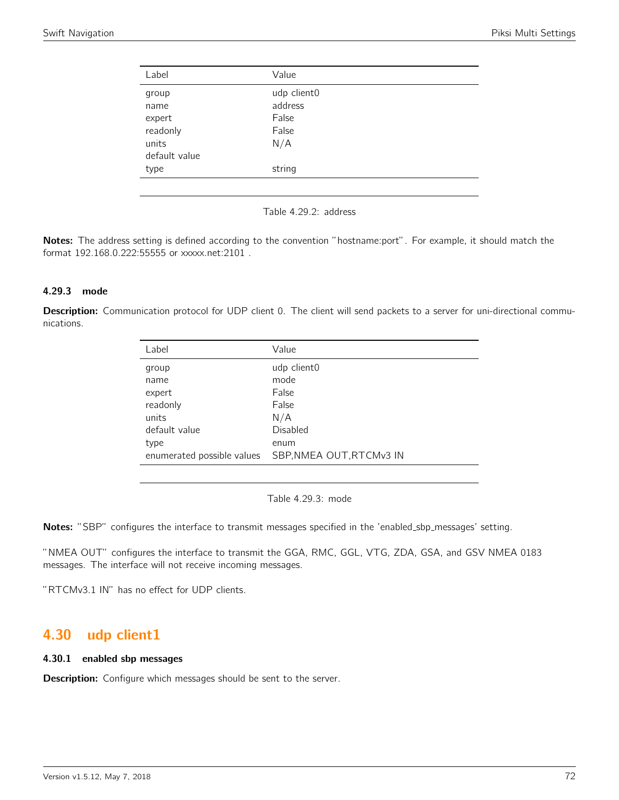| Label         | Value       |  |
|---------------|-------------|--|
| group         | udp client0 |  |
| name          | address     |  |
| expert        | False       |  |
| readonly      | False       |  |
| units         | N/A         |  |
| default value |             |  |
| type          | string      |  |
|               |             |  |

Table 4.29.2: address

Notes: The address setting is defined according to the convention "hostname:port". For example, it should match the format 192.168.0.222:55555 or xxxxx.net:2101 .

## 4.29.3 mode

Description: Communication protocol for UDP client 0. The client will send packets to a server for uni-directional communications.

| Label         | Value                                                  |
|---------------|--------------------------------------------------------|
| group         | udp client0                                            |
| name          | mode                                                   |
| expert        | False                                                  |
| readonly      | False                                                  |
| units         | N/A                                                    |
| default value | Disabled                                               |
| type          | enum                                                   |
|               | enumerated possible values    SBP, NMEA OUT, RTCMv3 IN |

Table 4.29.3: mode

Notes: "SBP" configures the interface to transmit messages specified in the 'enabled\_sbp\_messages' setting.

"NMEA OUT" configures the interface to transmit the GGA, RMC, GGL, VTG, ZDA, GSA, and GSV NMEA 0183 messages. The interface will not receive incoming messages.

"RTCMv3.1 IN" has no effect for UDP clients.

# 4.30 udp client1

#### 4.30.1 enabled sbp messages

**Description:** Configure which messages should be sent to the server.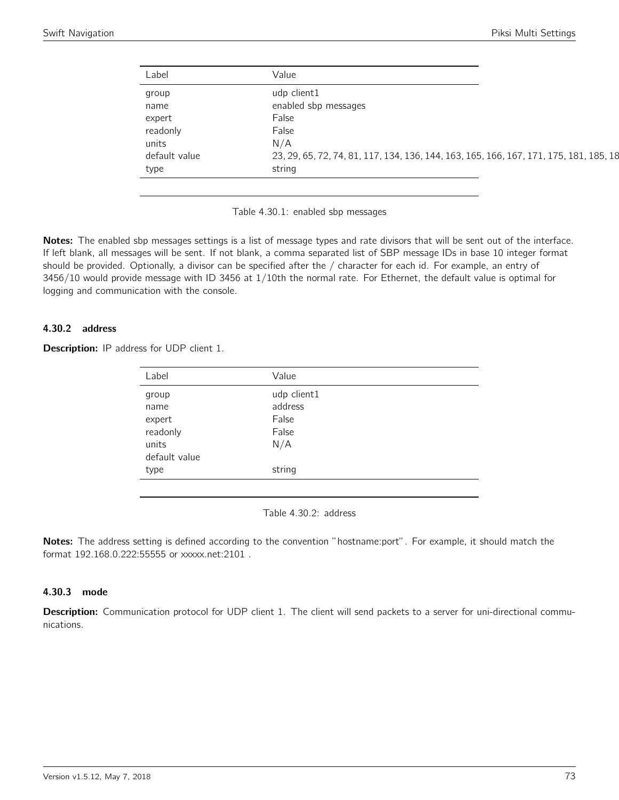| Label         | Value                                                                                  |
|---------------|----------------------------------------------------------------------------------------|
| group         | udp client1                                                                            |
| name          | enabled sbp messages                                                                   |
| expert        | False                                                                                  |
| readonly      | False                                                                                  |
| units         | N/A                                                                                    |
| default value | 23, 29, 65, 72, 74, 81, 117, 134, 136, 144, 163, 165, 166, 167, 171, 175, 181, 185, 18 |
| type          | string                                                                                 |

Table 4.30.1: enabled sbp messages

Notes: The enabled sbp messages settings is a list of message types and rate divisors that will be sent out of the interface. If left blank, all messages will be sent. If not blank, a comma separated list of SBP message IDs in base 10 integer format should be provided. Optionally, a divisor can be specified after the / character for each id. For example, an entry of 3456/10 would provide message with ID 3456 at 1/10th the normal rate. For Ethernet, the default value is optimal for logging and communication with the console.

# 4.30.2 address

| <b>Description:</b> IP address for UDP client 1. |  |  |  |  |  |  |
|--------------------------------------------------|--|--|--|--|--|--|
|--------------------------------------------------|--|--|--|--|--|--|

| Label         | Value       |  |
|---------------|-------------|--|
| group         | udp client1 |  |
| name          | address     |  |
| expert        | False       |  |
| readonly      | False       |  |
| units         | N/A         |  |
| default value |             |  |
| type          | string      |  |
|               |             |  |

Table 4.30.2: address

Notes: The address setting is defined according to the convention "hostname:port". For example, it should match the format 192.168.0.222:55555 or xxxxx.net:2101 .

### 4.30.3 mode

Description: Communication protocol for UDP client 1. The client will send packets to a server for uni-directional communications.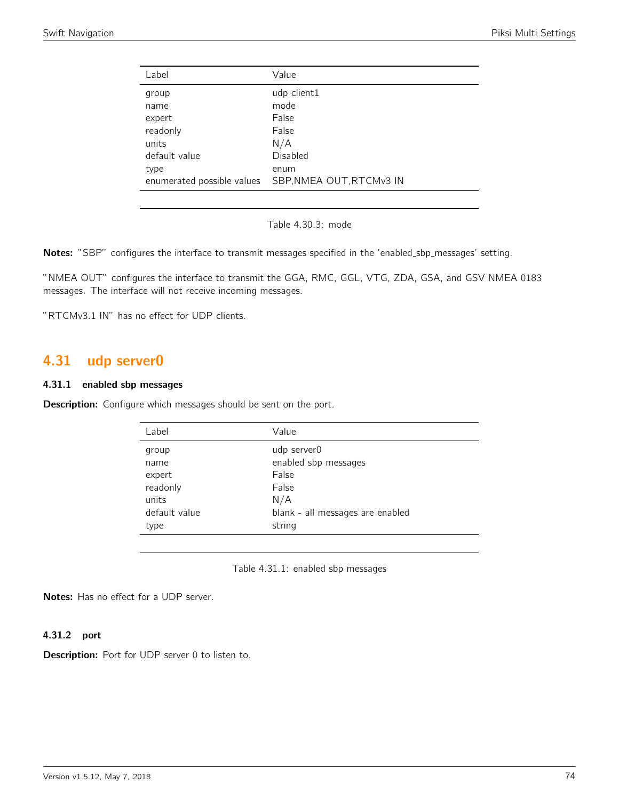| Label                      | Value                    |
|----------------------------|--------------------------|
| group                      | udp client1              |
| name                       | mode                     |
| expert                     | False                    |
| readonly                   | False                    |
| units                      | N/A                      |
| default value              | Disabled                 |
| type                       | enum                     |
| enumerated possible values | SBP, NMEA OUT, RTCMv3 IN |
|                            |                          |

Table 4.30.3: mode

Notes: "SBP" configures the interface to transmit messages specified in the 'enabled\_sbp\_messages' setting.

"NMEA OUT" configures the interface to transmit the GGA, RMC, GGL, VTG, ZDA, GSA, and GSV NMEA 0183 messages. The interface will not receive incoming messages.

"RTCMv3.1 IN" has no effect for UDP clients.

# 4.31 udp server0

#### 4.31.1 enabled sbp messages

**Description:** Configure which messages should be sent on the port.

| Label         | Value                            |
|---------------|----------------------------------|
| group         | udp server0                      |
| name          | enabled sbp messages             |
| expert        | False                            |
| readonly      | False                            |
| units         | N/A                              |
| default value | blank - all messages are enabled |
| type          | string                           |
|               |                                  |

Table 4.31.1: enabled sbp messages

Notes: Has no effect for a UDP server.

#### 4.31.2 port

Description: Port for UDP server 0 to listen to.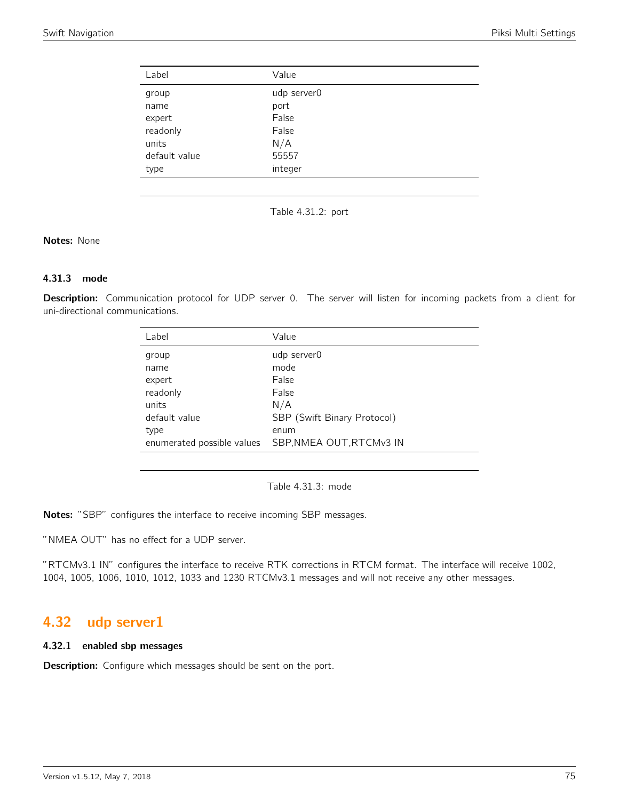| Label         | Value       |
|---------------|-------------|
| group         | udp server0 |
| name          | port        |
| expert        | False       |
| readonly      | False       |
| units         | N/A         |
| default value | 55557       |
| type          | integer     |

Table 4.31.2: port

## Notes: None

# 4.31.3 mode

Description: Communication protocol for UDP server 0. The server will listen for incoming packets from a client for uni-directional communications.

| Label         | Value                                                  |
|---------------|--------------------------------------------------------|
| group         | udp server0                                            |
| name          | mode                                                   |
| expert        | False                                                  |
| readonly      | False                                                  |
| units         | N/A                                                    |
| default value | SBP (Swift Binary Protocol)                            |
| type          | enum                                                   |
|               | enumerated possible values    SBP, NMEA OUT, RTCMv3 IN |
|               |                                                        |

Table 4.31.3: mode

Notes: "SBP" configures the interface to receive incoming SBP messages.

"NMEA OUT" has no effect for a UDP server.

"RTCMv3.1 IN" configures the interface to receive RTK corrections in RTCM format. The interface will receive 1002, 1004, 1005, 1006, 1010, 1012, 1033 and 1230 RTCMv3.1 messages and will not receive any other messages.

# 4.32 udp server1

### 4.32.1 enabled sbp messages

**Description:** Configure which messages should be sent on the port.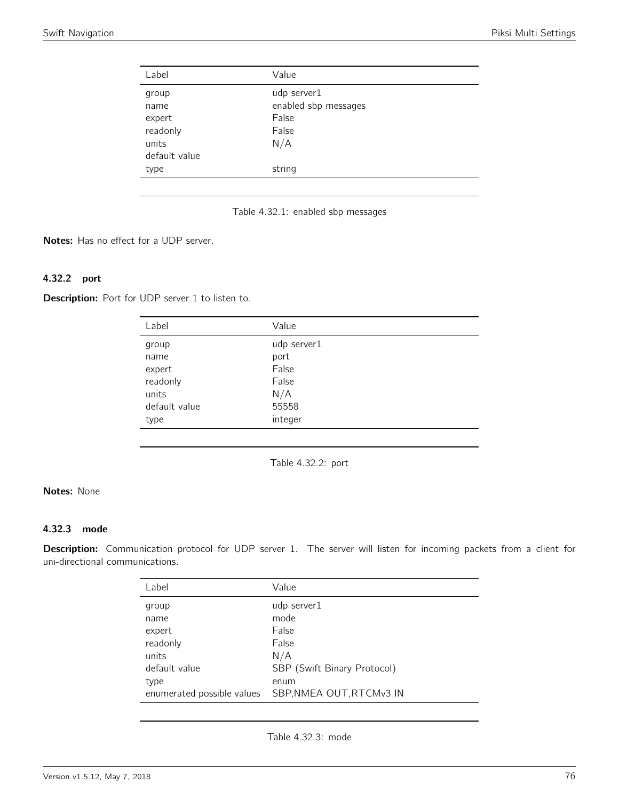| Label         | Value                |
|---------------|----------------------|
| group         | udp server1          |
| name          | enabled sbp messages |
| expert        | False                |
| readonly      | False                |
| units         | N/A                  |
| default value |                      |
| type          | string               |
|               |                      |



Notes: Has no effect for a UDP server.

# 4.32.2 port

Description: Port for UDP server 1 to listen to.

| Label         | Value       |
|---------------|-------------|
| group         | udp server1 |
| name          | port        |
| expert        | False       |
| readonly      | False       |
| units         | N/A         |
| default value | 55558       |
| type          | integer     |

Table 4.32.2: port

# Notes: None

## 4.32.3 mode

Description: Communication protocol for UDP server 1. The server will listen for incoming packets from a client for uni-directional communications.

| Label                      | Value                       |
|----------------------------|-----------------------------|
| group                      | udp server1                 |
| name                       | mode                        |
| expert                     | False                       |
| readonly                   | False                       |
| units                      | N/A                         |
| default value              | SBP (Swift Binary Protocol) |
| type                       | enum                        |
| enumerated possible values | SBP, NMEA OUT, RTCMv3 IN    |
|                            |                             |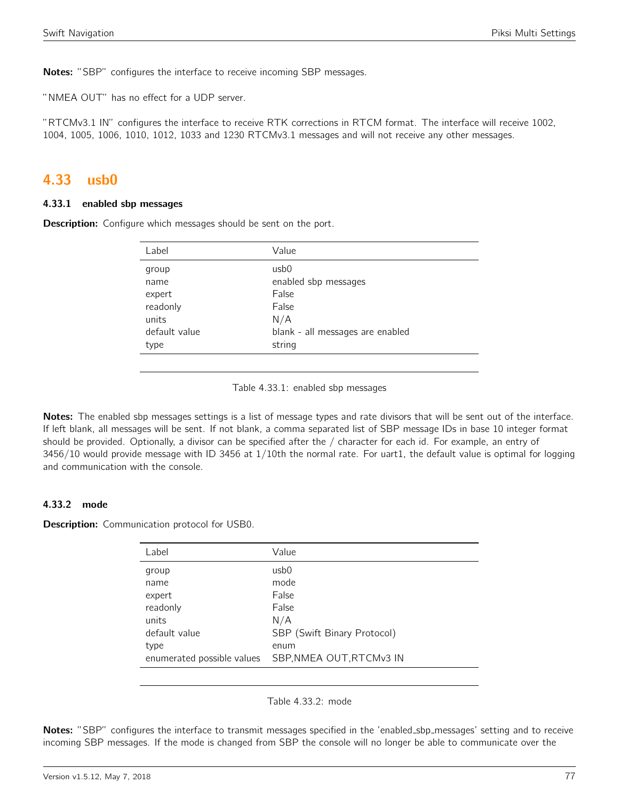Notes: "SBP" configures the interface to receive incoming SBP messages.

"NMEA OUT" has no effect for a UDP server.

"RTCMv3.1 IN" configures the interface to receive RTK corrections in RTCM format. The interface will receive 1002, 1004, 1005, 1006, 1010, 1012, 1033 and 1230 RTCMv3.1 messages and will not receive any other messages.

# 4.33 usb0

#### 4.33.1 enabled sbp messages

**Description:** Configure which messages should be sent on the port.

| Label         | Value                            |
|---------------|----------------------------------|
| group         | usb <sub>0</sub>                 |
| name          | enabled sbp messages             |
| expert        | False                            |
| readonly      | False                            |
| units         | N/A                              |
| default value | blank - all messages are enabled |
| type          | string                           |
|               |                                  |

Table 4.33.1: enabled sbp messages

Notes: The enabled sbp messages settings is a list of message types and rate divisors that will be sent out of the interface. If left blank, all messages will be sent. If not blank, a comma separated list of SBP message IDs in base 10 integer format should be provided. Optionally, a divisor can be specified after the / character for each id. For example, an entry of 3456/10 would provide message with ID 3456 at 1/10th the normal rate. For uart1, the default value is optimal for logging and communication with the console.

## 4.33.2 mode

**Description:** Communication protocol for USB0.

| Label                      | Value                       |
|----------------------------|-----------------------------|
| group                      | usb0                        |
| name                       | mode                        |
| expert                     | False                       |
| readonly                   | False                       |
| units                      | N/A                         |
| default value              | SBP (Swift Binary Protocol) |
| type                       | enum                        |
| enumerated possible values | SBP, NMEA OUT, RTCMv3 IN    |

Table 4.33.2: mode

Notes: "SBP" configures the interface to transmit messages specified in the 'enabled\_sbp\_messages' setting and to receive incoming SBP messages. If the mode is changed from SBP the console will no longer be able to communicate over the